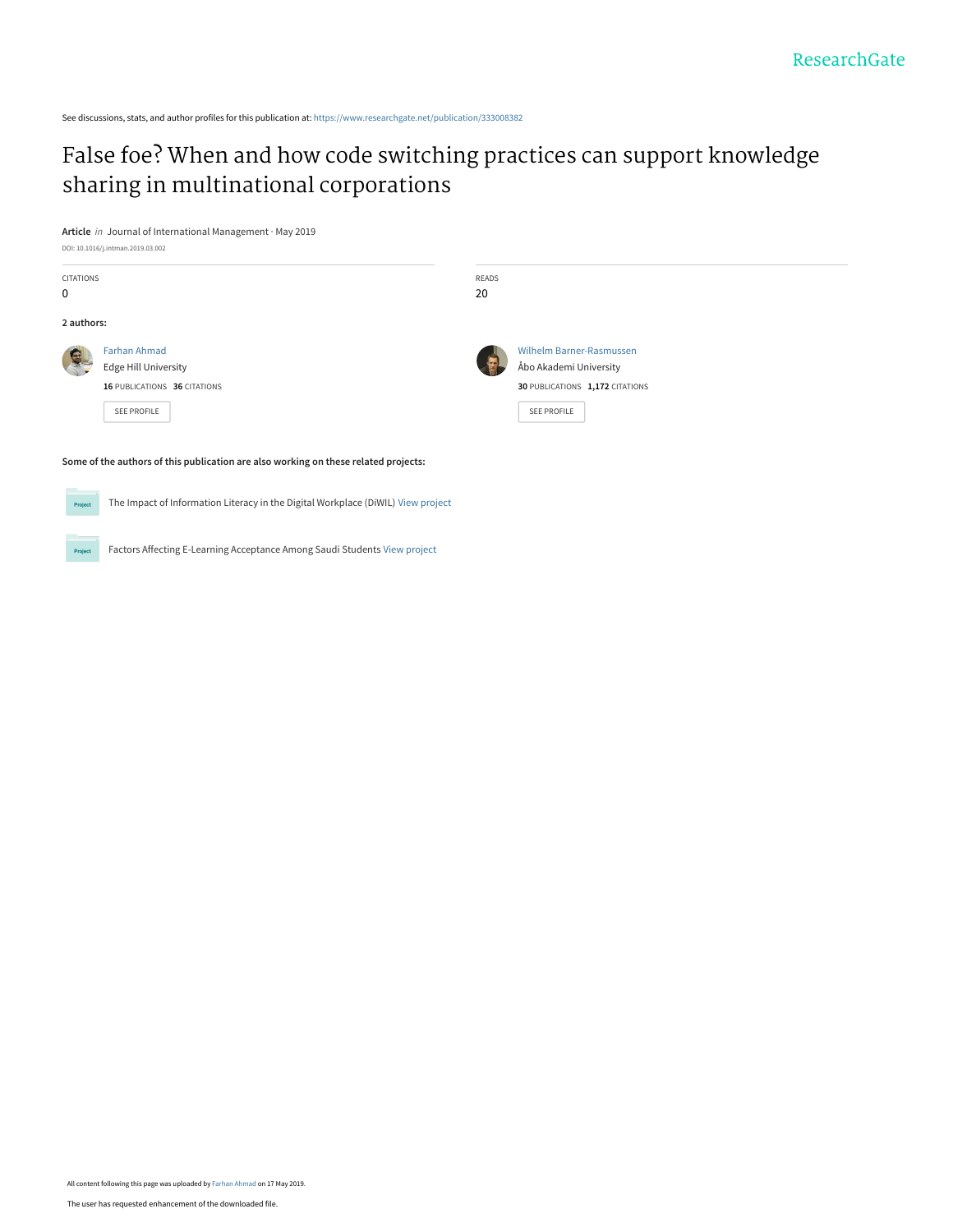See discussions, stats, and author profiles for this publication at: [https://www.researchgate.net/publication/333008382](https://www.researchgate.net/publication/333008382_False_foe_When_and_how_code_switching_practices_can_support_knowledge_sharing_in_multinational_corporations?enrichId=rgreq-e957b97adda7616a9c2572b9b8ef2ef8-XXX&enrichSource=Y292ZXJQYWdlOzMzMzAwODM4MjtBUzo3NTk1NDI1MzkzNzg2OTBAMTU1ODEwMDQ2MTU0NQ%3D%3D&el=1_x_2&_esc=publicationCoverPdf)

# [False foe? When and how code switching practices can support knowledge](https://www.researchgate.net/publication/333008382_False_foe_When_and_how_code_switching_practices_can_support_knowledge_sharing_in_multinational_corporations?enrichId=rgreq-e957b97adda7616a9c2572b9b8ef2ef8-XXX&enrichSource=Y292ZXJQYWdlOzMzMzAwODM4MjtBUzo3NTk1NDI1MzkzNzg2OTBAMTU1ODEwMDQ2MTU0NQ%3D%3D&el=1_x_3&_esc=publicationCoverPdf) sharing in multinational corporations

**Article** in Journal of International Management · May 2019

|            | DOI: 10.1016/j.intman.2019.03.002                                                   |              |                                 |
|------------|-------------------------------------------------------------------------------------|--------------|---------------------------------|
| CITATIONS  |                                                                                     | <b>READS</b> |                                 |
| 0          |                                                                                     | 20           |                                 |
| 2 authors: |                                                                                     |              |                                 |
|            | <b>Farhan Ahmad</b>                                                                 |              | <b>Wilhelm Barner-Rasmussen</b> |
|            | <b>Edge Hill University</b>                                                         |              | Åbo Akademi University          |
|            | 16 PUBLICATIONS 36 CITATIONS                                                        |              | 30 PUBLICATIONS 1,172 CITATIONS |
|            | <b>SEE PROFILE</b>                                                                  |              | <b>SEE PROFILE</b>              |
|            |                                                                                     |              |                                 |
|            | Some of the authors of this publication are also working on these related projects: |              |                                 |
|            |                                                                                     |              |                                 |

| Project | The Impact of Information Literacy in the Digital Workplace (DiWIL) View project |
|---------|----------------------------------------------------------------------------------|
|         |                                                                                  |
|         |                                                                                  |
| Project | Factors Affecting E-Learning Acceptance Among Saudi Students View project        |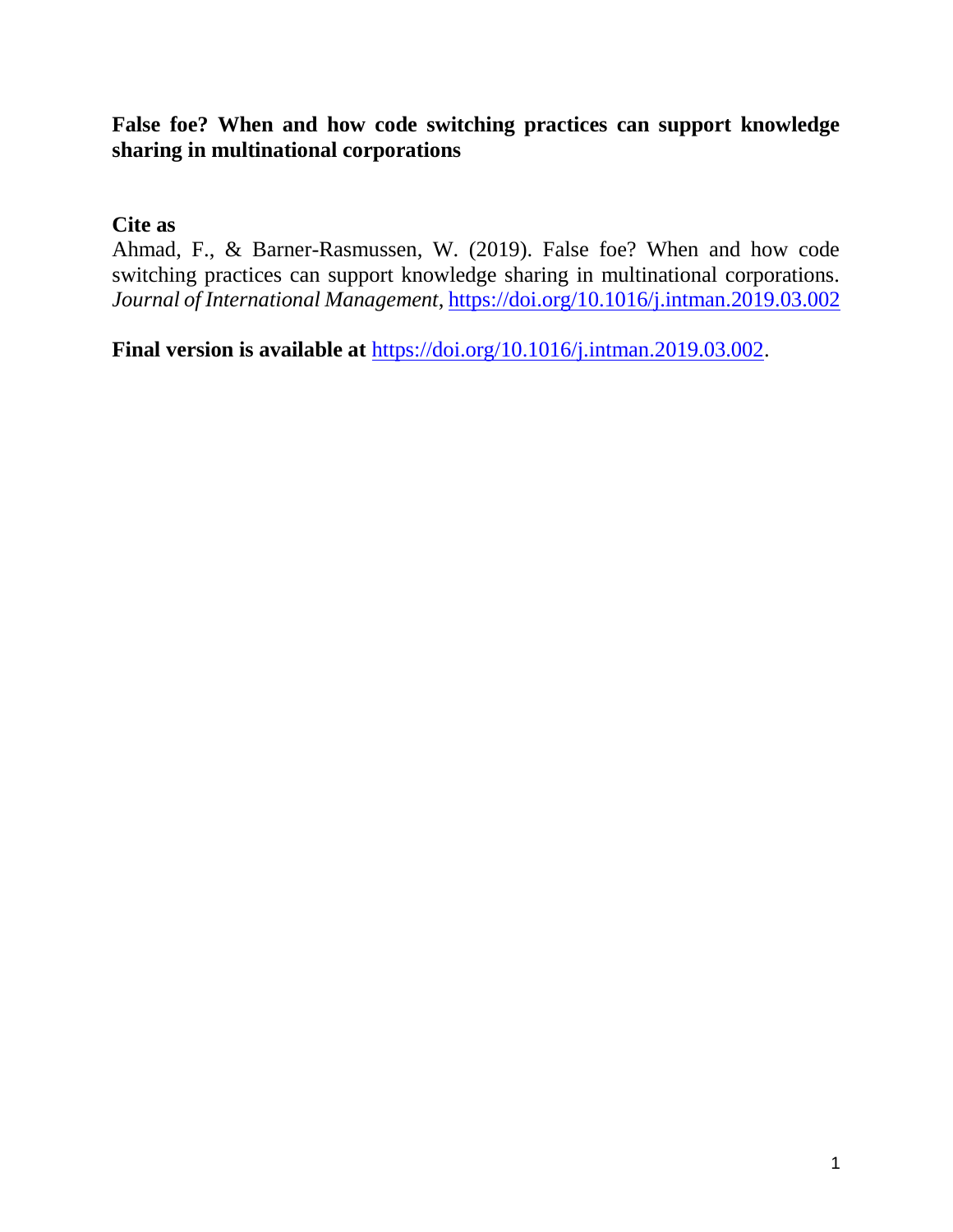# **False foe? When and how code switching practices can support knowledge sharing in multinational corporations**

# **Cite as**

Ahmad, F., & Barner-Rasmussen, W. (2019). False foe? When and how code switching practices can support knowledge sharing in multinational corporations. *Journal of International Management*,<https://doi.org/10.1016/j.intman.2019.03.002>

**Final version is available at** [https://doi.org/10.1016/j.intman.2019.03.002.](https://doi.org/10.1016/j.intman.2019.03.002)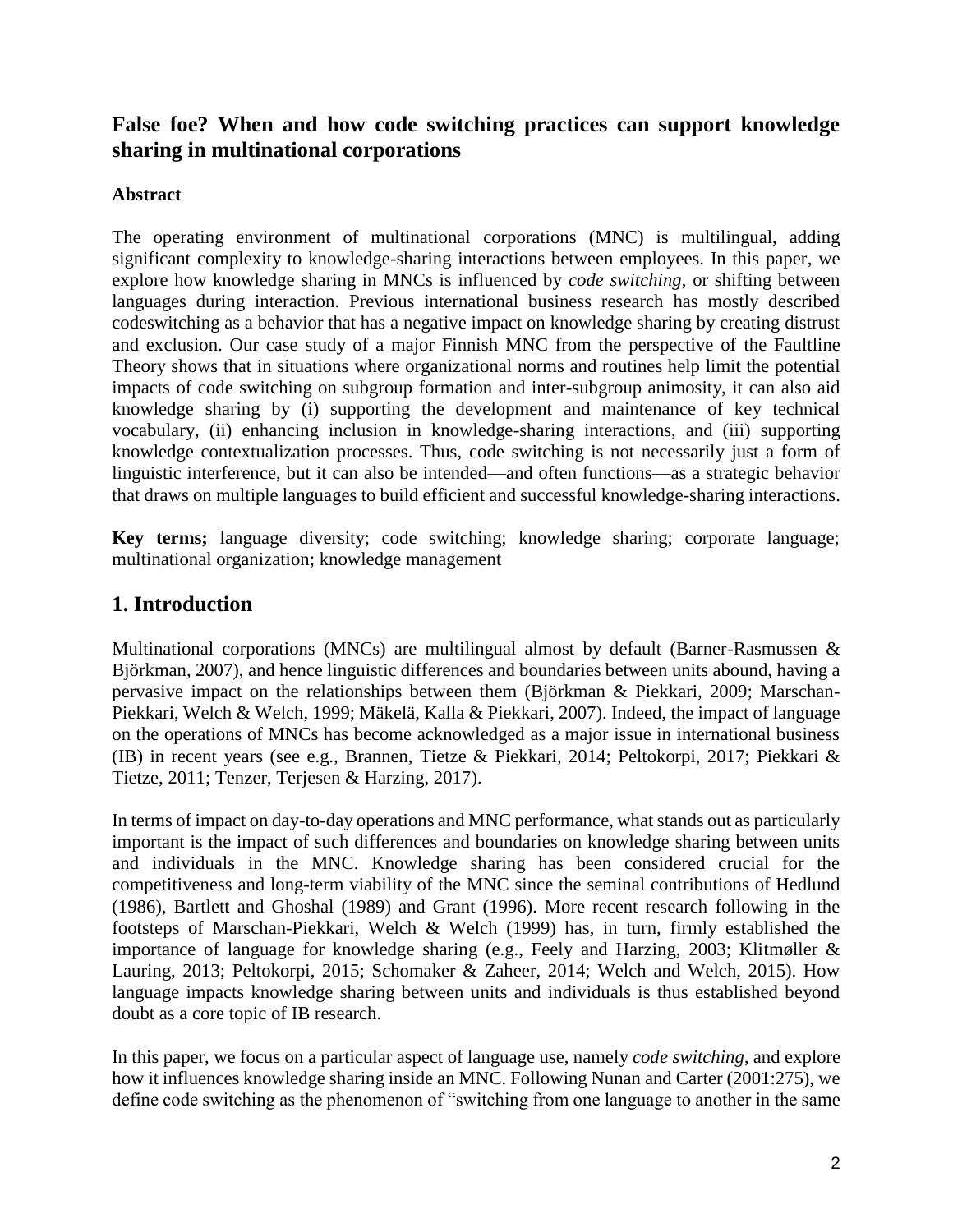### **False foe? When and how code switching practices can support knowledge sharing in multinational corporations**

### **Abstract**

The operating environment of multinational corporations (MNC) is multilingual, adding significant complexity to knowledge-sharing interactions between employees. In this paper, we explore how knowledge sharing in MNCs is influenced by *code switching*, or shifting between languages during interaction. Previous international business research has mostly described codeswitching as a behavior that has a negative impact on knowledge sharing by creating distrust and exclusion. Our case study of a major Finnish MNC from the perspective of the Faultline Theory shows that in situations where organizational norms and routines help limit the potential impacts of code switching on subgroup formation and inter-subgroup animosity, it can also aid knowledge sharing by (i) supporting the development and maintenance of key technical vocabulary, (ii) enhancing inclusion in knowledge-sharing interactions, and (iii) supporting knowledge contextualization processes. Thus, code switching is not necessarily just a form of linguistic interference, but it can also be intended—and often functions—as a strategic behavior that draws on multiple languages to build efficient and successful knowledge-sharing interactions.

**Key terms;** language diversity; code switching; knowledge sharing; corporate language; multinational organization; knowledge management

### **1. Introduction**

Multinational corporations (MNCs) are multilingual almost by default (Barner-Rasmussen & Björkman, 2007), and hence linguistic differences and boundaries between units abound, having a pervasive impact on the relationships between them (Björkman & Piekkari, 2009; Marschan-Piekkari, Welch & Welch, 1999; Mäkelä, Kalla & Piekkari, 2007). Indeed, the impact of language on the operations of MNCs has become acknowledged as a major issue in international business (IB) in recent years (see e.g., Brannen, Tietze & Piekkari, 2014; Peltokorpi, 2017; Piekkari & Tietze, 2011; Tenzer, Terjesen & Harzing, 2017).

In terms of impact on day-to-day operations and MNC performance, what stands out as particularly important is the impact of such differences and boundaries on knowledge sharing between units and individuals in the MNC. Knowledge sharing has been considered crucial for the competitiveness and long-term viability of the MNC since the seminal contributions of Hedlund (1986), Bartlett and Ghoshal (1989) and Grant (1996). More recent research following in the footsteps of Marschan-Piekkari, Welch & Welch (1999) has, in turn, firmly established the importance of language for knowledge sharing (e.g., Feely and Harzing, 2003; Klitmøller & Lauring, 2013; Peltokorpi, 2015; Schomaker & Zaheer, 2014; Welch and Welch, 2015). How language impacts knowledge sharing between units and individuals is thus established beyond doubt as a core topic of IB research.

In this paper, we focus on a particular aspect of language use, namely *code switching*, and explore how it influences knowledge sharing inside an MNC. Following Nunan and Carter (2001:275), we define code switching as the phenomenon of "switching from one language to another in the same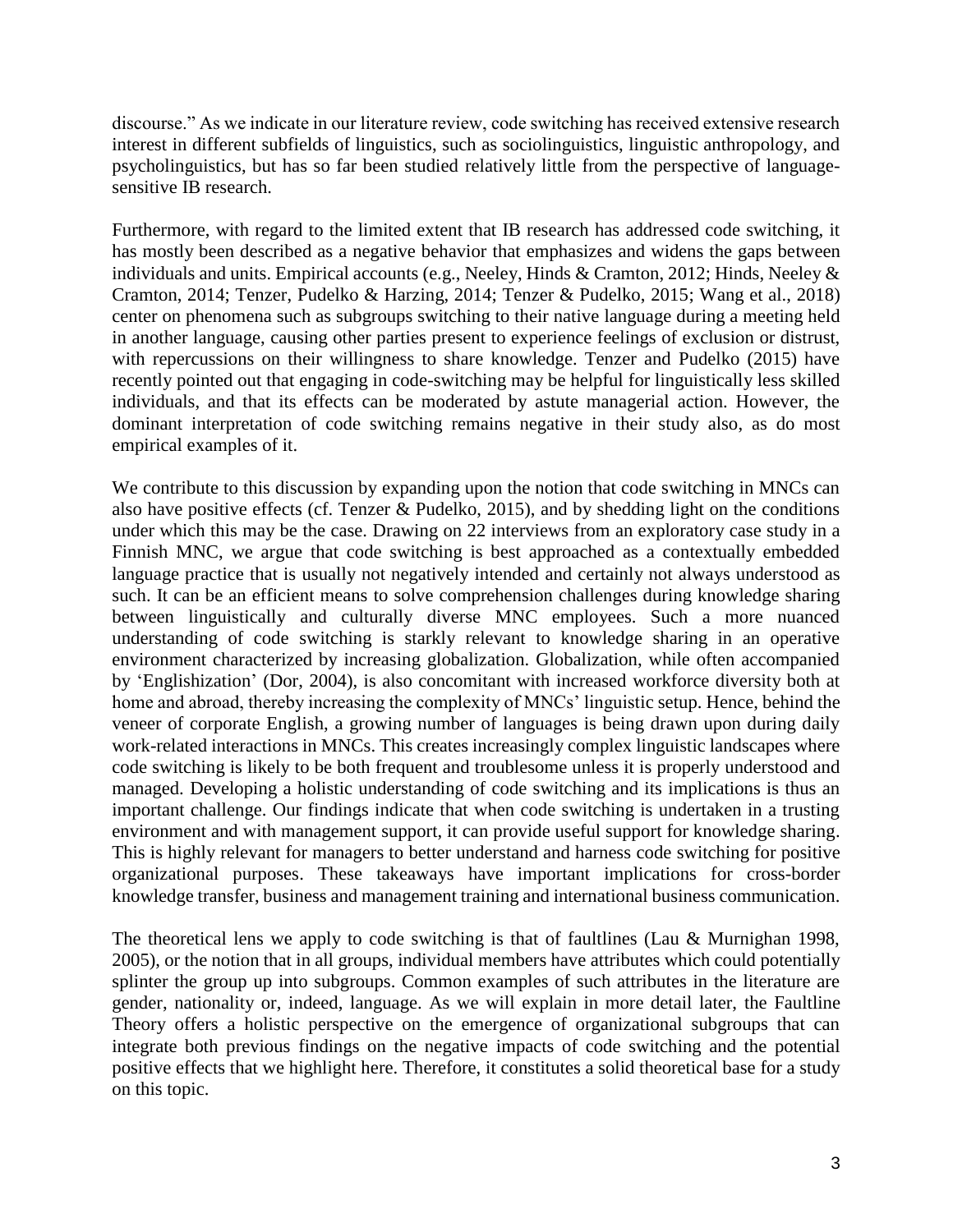discourse." As we indicate in our literature review, code switching has received extensive research interest in different subfields of linguistics, such as sociolinguistics, linguistic anthropology, and psycholinguistics, but has so far been studied relatively little from the perspective of languagesensitive IB research.

Furthermore, with regard to the limited extent that IB research has addressed code switching, it has mostly been described as a negative behavior that emphasizes and widens the gaps between individuals and units. Empirical accounts (e.g., Neeley, Hinds & Cramton, 2012; Hinds, Neeley & Cramton, 2014; Tenzer, Pudelko & Harzing, 2014; Tenzer & Pudelko, 2015; Wang et al., 2018) center on phenomena such as subgroups switching to their native language during a meeting held in another language, causing other parties present to experience feelings of exclusion or distrust, with repercussions on their willingness to share knowledge. Tenzer and Pudelko (2015) have recently pointed out that engaging in code-switching may be helpful for linguistically less skilled individuals, and that its effects can be moderated by astute managerial action. However, the dominant interpretation of code switching remains negative in their study also, as do most empirical examples of it.

We contribute to this discussion by expanding upon the notion that code switching in MNCs can also have positive effects (cf. Tenzer  $\&$  Pudelko, 2015), and by shedding light on the conditions under which this may be the case. Drawing on 22 interviews from an exploratory case study in a Finnish MNC, we argue that code switching is best approached as a contextually embedded language practice that is usually not negatively intended and certainly not always understood as such. It can be an efficient means to solve comprehension challenges during knowledge sharing between linguistically and culturally diverse MNC employees. Such a more nuanced understanding of code switching is starkly relevant to knowledge sharing in an operative environment characterized by increasing globalization. Globalization, while often accompanied by 'Englishization' (Dor, 2004), is also concomitant with increased workforce diversity both at home and abroad, thereby increasing the complexity of MNCs' linguistic setup. Hence, behind the veneer of corporate English, a growing number of languages is being drawn upon during daily work-related interactions in MNCs. This creates increasingly complex linguistic landscapes where code switching is likely to be both frequent and troublesome unless it is properly understood and managed. Developing a holistic understanding of code switching and its implications is thus an important challenge. Our findings indicate that when code switching is undertaken in a trusting environment and with management support, it can provide useful support for knowledge sharing. This is highly relevant for managers to better understand and harness code switching for positive organizational purposes. These takeaways have important implications for cross-border knowledge transfer, business and management training and international business communication.

The theoretical lens we apply to code switching is that of faultlines (Lau & Murnighan 1998, 2005), or the notion that in all groups, individual members have attributes which could potentially splinter the group up into subgroups. Common examples of such attributes in the literature are gender, nationality or, indeed, language. As we will explain in more detail later, the Faultline Theory offers a holistic perspective on the emergence of organizational subgroups that can integrate both previous findings on the negative impacts of code switching and the potential positive effects that we highlight here. Therefore, it constitutes a solid theoretical base for a study on this topic.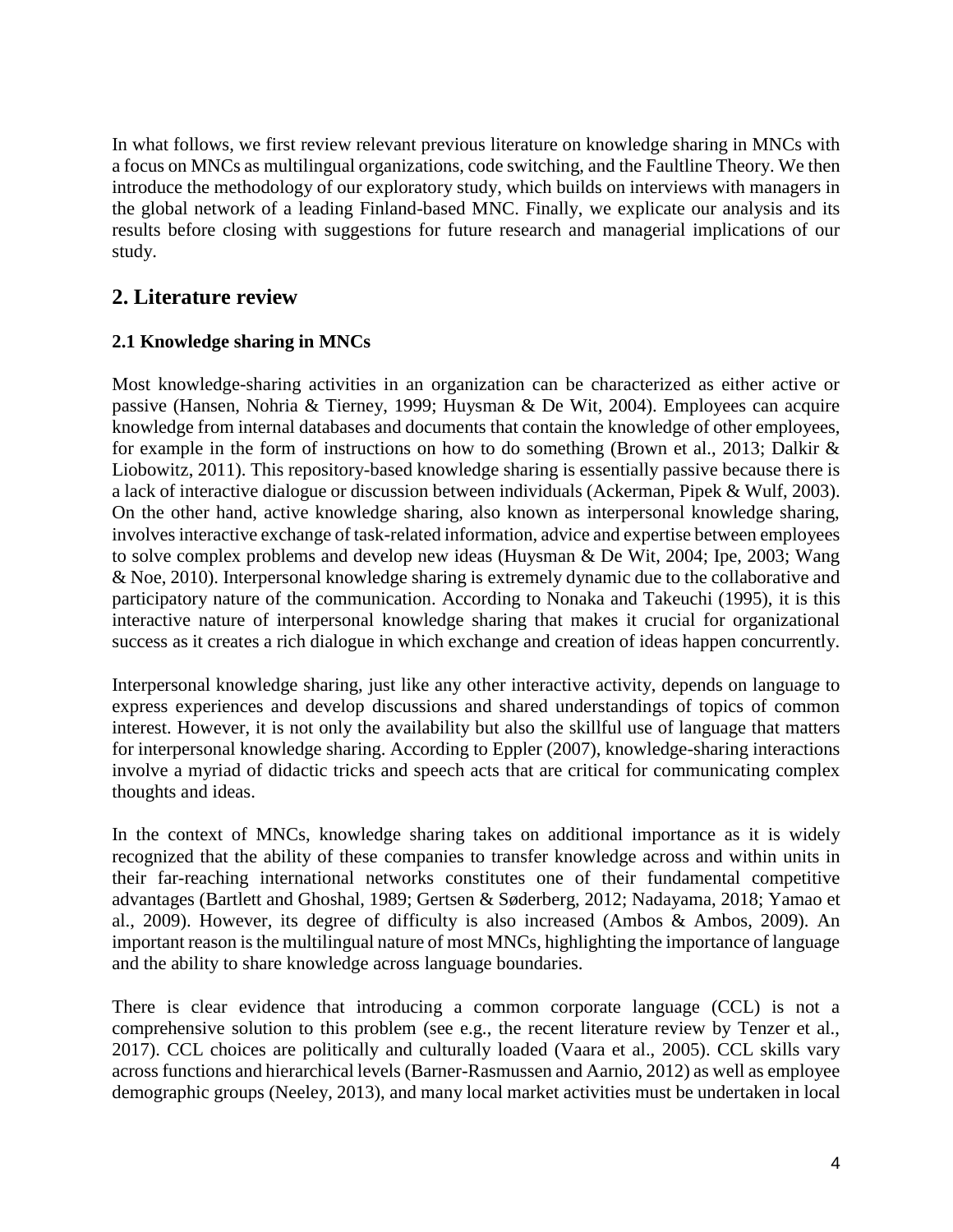In what follows, we first review relevant previous literature on knowledge sharing in MNCs with a focus on MNCs as multilingual organizations, code switching, and the Faultline Theory. We then introduce the methodology of our exploratory study, which builds on interviews with managers in the global network of a leading Finland-based MNC. Finally, we explicate our analysis and its results before closing with suggestions for future research and managerial implications of our study.

## **2. Literature review**

### **2.1 Knowledge sharing in MNCs**

Most knowledge-sharing activities in an organization can be characterized as either active or passive (Hansen, Nohria & Tierney, 1999; Huysman & De Wit, 2004). Employees can acquire knowledge from internal databases and documents that contain the knowledge of other employees, for example in the form of instructions on how to do something (Brown et al., 2013; Dalkir & Liobowitz, 2011). This repository-based knowledge sharing is essentially passive because there is a lack of interactive dialogue or discussion between individuals (Ackerman, Pipek & Wulf, 2003). On the other hand, active knowledge sharing, also known as interpersonal knowledge sharing, involves interactive exchange of task-related information, advice and expertise between employees to solve complex problems and develop new ideas (Huysman & De Wit, 2004; Ipe, 2003; Wang & Noe, 2010). Interpersonal knowledge sharing is extremely dynamic due to the collaborative and participatory nature of the communication. According to Nonaka and Takeuchi (1995), it is this interactive nature of interpersonal knowledge sharing that makes it crucial for organizational success as it creates a rich dialogue in which exchange and creation of ideas happen concurrently.

Interpersonal knowledge sharing, just like any other interactive activity, depends on language to express experiences and develop discussions and shared understandings of topics of common interest. However, it is not only the availability but also the skillful use of language that matters for interpersonal knowledge sharing. According to Eppler (2007), knowledge-sharing interactions involve a myriad of didactic tricks and speech acts that are critical for communicating complex thoughts and ideas.

In the context of MNCs, knowledge sharing takes on additional importance as it is widely recognized that the ability of these companies to transfer knowledge across and within units in their far-reaching international networks constitutes one of their fundamental competitive advantages (Bartlett and Ghoshal, 1989; Gertsen & Søderberg, 2012; Nadayama, 2018; Yamao et al., 2009). However, its degree of difficulty is also increased (Ambos & Ambos, 2009). An important reason is the multilingual nature of most MNCs, highlighting the importance of language and the ability to share knowledge across language boundaries.

There is clear evidence that introducing a common corporate language (CCL) is not a comprehensive solution to this problem (see e.g., the recent literature review by Tenzer et al., 2017). CCL choices are politically and culturally loaded (Vaara et al., 2005). CCL skills vary across functions and hierarchical levels (Barner-Rasmussen and Aarnio, 2012) as well as employee demographic groups (Neeley, 2013), and many local market activities must be undertaken in local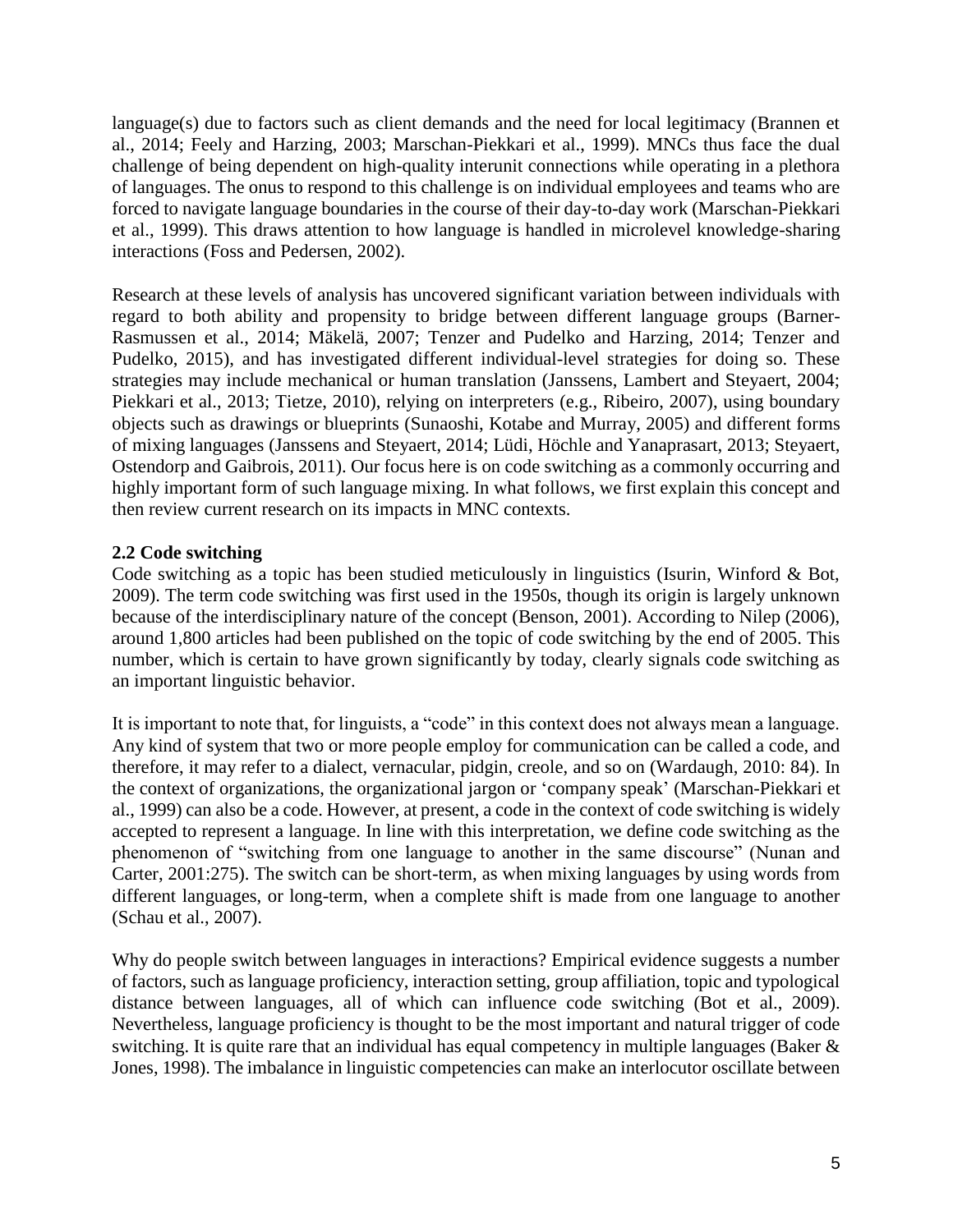language(s) due to factors such as client demands and the need for local legitimacy (Brannen et al., 2014; Feely and Harzing, 2003; Marschan-Piekkari et al., 1999). MNCs thus face the dual challenge of being dependent on high-quality interunit connections while operating in a plethora of languages. The onus to respond to this challenge is on individual employees and teams who are forced to navigate language boundaries in the course of their day-to-day work (Marschan-Piekkari et al., 1999). This draws attention to how language is handled in microlevel knowledge-sharing interactions (Foss and Pedersen, 2002).

Research at these levels of analysis has uncovered significant variation between individuals with regard to both ability and propensity to bridge between different language groups (Barner-Rasmussen et al., 2014; Mäkelä, 2007; Tenzer and Pudelko and Harzing, 2014; Tenzer and Pudelko, 2015), and has investigated different individual-level strategies for doing so. These strategies may include mechanical or human translation (Janssens, Lambert and Steyaert, 2004; Piekkari et al., 2013; Tietze, 2010), relying on interpreters (e.g., Ribeiro, 2007), using boundary objects such as drawings or blueprints (Sunaoshi, Kotabe and Murray, 2005) and different forms of mixing languages (Janssens and Steyaert, 2014; Lüdi, Höchle and Yanaprasart, 2013; Steyaert, Ostendorp and Gaibrois, 2011). Our focus here is on code switching as a commonly occurring and highly important form of such language mixing. In what follows, we first explain this concept and then review current research on its impacts in MNC contexts.

#### **2.2 Code switching**

Code switching as a topic has been studied meticulously in linguistics (Isurin, Winford & Bot, 2009). The term code switching was first used in the 1950s, though its origin is largely unknown because of the interdisciplinary nature of the concept (Benson, 2001). According to Nilep (2006), around 1,800 articles had been published on the topic of code switching by the end of 2005. This number, which is certain to have grown significantly by today, clearly signals code switching as an important linguistic behavior.

It is important to note that, for linguists, a "code" in this context does not always mean a language. Any kind of system that two or more people employ for communication can be called a code, and therefore, it may refer to a dialect, vernacular, pidgin, creole, and so on (Wardaugh, 2010: 84). In the context of organizations, the organizational jargon or 'company speak' (Marschan-Piekkari et al., 1999) can also be a code. However, at present, a code in the context of code switching is widely accepted to represent a language. In line with this interpretation, we define code switching as the phenomenon of "switching from one language to another in the same discourse" (Nunan and Carter, 2001:275). The switch can be short-term, as when mixing languages by using words from different languages, or long-term, when a complete shift is made from one language to another (Schau et al., 2007).

Why do people switch between languages in interactions? Empirical evidence suggests a number of factors, such as language proficiency, interaction setting, group affiliation, topic and typological distance between languages, all of which can influence code switching (Bot et al., 2009). Nevertheless, language proficiency is thought to be the most important and natural trigger of code switching. It is quite rare that an individual has equal competency in multiple languages (Baker  $\&$ Jones, 1998). The imbalance in linguistic competencies can make an interlocutor oscillate between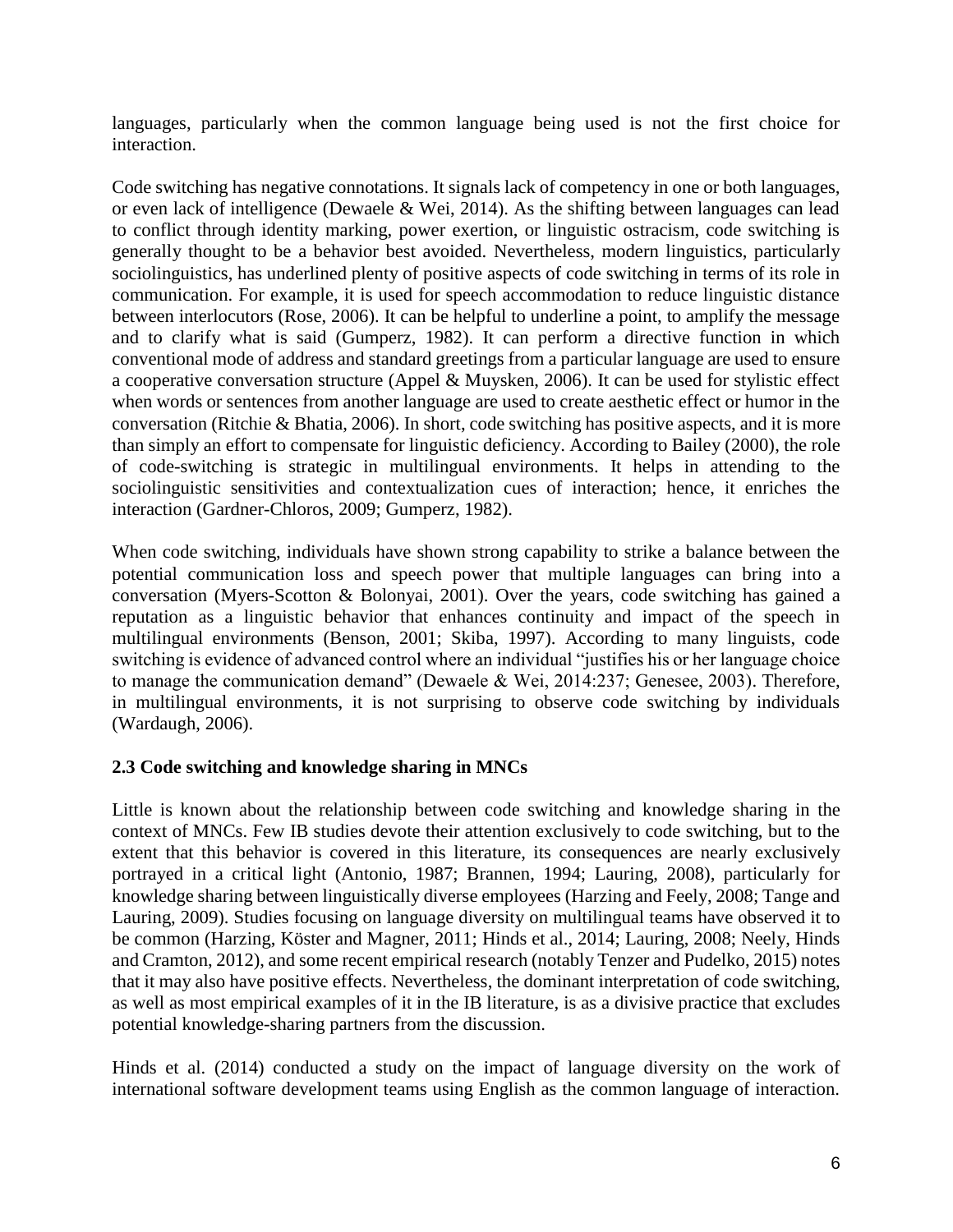languages, particularly when the common language being used is not the first choice for interaction.

Code switching has negative connotations. It signals lack of competency in one or both languages, or even lack of intelligence (Dewaele & Wei, 2014). As the shifting between languages can lead to conflict through identity marking, power exertion, or linguistic ostracism, code switching is generally thought to be a behavior best avoided. Nevertheless, modern linguistics, particularly sociolinguistics, has underlined plenty of positive aspects of code switching in terms of its role in communication. For example, it is used for speech accommodation to reduce linguistic distance between interlocutors (Rose, 2006). It can be helpful to underline a point, to amplify the message and to clarify what is said (Gumperz, 1982). It can perform a directive function in which conventional mode of address and standard greetings from a particular language are used to ensure a cooperative conversation structure (Appel & Muysken, 2006). It can be used for stylistic effect when words or sentences from another language are used to create aesthetic effect or humor in the conversation (Ritchie & Bhatia, 2006). In short, code switching has positive aspects, and it is more than simply an effort to compensate for linguistic deficiency. According to Bailey (2000), the role of code-switching is strategic in multilingual environments. It helps in attending to the sociolinguistic sensitivities and contextualization cues of interaction; hence, it enriches the interaction (Gardner-Chloros, 2009; Gumperz, 1982).

When code switching, individuals have shown strong capability to strike a balance between the potential communication loss and speech power that multiple languages can bring into a conversation (Myers-Scotton & Bolonyai, 2001). Over the years, code switching has gained a reputation as a linguistic behavior that enhances continuity and impact of the speech in multilingual environments (Benson, 2001; Skiba, 1997). According to many linguists, code switching is evidence of advanced control where an individual "justifies his or her language choice to manage the communication demand" (Dewaele & Wei, 2014:237; Genesee, 2003). Therefore, in multilingual environments, it is not surprising to observe code switching by individuals (Wardaugh, 2006).

#### **2.3 Code switching and knowledge sharing in MNCs**

Little is known about the relationship between code switching and knowledge sharing in the context of MNCs. Few IB studies devote their attention exclusively to code switching, but to the extent that this behavior is covered in this literature, its consequences are nearly exclusively portrayed in a critical light (Antonio, 1987; Brannen, 1994; Lauring, 2008), particularly for knowledge sharing between linguistically diverse employees (Harzing and Feely, 2008; Tange and Lauring, 2009). Studies focusing on language diversity on multilingual teams have observed it to be common (Harzing, Köster and Magner, 2011; Hinds et al., 2014; Lauring, 2008; Neely, Hinds and Cramton, 2012), and some recent empirical research (notably Tenzer and Pudelko, 2015) notes that it may also have positive effects. Nevertheless, the dominant interpretation of code switching, as well as most empirical examples of it in the IB literature, is as a divisive practice that excludes potential knowledge-sharing partners from the discussion.

Hinds et al. (2014) conducted a study on the impact of language diversity on the work of international software development teams using English as the common language of interaction.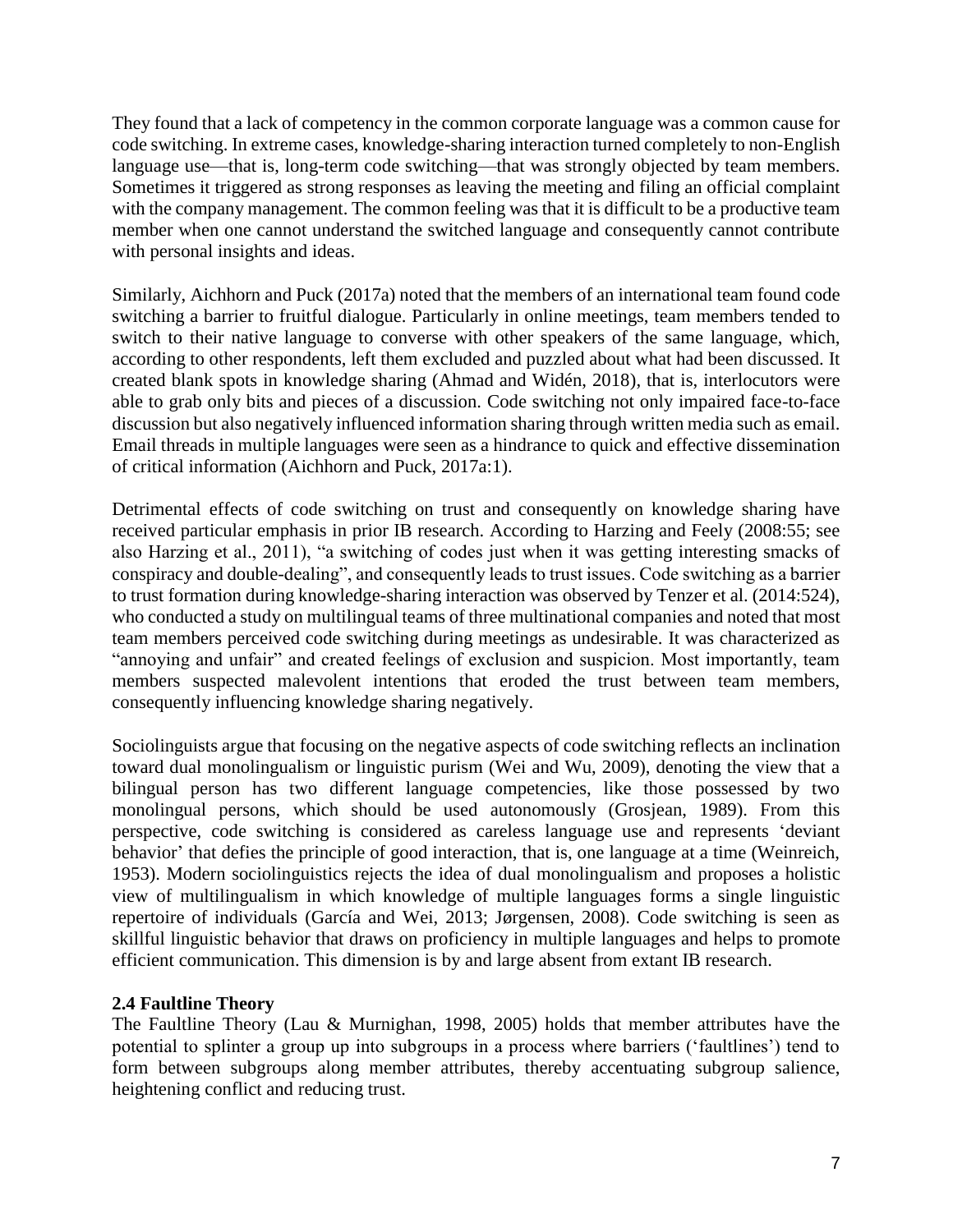They found that a lack of competency in the common corporate language was a common cause for code switching. In extreme cases, knowledge-sharing interaction turned completely to non-English language use—that is, long-term code switching—that was strongly objected by team members. Sometimes it triggered as strong responses as leaving the meeting and filing an official complaint with the company management. The common feeling was that it is difficult to be a productive team member when one cannot understand the switched language and consequently cannot contribute with personal insights and ideas.

Similarly, Aichhorn and Puck (2017a) noted that the members of an international team found code switching a barrier to fruitful dialogue. Particularly in online meetings, team members tended to switch to their native language to converse with other speakers of the same language, which, according to other respondents, left them excluded and puzzled about what had been discussed. It created blank spots in knowledge sharing (Ahmad and Widén, 2018), that is, interlocutors were able to grab only bits and pieces of a discussion. Code switching not only impaired face-to-face discussion but also negatively influenced information sharing through written media such as email. Email threads in multiple languages were seen as a hindrance to quick and effective dissemination of critical information (Aichhorn and Puck, 2017a:1).

Detrimental effects of code switching on trust and consequently on knowledge sharing have received particular emphasis in prior IB research. According to Harzing and Feely (2008:55; see also Harzing et al., 2011), "a switching of codes just when it was getting interesting smacks of conspiracy and double-dealing", and consequently leads to trust issues. Code switching as a barrier to trust formation during knowledge-sharing interaction was observed by Tenzer et al. (2014:524), who conducted a study on multilingual teams of three multinational companies and noted that most team members perceived code switching during meetings as undesirable. It was characterized as "annoying and unfair" and created feelings of exclusion and suspicion. Most importantly, team members suspected malevolent intentions that eroded the trust between team members, consequently influencing knowledge sharing negatively.

Sociolinguists argue that focusing on the negative aspects of code switching reflects an inclination toward dual monolingualism or linguistic purism (Wei and Wu, 2009), denoting the view that a bilingual person has two different language competencies, like those possessed by two monolingual persons, which should be used autonomously (Grosjean, 1989). From this perspective, code switching is considered as careless language use and represents 'deviant behavior' that defies the principle of good interaction, that is, one language at a time (Weinreich, 1953). Modern sociolinguistics rejects the idea of dual monolingualism and proposes a holistic view of multilingualism in which knowledge of multiple languages forms a single linguistic repertoire of individuals (García and Wei, 2013; Jørgensen, 2008). Code switching is seen as skillful linguistic behavior that draws on proficiency in multiple languages and helps to promote efficient communication. This dimension is by and large absent from extant IB research.

#### **2.4 Faultline Theory**

The Faultline Theory (Lau & Murnighan, 1998, 2005) holds that member attributes have the potential to splinter a group up into subgroups in a process where barriers ('faultlines') tend to form between subgroups along member attributes, thereby accentuating subgroup salience, heightening conflict and reducing trust.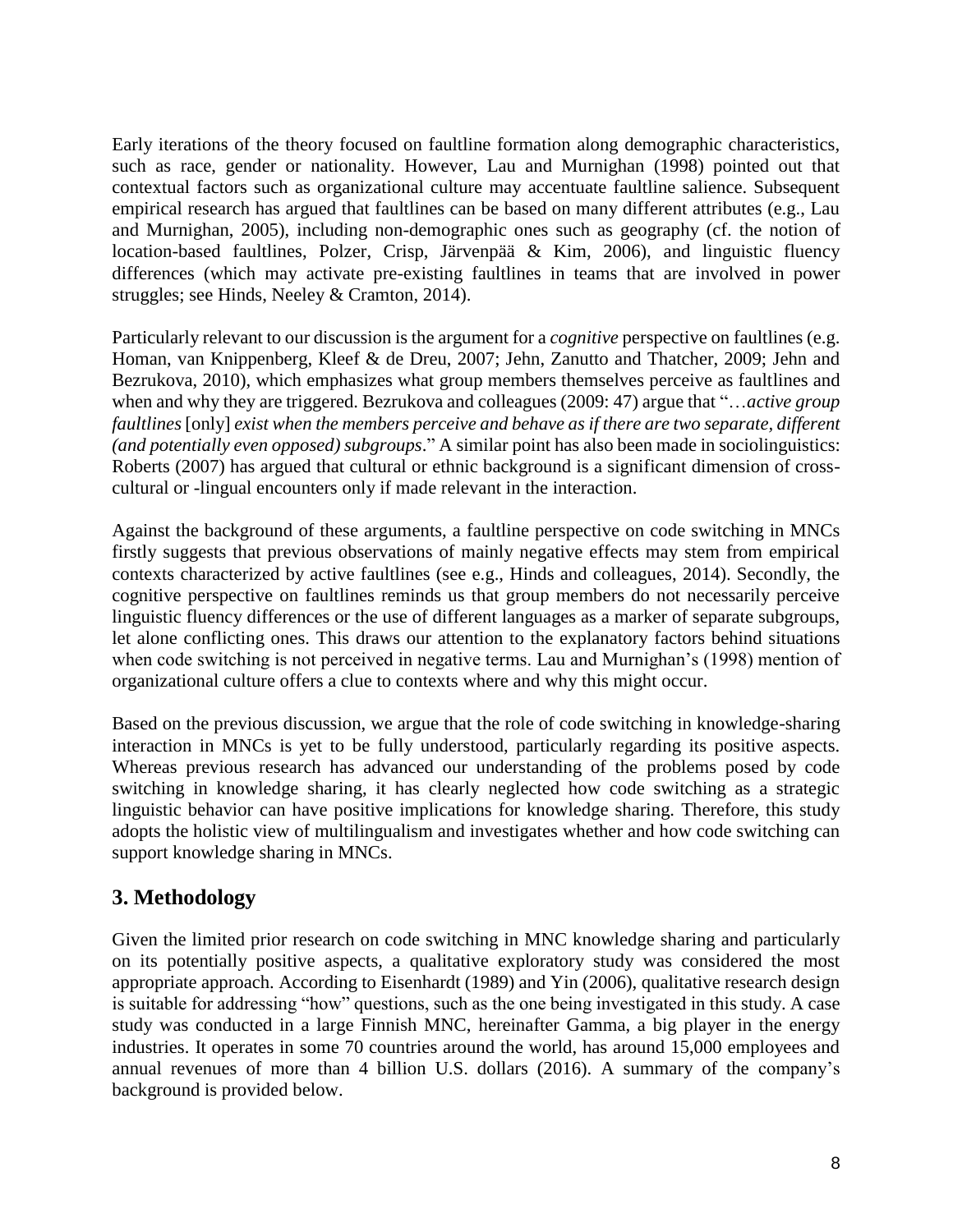Early iterations of the theory focused on faultline formation along demographic characteristics, such as race, gender or nationality. However, Lau and Murnighan (1998) pointed out that contextual factors such as organizational culture may accentuate faultline salience. Subsequent empirical research has argued that faultlines can be based on many different attributes (e.g., Lau and Murnighan, 2005), including non-demographic ones such as geography (cf. the notion of location-based faultlines, Polzer, Crisp, Järvenpää & Kim, 2006), and linguistic fluency differences (which may activate pre-existing faultlines in teams that are involved in power struggles; see Hinds, Neeley & Cramton, 2014).

Particularly relevant to our discussion is the argument for a *cognitive* perspective on faultlines (e.g. Homan, van Knippenberg, Kleef & de Dreu, 2007; Jehn, Zanutto and Thatcher, 2009; Jehn and Bezrukova, 2010), which emphasizes what group members themselves perceive as faultlines and when and why they are triggered. Bezrukova and colleagues (2009: 47) argue that "…*active group faultlines* [only] *exist when the members perceive and behave as if there are two separate, different (and potentially even opposed) subgroups*." A similar point has also been made in sociolinguistics: Roberts (2007) has argued that cultural or ethnic background is a significant dimension of crosscultural or -lingual encounters only if made relevant in the interaction.

Against the background of these arguments, a faultline perspective on code switching in MNCs firstly suggests that previous observations of mainly negative effects may stem from empirical contexts characterized by active faultlines (see e.g., Hinds and colleagues, 2014). Secondly, the cognitive perspective on faultlines reminds us that group members do not necessarily perceive linguistic fluency differences or the use of different languages as a marker of separate subgroups, let alone conflicting ones. This draws our attention to the explanatory factors behind situations when code switching is not perceived in negative terms. Lau and Murnighan's (1998) mention of organizational culture offers a clue to contexts where and why this might occur.

Based on the previous discussion, we argue that the role of code switching in knowledge-sharing interaction in MNCs is yet to be fully understood, particularly regarding its positive aspects. Whereas previous research has advanced our understanding of the problems posed by code switching in knowledge sharing, it has clearly neglected how code switching as a strategic linguistic behavior can have positive implications for knowledge sharing. Therefore, this study adopts the holistic view of multilingualism and investigates whether and how code switching can support knowledge sharing in MNCs.

### **3. Methodology**

Given the limited prior research on code switching in MNC knowledge sharing and particularly on its potentially positive aspects, a qualitative exploratory study was considered the most appropriate approach. According to Eisenhardt (1989) and Yin (2006), qualitative research design is suitable for addressing "how" questions, such as the one being investigated in this study. A case study was conducted in a large Finnish MNC, hereinafter Gamma, a big player in the energy industries. It operates in some 70 countries around the world, has around 15,000 employees and annual revenues of more than 4 billion U.S. dollars (2016). A summary of the company's background is provided below.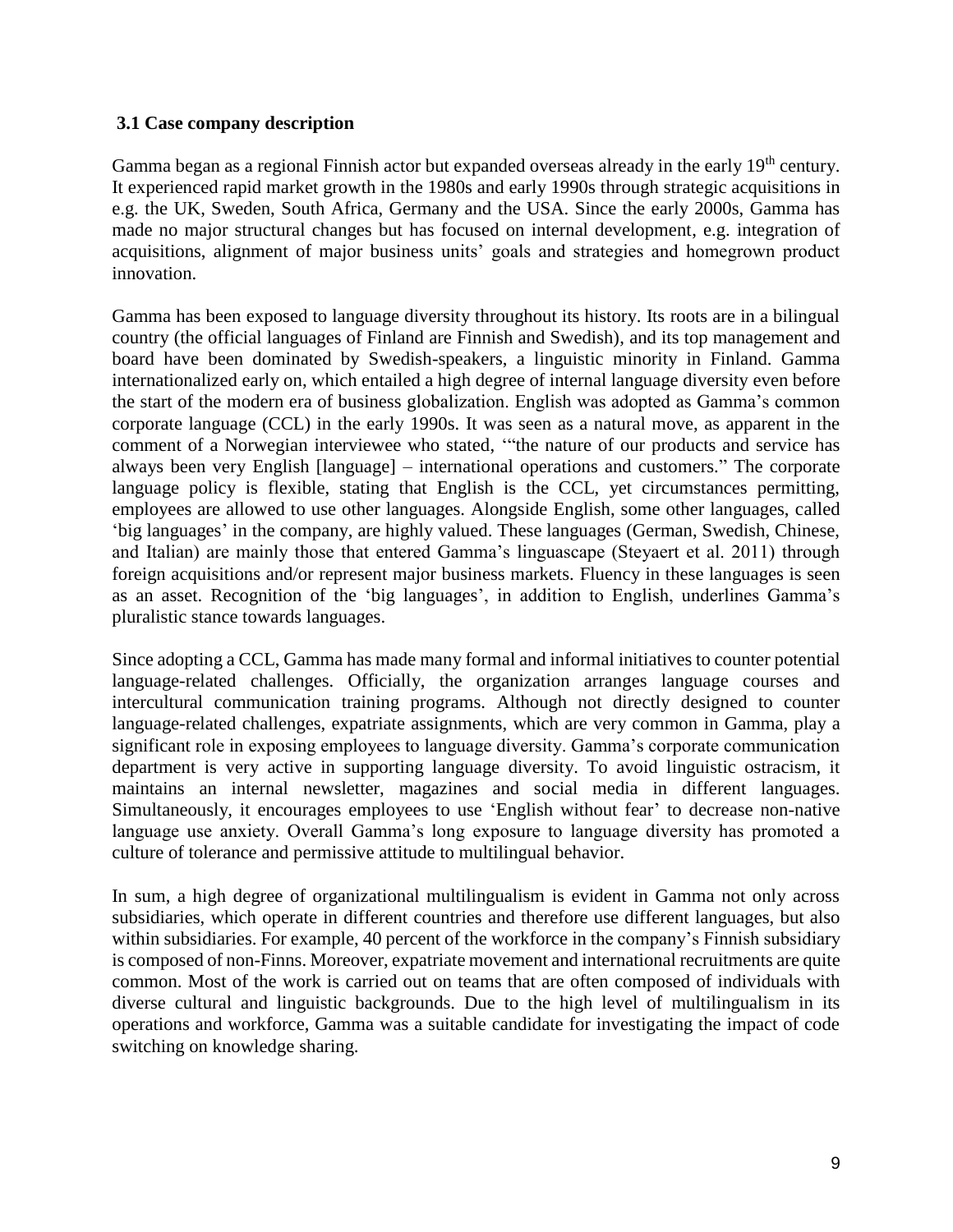#### **3.1 Case company description**

Gamma began as a regional Finnish actor but expanded overseas already in the early 19<sup>th</sup> century. It experienced rapid market growth in the 1980s and early 1990s through strategic acquisitions in e.g. the UK, Sweden, South Africa, Germany and the USA. Since the early 2000s, Gamma has made no major structural changes but has focused on internal development, e.g. integration of acquisitions, alignment of major business units' goals and strategies and homegrown product innovation.

Gamma has been exposed to language diversity throughout its history. Its roots are in a bilingual country (the official languages of Finland are Finnish and Swedish), and its top management and board have been dominated by Swedish-speakers, a linguistic minority in Finland. Gamma internationalized early on, which entailed a high degree of internal language diversity even before the start of the modern era of business globalization. English was adopted as Gamma's common corporate language (CCL) in the early 1990s. It was seen as a natural move, as apparent in the comment of a Norwegian interviewee who stated, '"the nature of our products and service has always been very English [language] – international operations and customers." The corporate language policy is flexible, stating that English is the CCL, yet circumstances permitting, employees are allowed to use other languages. Alongside English, some other languages, called 'big languages' in the company, are highly valued. These languages (German, Swedish, Chinese, and Italian) are mainly those that entered Gamma's linguascape (Steyaert et al. 2011) through foreign acquisitions and/or represent major business markets. Fluency in these languages is seen as an asset. Recognition of the 'big languages', in addition to English, underlines Gamma's pluralistic stance towards languages.

Since adopting a CCL, Gamma has made many formal and informal initiatives to counter potential language-related challenges. Officially, the organization arranges language courses and intercultural communication training programs. Although not directly designed to counter language-related challenges, expatriate assignments, which are very common in Gamma, play a significant role in exposing employees to language diversity. Gamma's corporate communication department is very active in supporting language diversity. To avoid linguistic ostracism, it maintains an internal newsletter, magazines and social media in different languages. Simultaneously, it encourages employees to use 'English without fear' to decrease non-native language use anxiety. Overall Gamma's long exposure to language diversity has promoted a culture of tolerance and permissive attitude to multilingual behavior.

In sum, a high degree of organizational multilingualism is evident in Gamma not only across subsidiaries, which operate in different countries and therefore use different languages, but also within subsidiaries. For example, 40 percent of the workforce in the company's Finnish subsidiary is composed of non-Finns. Moreover, expatriate movement and international recruitments are quite common. Most of the work is carried out on teams that are often composed of individuals with diverse cultural and linguistic backgrounds. Due to the high level of multilingualism in its operations and workforce, Gamma was a suitable candidate for investigating the impact of code switching on knowledge sharing.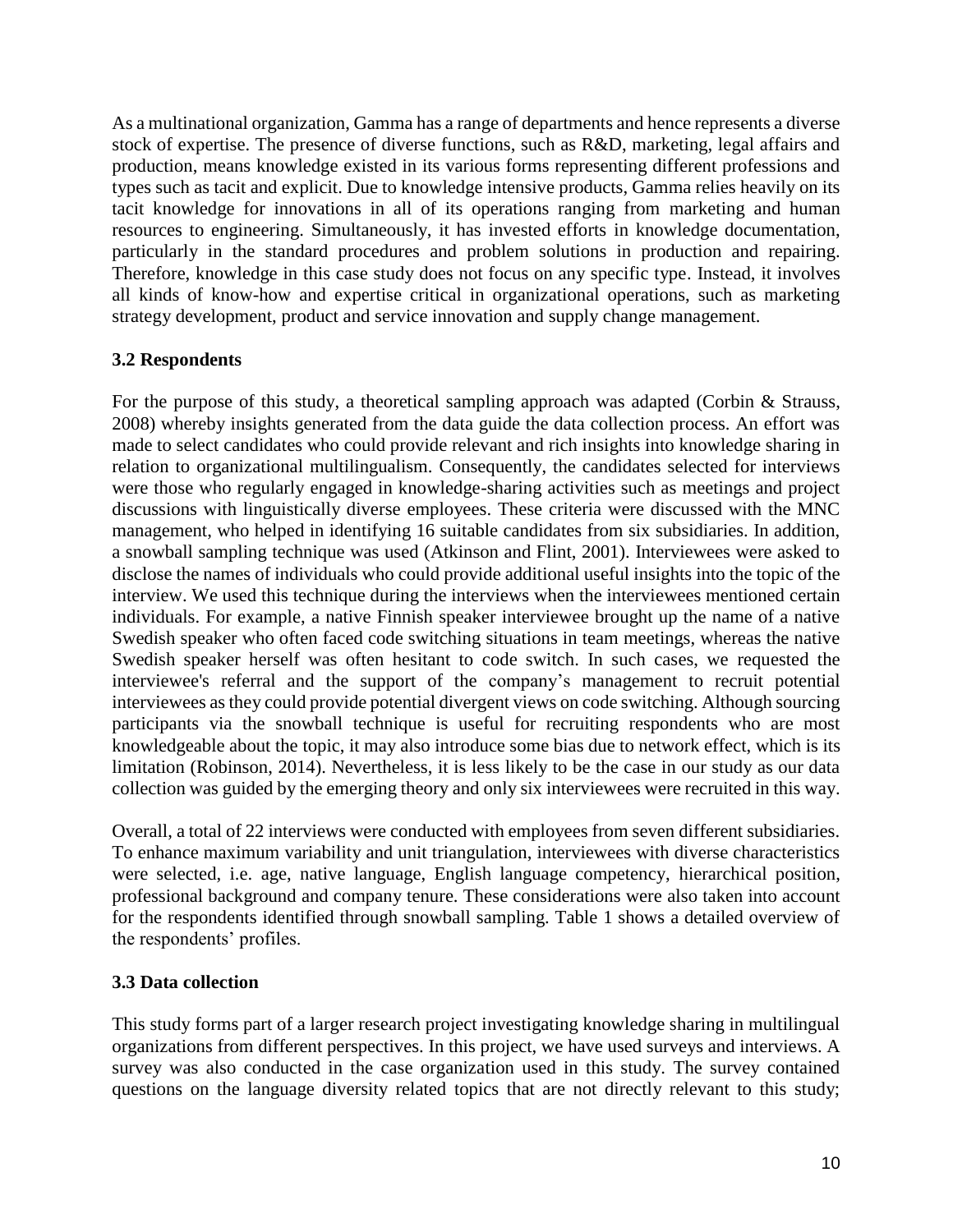As a multinational organization, Gamma has a range of departments and hence represents a diverse stock of expertise. The presence of diverse functions, such as R&D, marketing, legal affairs and production, means knowledge existed in its various forms representing different professions and types such as tacit and explicit. Due to knowledge intensive products, Gamma relies heavily on its tacit knowledge for innovations in all of its operations ranging from marketing and human resources to engineering. Simultaneously, it has invested efforts in knowledge documentation, particularly in the standard procedures and problem solutions in production and repairing. Therefore, knowledge in this case study does not focus on any specific type. Instead, it involves all kinds of know-how and expertise critical in organizational operations, such as marketing strategy development, product and service innovation and supply change management.

### **3.2 Respondents**

For the purpose of this study, a theoretical sampling approach was adapted (Corbin & Strauss, 2008) whereby insights generated from the data guide the data collection process. An effort was made to select candidates who could provide relevant and rich insights into knowledge sharing in relation to organizational multilingualism. Consequently, the candidates selected for interviews were those who regularly engaged in knowledge-sharing activities such as meetings and project discussions with linguistically diverse employees. These criteria were discussed with the MNC management, who helped in identifying 16 suitable candidates from six subsidiaries. In addition, a snowball sampling technique was used (Atkinson and Flint, 2001). Interviewees were asked to disclose the names of individuals who could provide additional useful insights into the topic of the interview. We used this technique during the interviews when the interviewees mentioned certain individuals. For example, a native Finnish speaker interviewee brought up the name of a native Swedish speaker who often faced code switching situations in team meetings, whereas the native Swedish speaker herself was often hesitant to code switch. In such cases, we requested the interviewee's referral and the support of the company's management to recruit potential interviewees as they could provide potential divergent views on code switching. Although sourcing participants via the snowball technique is useful for recruiting respondents who are most knowledgeable about the topic, it may also introduce some bias due to network effect, which is its limitation (Robinson, 2014). Nevertheless, it is less likely to be the case in our study as our data collection was guided by the emerging theory and only six interviewees were recruited in this way.

Overall, a total of 22 interviews were conducted with employees from seven different subsidiaries. To enhance maximum variability and unit triangulation, interviewees with diverse characteristics were selected, i.e. age, native language, English language competency, hierarchical position, professional background and company tenure. These considerations were also taken into account for the respondents identified through snowball sampling. Table 1 shows a detailed overview of the respondents' profiles.

#### **3.3 Data collection**

This study forms part of a larger research project investigating knowledge sharing in multilingual organizations from different perspectives. In this project, we have used surveys and interviews. A survey was also conducted in the case organization used in this study. The survey contained questions on the language diversity related topics that are not directly relevant to this study;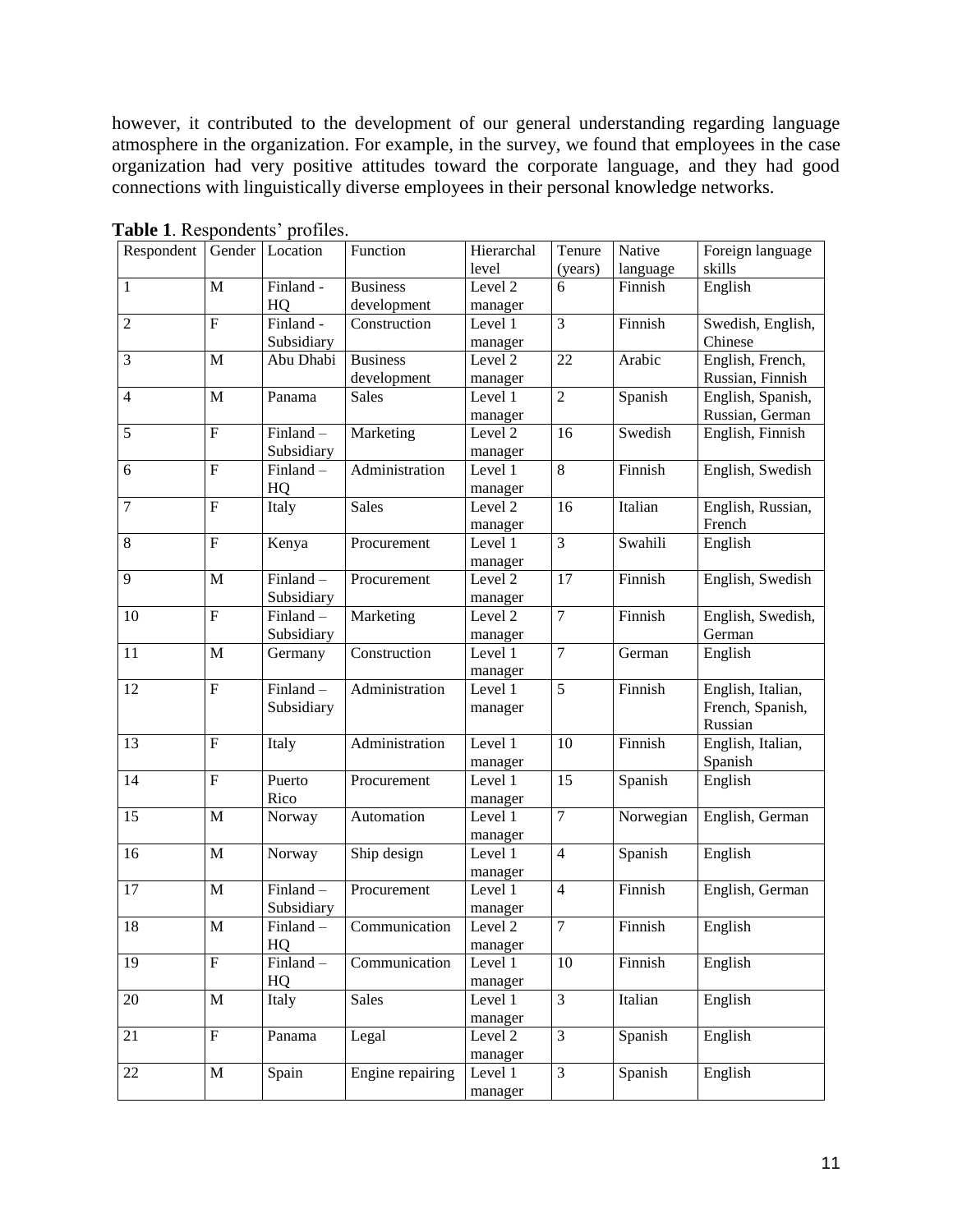however, it contributed to the development of our general understanding regarding language atmosphere in the organization. For example, in the survey, we found that employees in the case organization had very positive attitudes toward the corporate language, and they had good connections with linguistically diverse employees in their personal knowledge networks.

| Respondent   Gender   Location |                |            | Function         | Hierarchal         | Tenure           | Native    | Foreign language  |
|--------------------------------|----------------|------------|------------------|--------------------|------------------|-----------|-------------------|
|                                |                |            |                  | level              | (years)          | language  | skills            |
| 1                              | M              | Finland -  | <b>Business</b>  | Level 2            | 6                | Finnish   | English           |
|                                |                | HQ         | development      | manager            |                  |           |                   |
| $\overline{2}$                 | $\overline{F}$ | Finland -  | Construction     | Level 1            | $\overline{3}$   | Finnish   | Swedish, English, |
|                                |                | Subsidiary |                  | manager            |                  |           | Chinese           |
| 3                              | $\mathbf M$    | Abu Dhabi  | <b>Business</b>  | Level 2            | 22               | Arabic    | English, French,  |
|                                |                |            | development      | manager            |                  |           | Russian, Finnish  |
| 4                              | $\mathbf M$    | Panama     | Sales            | Level 1            | $\overline{c}$   | Spanish   | English, Spanish, |
|                                |                |            |                  | manager            |                  |           | Russian, German   |
| 5                              | $\overline{F}$ | Finland-   | Marketing        | Level 2            | 16               | Swedish   | English, Finnish  |
|                                |                | Subsidiary |                  | manager            |                  |           |                   |
| 6                              | $\overline{F}$ | Finland-   | Administration   | Level 1            | $8\,$            | Finnish   | English, Swedish  |
|                                |                | HQ         |                  | manager            |                  |           |                   |
| 7                              | $\overline{F}$ | Italy      | <b>Sales</b>     | Level 2            | 16               | Italian   | English, Russian, |
|                                |                |            |                  | manager            |                  |           | French            |
| 8                              | $\overline{F}$ | Kenya      | Procurement      | Level 1            | 3                | Swahili   | English           |
|                                |                |            |                  | manager            |                  |           |                   |
| 9                              | $\mathbf{M}$   | Finland-   | Procurement      | Level 2            | 17               | Finnish   | English, Swedish  |
|                                |                | Subsidiary |                  | manager            |                  |           |                   |
| 10                             | $\overline{F}$ | Finland-   | Marketing        | Level 2            | $\overline{7}$   | Finnish   | English, Swedish, |
|                                |                | Subsidiary |                  |                    |                  |           | German            |
| 11                             | $\mathbf{M}$   |            | Construction     | manager<br>Level 1 | $\overline{7}$   | German    | English           |
|                                |                | Germany    |                  |                    |                  |           |                   |
| 12                             | $\overline{F}$ | Finland-   | Administration   | manager<br>Level 1 | 5                | Finnish   | English, Italian, |
|                                |                |            |                  |                    |                  |           |                   |
|                                |                | Subsidiary |                  | manager            |                  |           | French, Spanish,  |
| 13                             | $\overline{F}$ |            |                  |                    | 10               | Finnish   | Russian           |
|                                |                | Italy      | Administration   | Level 1            |                  |           | English, Italian, |
|                                |                |            |                  | manager            |                  |           | Spanish           |
| 14                             | $\overline{F}$ | Puerto     | Procurement      | Level 1            | 15               | Spanish   | English           |
|                                |                | Rico       |                  | manager            |                  |           |                   |
| 15                             | $\mathbf{M}$   | Norway     | Automation       | Level 1            | $\tau$           | Norwegian | English, German   |
|                                |                |            |                  | manager            |                  |           |                   |
| 16                             | $\mathbf M$    | Norway     | Ship design      | Level 1            | $\overline{4}$   | Spanish   | English           |
|                                |                |            |                  | manager            |                  |           |                   |
| 17                             | $\mathbf{M}$   | Finland-   | Procurement      | Level 1            | $\overline{4}$   | Finnish   | English, German   |
|                                |                | Subsidiary |                  | manager            |                  |           |                   |
| 18                             | $\mathbf{M}$   | Finland-   | Communication    | Level 2            | $\boldsymbol{7}$ | Finnish   | English           |
|                                |                | HQ         |                  | manager            |                  |           |                   |
| 19                             | $\overline{F}$ | Finland-   | Communication    | Level 1            | 10               | Finnish   | English           |
|                                |                | HQ         |                  | manager            |                  |           |                   |
| 20                             | $\mathbf M$    | Italy      | <b>Sales</b>     | Level 1            | $\overline{3}$   | Italian   | English           |
|                                |                |            |                  | manager            |                  |           |                   |
| 21                             | $\mathbf F$    | Panama     | Legal            | Level 2            | 3                | Spanish   | English           |
|                                |                |            |                  | manager            |                  |           |                   |
| 22                             | $\mathbf M$    | Spain      | Engine repairing | Level 1            | $\overline{3}$   | Spanish   | English           |
|                                |                |            |                  | manager            |                  |           |                   |
|                                |                |            |                  |                    |                  |           |                   |

**Table 1**. Respondents' profiles.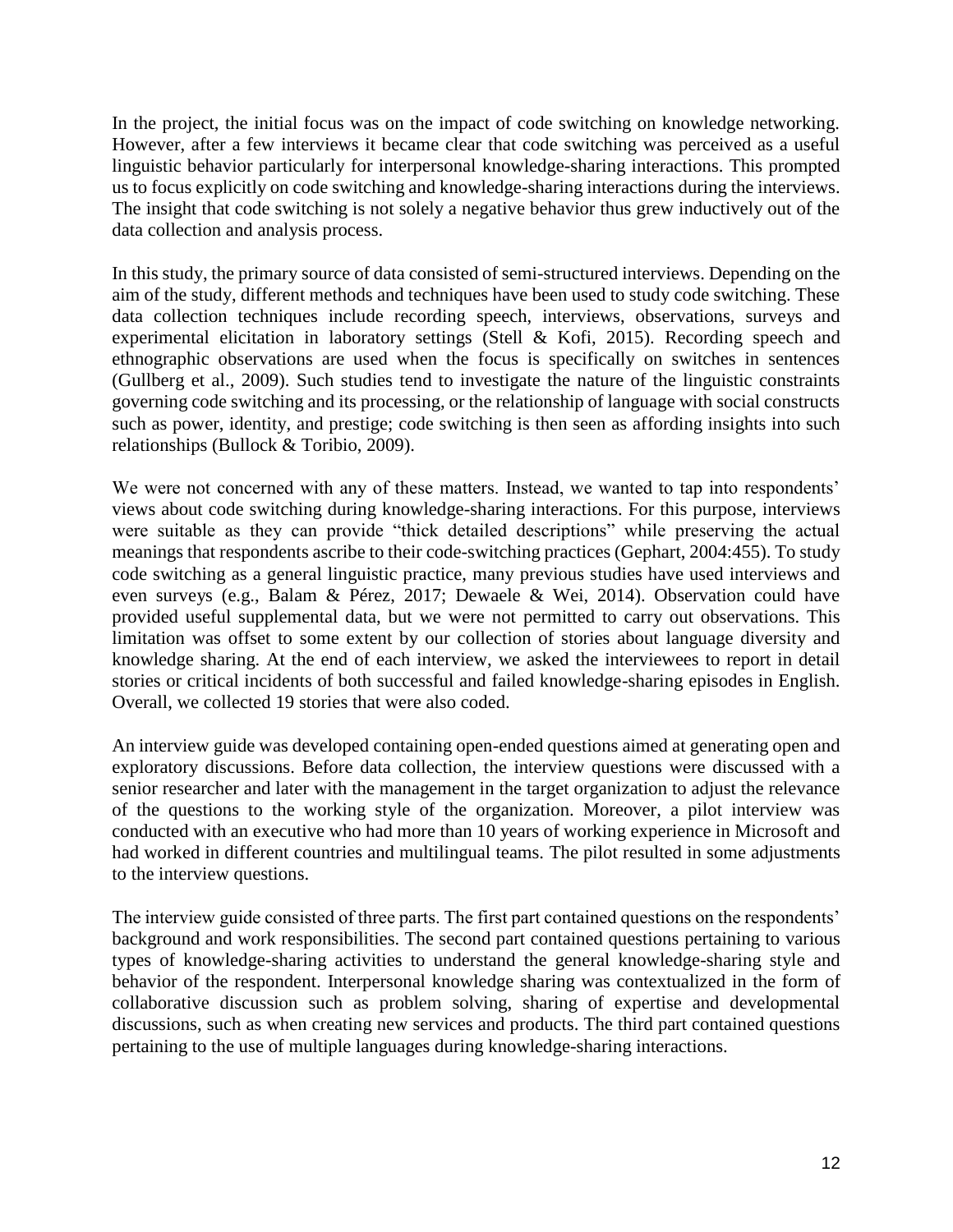In the project, the initial focus was on the impact of code switching on knowledge networking. However, after a few interviews it became clear that code switching was perceived as a useful linguistic behavior particularly for interpersonal knowledge-sharing interactions. This prompted us to focus explicitly on code switching and knowledge-sharing interactions during the interviews. The insight that code switching is not solely a negative behavior thus grew inductively out of the data collection and analysis process.

In this study, the primary source of data consisted of semi-structured interviews. Depending on the aim of the study, different methods and techniques have been used to study code switching. These data collection techniques include recording speech, interviews, observations, surveys and experimental elicitation in laboratory settings (Stell & Kofi, 2015). Recording speech and ethnographic observations are used when the focus is specifically on switches in sentences (Gullberg et al., 2009). Such studies tend to investigate the nature of the linguistic constraints governing code switching and its processing, or the relationship of language with social constructs such as power, identity, and prestige; code switching is then seen as affording insights into such relationships (Bullock & Toribio, 2009).

We were not concerned with any of these matters. Instead, we wanted to tap into respondents' views about code switching during knowledge-sharing interactions. For this purpose, interviews were suitable as they can provide "thick detailed descriptions" while preserving the actual meanings that respondents ascribe to their code-switching practices (Gephart, 2004:455). To study code switching as a general linguistic practice, many previous studies have used interviews and even surveys (e.g., Balam & Pérez, 2017; Dewaele & Wei, 2014). Observation could have provided useful supplemental data, but we were not permitted to carry out observations. This limitation was offset to some extent by our collection of stories about language diversity and knowledge sharing. At the end of each interview, we asked the interviewees to report in detail stories or critical incidents of both successful and failed knowledge-sharing episodes in English. Overall, we collected 19 stories that were also coded.

An interview guide was developed containing open-ended questions aimed at generating open and exploratory discussions. Before data collection, the interview questions were discussed with a senior researcher and later with the management in the target organization to adjust the relevance of the questions to the working style of the organization. Moreover, a pilot interview was conducted with an executive who had more than 10 years of working experience in Microsoft and had worked in different countries and multilingual teams. The pilot resulted in some adjustments to the interview questions.

The interview guide consisted of three parts. The first part contained questions on the respondents' background and work responsibilities. The second part contained questions pertaining to various types of knowledge-sharing activities to understand the general knowledge-sharing style and behavior of the respondent. Interpersonal knowledge sharing was contextualized in the form of collaborative discussion such as problem solving, sharing of expertise and developmental discussions, such as when creating new services and products. The third part contained questions pertaining to the use of multiple languages during knowledge-sharing interactions.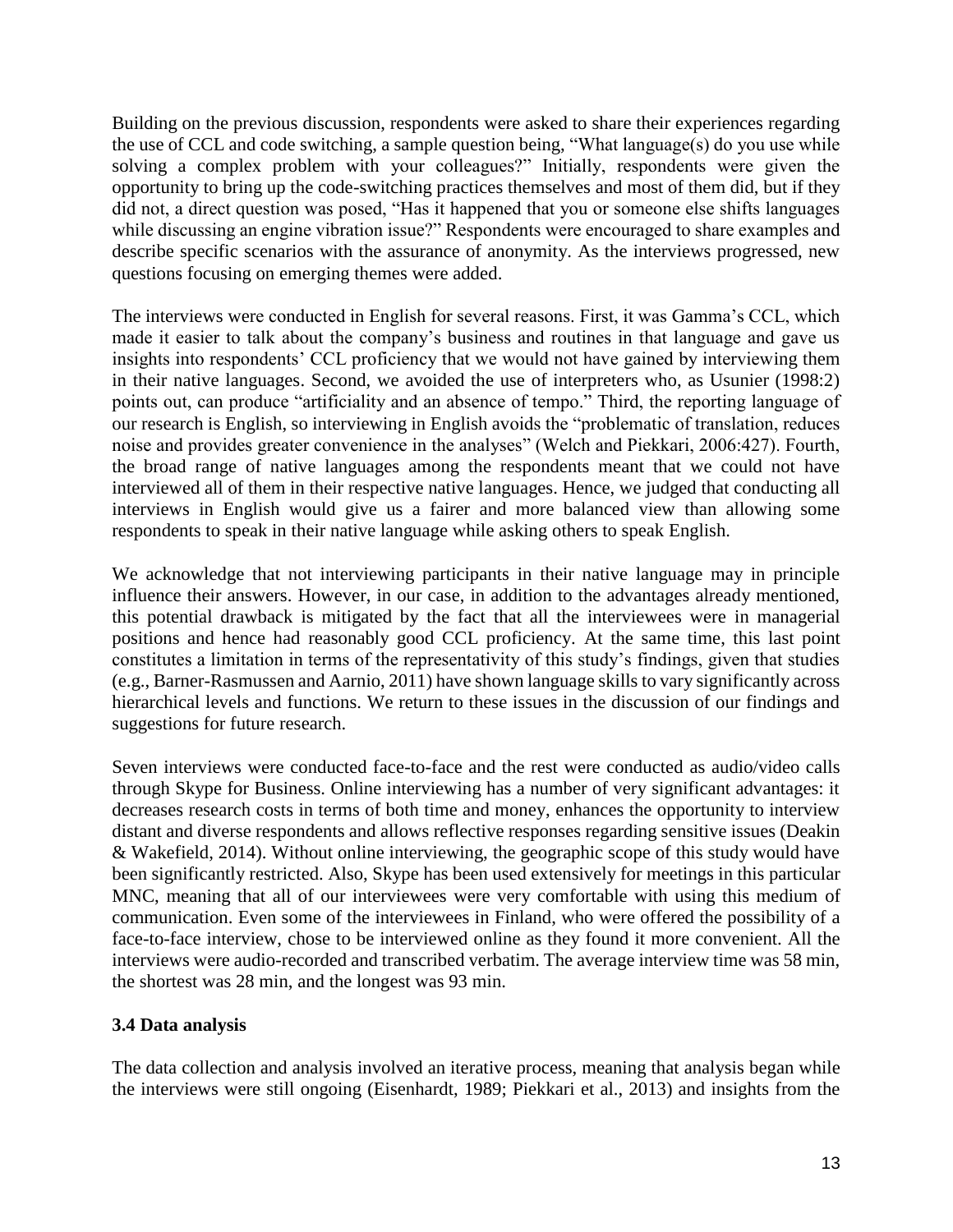Building on the previous discussion, respondents were asked to share their experiences regarding the use of CCL and code switching, a sample question being, "What language(s) do you use while solving a complex problem with your colleagues?" Initially, respondents were given the opportunity to bring up the code-switching practices themselves and most of them did, but if they did not, a direct question was posed, "Has it happened that you or someone else shifts languages while discussing an engine vibration issue?" Respondents were encouraged to share examples and describe specific scenarios with the assurance of anonymity. As the interviews progressed, new questions focusing on emerging themes were added.

The interviews were conducted in English for several reasons. First, it was Gamma's CCL, which made it easier to talk about the company's business and routines in that language and gave us insights into respondents' CCL proficiency that we would not have gained by interviewing them in their native languages. Second, we avoided the use of interpreters who, as Usunier (1998:2) points out, can produce "artificiality and an absence of tempo." Third, the reporting language of our research is English, so interviewing in English avoids the "problematic of translation, reduces noise and provides greater convenience in the analyses" (Welch and Piekkari, 2006:427). Fourth, the broad range of native languages among the respondents meant that we could not have interviewed all of them in their respective native languages. Hence, we judged that conducting all interviews in English would give us a fairer and more balanced view than allowing some respondents to speak in their native language while asking others to speak English.

We acknowledge that not interviewing participants in their native language may in principle influence their answers. However, in our case, in addition to the advantages already mentioned, this potential drawback is mitigated by the fact that all the interviewees were in managerial positions and hence had reasonably good CCL proficiency. At the same time, this last point constitutes a limitation in terms of the representativity of this study's findings, given that studies (e.g., Barner-Rasmussen and Aarnio, 2011) have shown language skills to vary significantly across hierarchical levels and functions. We return to these issues in the discussion of our findings and suggestions for future research.

Seven interviews were conducted face-to-face and the rest were conducted as audio/video calls through Skype for Business. Online interviewing has a number of very significant advantages: it decreases research costs in terms of both time and money, enhances the opportunity to interview distant and diverse respondents and allows reflective responses regarding sensitive issues (Deakin & Wakefield, 2014). Without online interviewing, the geographic scope of this study would have been significantly restricted. Also, Skype has been used extensively for meetings in this particular MNC, meaning that all of our interviewees were very comfortable with using this medium of communication. Even some of the interviewees in Finland, who were offered the possibility of a face-to-face interview, chose to be interviewed online as they found it more convenient. All the interviews were audio-recorded and transcribed verbatim. The average interview time was 58 min, the shortest was 28 min, and the longest was 93 min.

#### **3.4 Data analysis**

The data collection and analysis involved an iterative process, meaning that analysis began while the interviews were still ongoing (Eisenhardt, 1989; Piekkari et al., 2013) and insights from the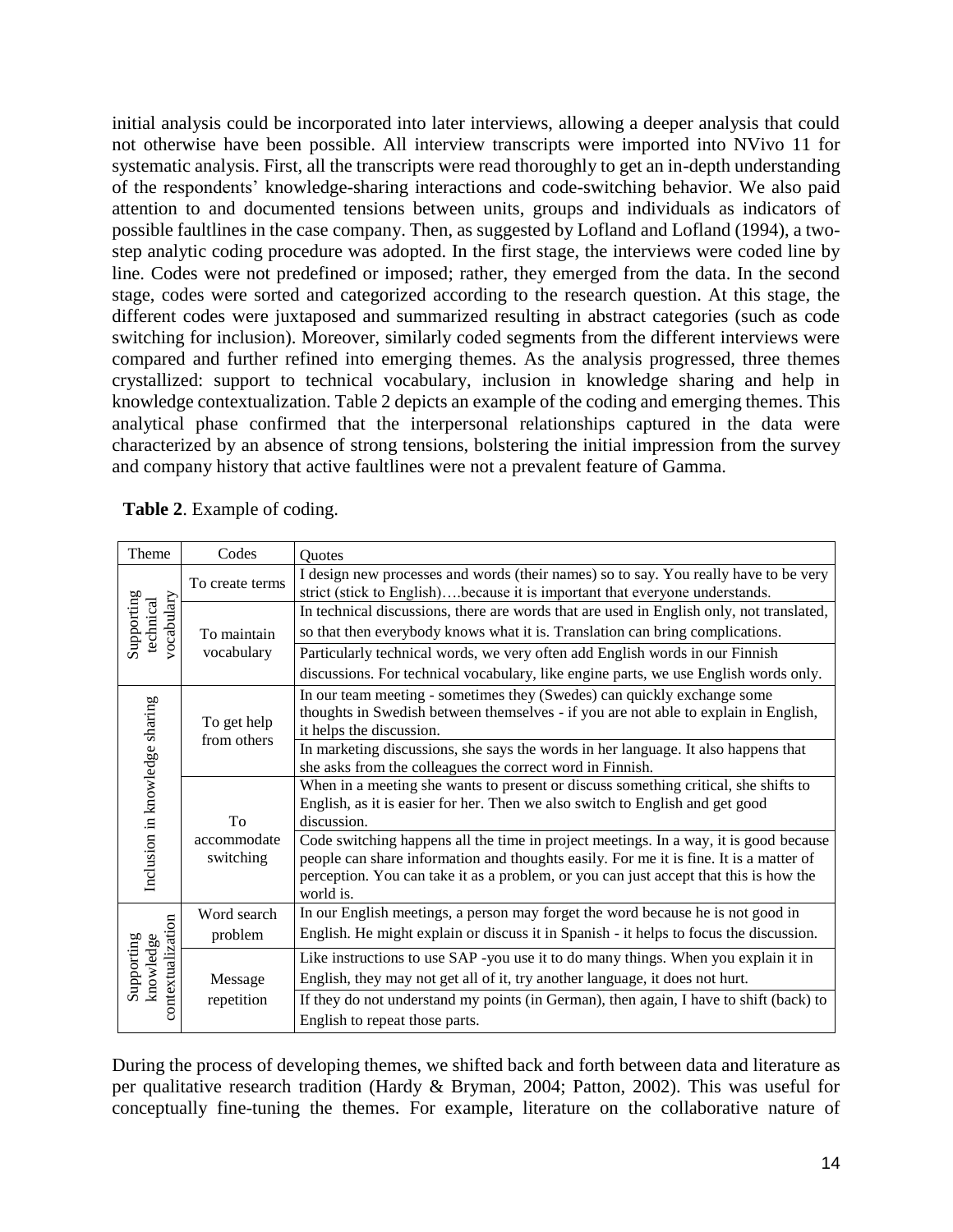initial analysis could be incorporated into later interviews, allowing a deeper analysis that could not otherwise have been possible. All interview transcripts were imported into NVivo 11 for systematic analysis. First, all the transcripts were read thoroughly to get an in-depth understanding of the respondents' knowledge-sharing interactions and code-switching behavior. We also paid attention to and documented tensions between units, groups and individuals as indicators of possible faultlines in the case company. Then, as suggested by Lofland and Lofland (1994), a twostep analytic coding procedure was adopted. In the first stage, the interviews were coded line by line. Codes were not predefined or imposed; rather, they emerged from the data. In the second stage, codes were sorted and categorized according to the research question. At this stage, the different codes were juxtaposed and summarized resulting in abstract categories (such as code switching for inclusion). Moreover, similarly coded segments from the different interviews were compared and further refined into emerging themes. As the analysis progressed, three themes crystallized: support to technical vocabulary, inclusion in knowledge sharing and help in knowledge contextualization. Table 2 depicts an example of the coding and emerging themes. This analytical phase confirmed that the interpersonal relationships captured in the data were characterized by an absence of strong tensions, bolstering the initial impression from the survey and company history that active faultlines were not a prevalent feature of Gamma.

|                                                           | Theme             | Codes                          | Quotes                                                                                   |
|-----------------------------------------------------------|-------------------|--------------------------------|------------------------------------------------------------------------------------------|
|                                                           |                   | To create terms                | I design new processes and words (their names) so to say. You really have to be very     |
|                                                           |                   |                                | strict (stick to English)because it is important that everyone understands.              |
|                                                           |                   | To maintain<br>vocabulary      | In technical discussions, there are words that are used in English only, not translated, |
| Supporting<br>technical<br>Inclusion in knowledge sharing | vocabulary        |                                | so that then everybody knows what it is. Translation can bring complications.            |
|                                                           |                   |                                | Particularly technical words, we very often add English words in our Finnish             |
|                                                           |                   |                                | discussions. For technical vocabulary, like engine parts, we use English words only.     |
|                                                           |                   |                                | In our team meeting - sometimes they (Swedes) can quickly exchange some                  |
|                                                           |                   | To get help<br>from others     | thoughts in Swedish between themselves - if you are not able to explain in English,      |
|                                                           |                   |                                | it helps the discussion.                                                                 |
|                                                           |                   |                                | In marketing discussions, she says the words in her language. It also happens that       |
|                                                           |                   |                                | she asks from the colleagues the correct word in Finnish.                                |
|                                                           |                   | To<br>accommodate<br>switching | When in a meeting she wants to present or discuss something critical, she shifts to      |
|                                                           |                   |                                | English, as it is easier for her. Then we also switch to English and get good            |
|                                                           |                   |                                | discussion.                                                                              |
| Supporting                                                |                   |                                | Code switching happens all the time in project meetings. In a way, it is good because    |
|                                                           |                   |                                | people can share information and thoughts easily. For me it is fine. It is a matter of   |
|                                                           |                   |                                | perception. You can take it as a problem, or you can just accept that this is how the    |
|                                                           |                   |                                | world is.                                                                                |
|                                                           |                   | Word search                    | In our English meetings, a person may forget the word because he is not good in          |
|                                                           | contextualization | problem                        | English. He might explain or discuss it in Spanish - it helps to focus the discussion.   |
|                                                           |                   | Message                        | Like instructions to use SAP -you use it to do many things. When you explain it in       |
|                                                           | knowledge         |                                | English, they may not get all of it, try another language, it does not hurt.             |
|                                                           |                   | repetition                     | If they do not understand my points (in German), then again, I have to shift (back) to   |
|                                                           |                   |                                | English to repeat those parts.                                                           |
|                                                           |                   |                                |                                                                                          |

#### **Table 2**. Example of coding.

During the process of developing themes, we shifted back and forth between data and literature as per qualitative research tradition (Hardy & Bryman, 2004; Patton, 2002). This was useful for conceptually fine-tuning the themes. For example, literature on the collaborative nature of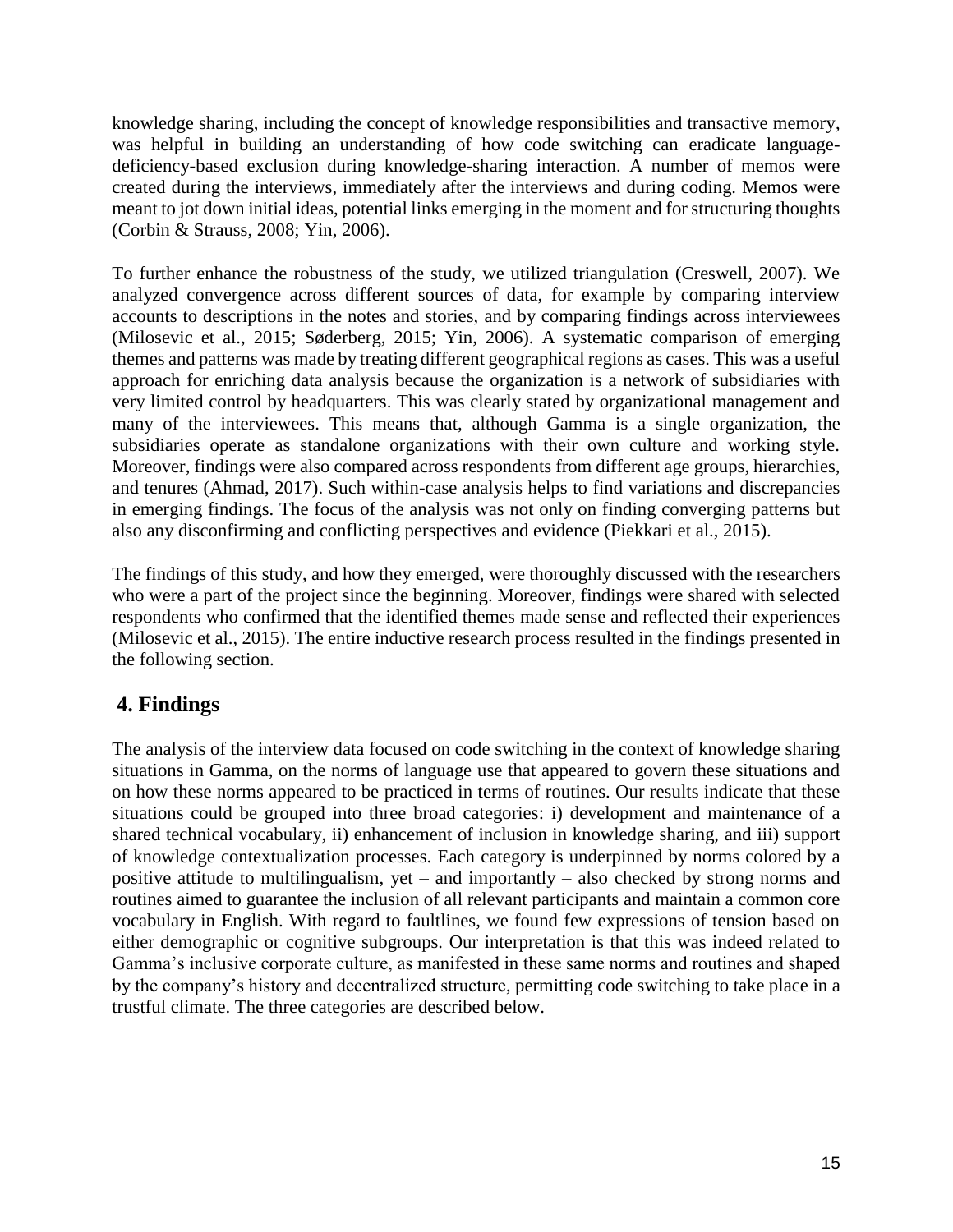knowledge sharing, including the concept of knowledge responsibilities and transactive memory, was helpful in building an understanding of how code switching can eradicate languagedeficiency-based exclusion during knowledge-sharing interaction. A number of memos were created during the interviews, immediately after the interviews and during coding. Memos were meant to jot down initial ideas, potential links emerging in the moment and for structuring thoughts (Corbin & Strauss, 2008; Yin, 2006).

To further enhance the robustness of the study, we utilized triangulation (Creswell, 2007). We analyzed convergence across different sources of data, for example by comparing interview accounts to descriptions in the notes and stories, and by comparing findings across interviewees (Milosevic et al., 2015; Søderberg, 2015; Yin, 2006). A systematic comparison of emerging themes and patterns was made by treating different geographical regions as cases. This was a useful approach for enriching data analysis because the organization is a network of subsidiaries with very limited control by headquarters. This was clearly stated by organizational management and many of the interviewees. This means that, although Gamma is a single organization, the subsidiaries operate as standalone organizations with their own culture and working style. Moreover, findings were also compared across respondents from different age groups, hierarchies, and tenures (Ahmad, 2017). Such within-case analysis helps to find variations and discrepancies in emerging findings. The focus of the analysis was not only on finding converging patterns but also any disconfirming and conflicting perspectives and evidence (Piekkari et al., 2015).

The findings of this study, and how they emerged, were thoroughly discussed with the researchers who were a part of the project since the beginning. Moreover, findings were shared with selected respondents who confirmed that the identified themes made sense and reflected their experiences (Milosevic et al., 2015). The entire inductive research process resulted in the findings presented in the following section.

# **4. Findings**

The analysis of the interview data focused on code switching in the context of knowledge sharing situations in Gamma, on the norms of language use that appeared to govern these situations and on how these norms appeared to be practiced in terms of routines. Our results indicate that these situations could be grouped into three broad categories: i) development and maintenance of a shared technical vocabulary, ii) enhancement of inclusion in knowledge sharing, and iii) support of knowledge contextualization processes. Each category is underpinned by norms colored by a positive attitude to multilingualism, yet – and importantly – also checked by strong norms and routines aimed to guarantee the inclusion of all relevant participants and maintain a common core vocabulary in English. With regard to faultlines, we found few expressions of tension based on either demographic or cognitive subgroups. Our interpretation is that this was indeed related to Gamma's inclusive corporate culture, as manifested in these same norms and routines and shaped by the company's history and decentralized structure, permitting code switching to take place in a trustful climate. The three categories are described below.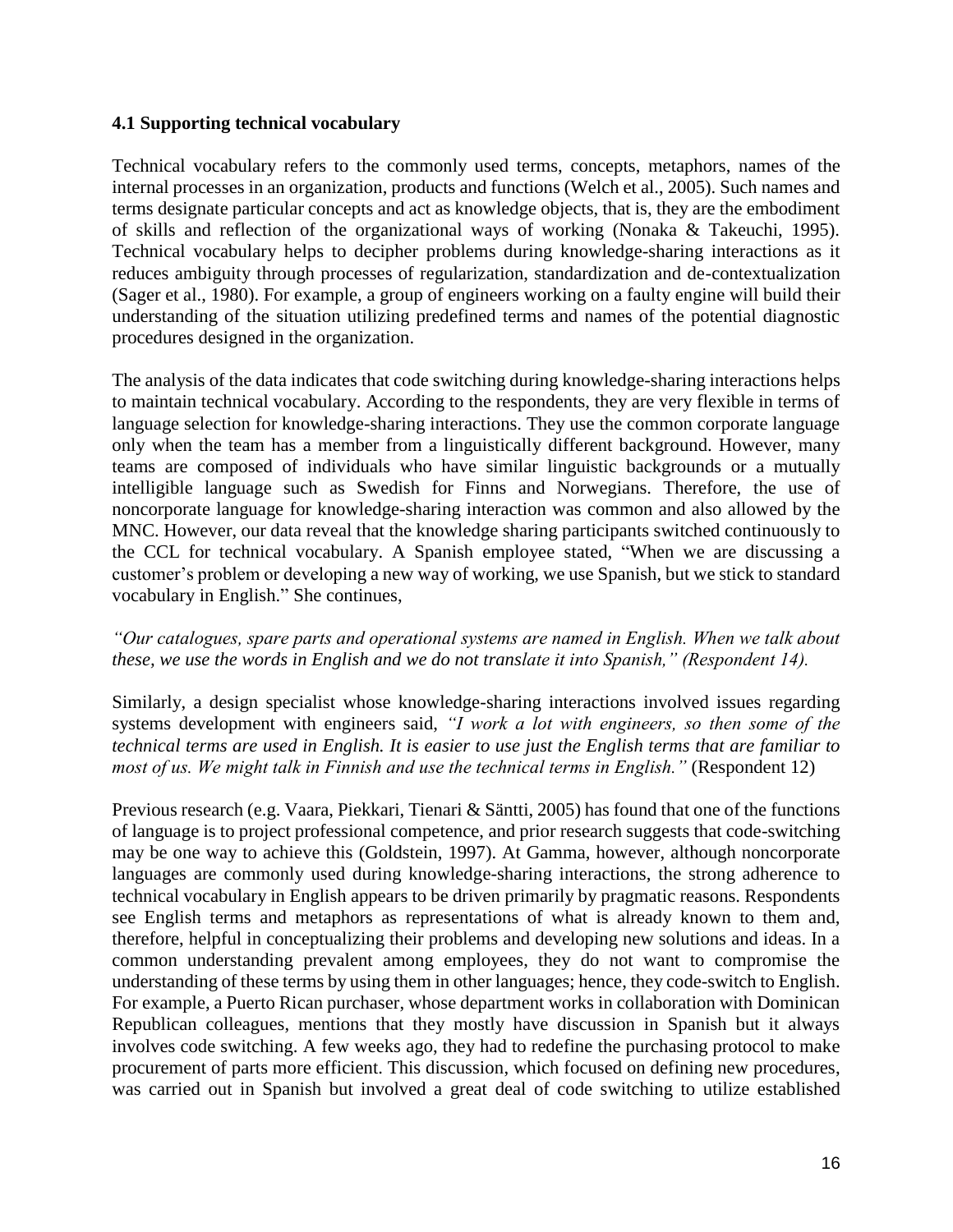#### **4.1 Supporting technical vocabulary**

Technical vocabulary refers to the commonly used terms, concepts, metaphors, names of the internal processes in an organization, products and functions (Welch et al., 2005). Such names and terms designate particular concepts and act as knowledge objects, that is, they are the embodiment of skills and reflection of the organizational ways of working (Nonaka & Takeuchi, 1995). Technical vocabulary helps to decipher problems during knowledge-sharing interactions as it reduces ambiguity through processes of regularization, standardization and de-contextualization (Sager et al., 1980). For example, a group of engineers working on a faulty engine will build their understanding of the situation utilizing predefined terms and names of the potential diagnostic procedures designed in the organization.

The analysis of the data indicates that code switching during knowledge-sharing interactions helps to maintain technical vocabulary. According to the respondents, they are very flexible in terms of language selection for knowledge-sharing interactions. They use the common corporate language only when the team has a member from a linguistically different background. However, many teams are composed of individuals who have similar linguistic backgrounds or a mutually intelligible language such as Swedish for Finns and Norwegians. Therefore, the use of noncorporate language for knowledge-sharing interaction was common and also allowed by the MNC. However, our data reveal that the knowledge sharing participants switched continuously to the CCL for technical vocabulary. A Spanish employee stated, "When we are discussing a customer's problem or developing a new way of working, we use Spanish, but we stick to standard vocabulary in English." She continues,

#### *"Our catalogues, spare parts and operational systems are named in English. When we talk about these, we use the words in English and we do not translate it into Spanish," (Respondent 14).*

Similarly, a design specialist whose knowledge-sharing interactions involved issues regarding systems development with engineers said, *"I work a lot with engineers, so then some of the technical terms are used in English. It is easier to use just the English terms that are familiar to most of us. We might talk in Finnish and use the technical terms in English."* (Respondent 12)

Previous research (e.g. Vaara, Piekkari, Tienari & Säntti, 2005) has found that one of the functions of language is to project professional competence, and prior research suggests that code-switching may be one way to achieve this (Goldstein, 1997). At Gamma, however, although noncorporate languages are commonly used during knowledge-sharing interactions, the strong adherence to technical vocabulary in English appears to be driven primarily by pragmatic reasons. Respondents see English terms and metaphors as representations of what is already known to them and, therefore, helpful in conceptualizing their problems and developing new solutions and ideas. In a common understanding prevalent among employees, they do not want to compromise the understanding of these terms by using them in other languages; hence, they code-switch to English. For example, a Puerto Rican purchaser, whose department works in collaboration with Dominican Republican colleagues, mentions that they mostly have discussion in Spanish but it always involves code switching. A few weeks ago, they had to redefine the purchasing protocol to make procurement of parts more efficient. This discussion, which focused on defining new procedures, was carried out in Spanish but involved a great deal of code switching to utilize established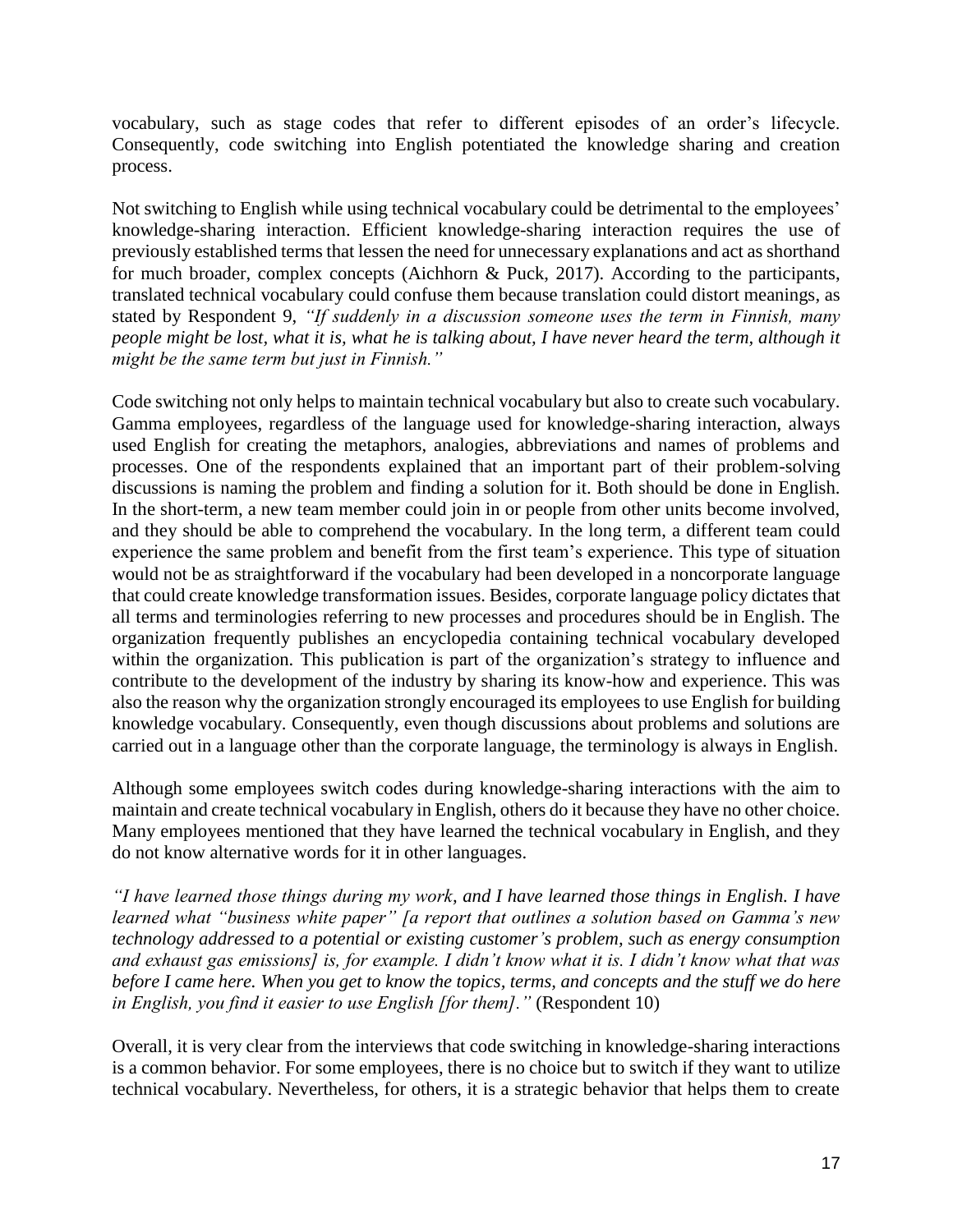vocabulary, such as stage codes that refer to different episodes of an order's lifecycle. Consequently, code switching into English potentiated the knowledge sharing and creation process.

Not switching to English while using technical vocabulary could be detrimental to the employees' knowledge-sharing interaction. Efficient knowledge-sharing interaction requires the use of previously established terms that lessen the need for unnecessary explanations and act as shorthand for much broader, complex concepts (Aichhorn & Puck, 2017). According to the participants, translated technical vocabulary could confuse them because translation could distort meanings, as stated by Respondent 9, *"If suddenly in a discussion someone uses the term in Finnish, many people might be lost, what it is, what he is talking about, I have never heard the term, although it might be the same term but just in Finnish."*

Code switching not only helps to maintain technical vocabulary but also to create such vocabulary. Gamma employees, regardless of the language used for knowledge-sharing interaction, always used English for creating the metaphors, analogies, abbreviations and names of problems and processes. One of the respondents explained that an important part of their problem-solving discussions is naming the problem and finding a solution for it. Both should be done in English. In the short-term, a new team member could join in or people from other units become involved, and they should be able to comprehend the vocabulary. In the long term, a different team could experience the same problem and benefit from the first team's experience. This type of situation would not be as straightforward if the vocabulary had been developed in a noncorporate language that could create knowledge transformation issues. Besides, corporate language policy dictates that all terms and terminologies referring to new processes and procedures should be in English. The organization frequently publishes an encyclopedia containing technical vocabulary developed within the organization. This publication is part of the organization's strategy to influence and contribute to the development of the industry by sharing its know-how and experience. This was also the reason why the organization strongly encouraged its employees to use English for building knowledge vocabulary. Consequently, even though discussions about problems and solutions are carried out in a language other than the corporate language, the terminology is always in English.

Although some employees switch codes during knowledge-sharing interactions with the aim to maintain and create technical vocabulary in English, others do it because they have no other choice. Many employees mentioned that they have learned the technical vocabulary in English, and they do not know alternative words for it in other languages.

*"I have learned those things during my work, and I have learned those things in English. I have learned what "business white paper" [a report that outlines a solution based on Gamma's new technology addressed to a potential or existing customer's problem, such as energy consumption and exhaust gas emissions] is, for example. I didn't know what it is. I didn't know what that was before I came here. When you get to know the topics, terms, and concepts and the stuff we do here in English, you find it easier to use English [for them]."* (Respondent 10)

Overall, it is very clear from the interviews that code switching in knowledge-sharing interactions is a common behavior. For some employees, there is no choice but to switch if they want to utilize technical vocabulary. Nevertheless, for others, it is a strategic behavior that helps them to create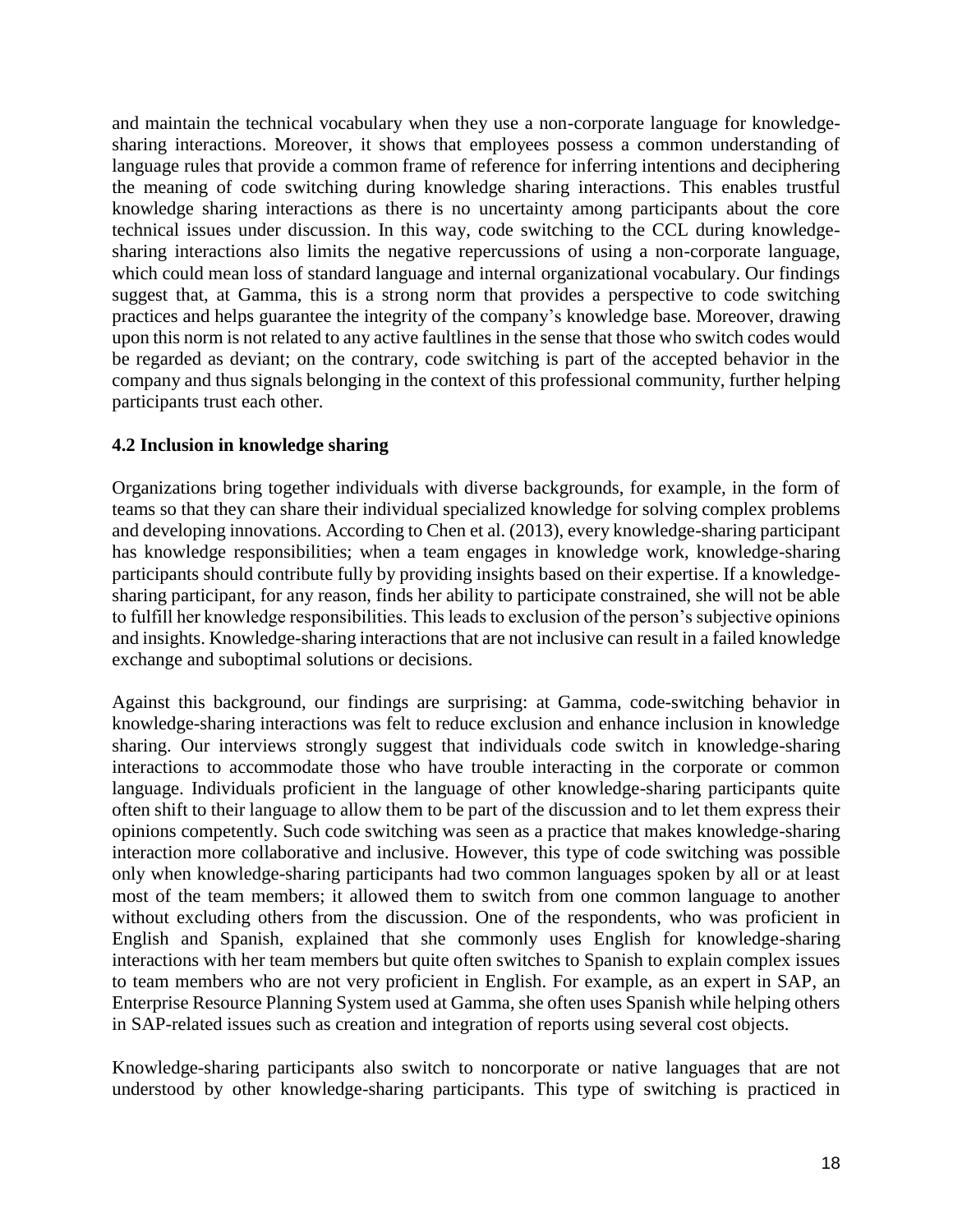and maintain the technical vocabulary when they use a non-corporate language for knowledgesharing interactions. Moreover, it shows that employees possess a common understanding of language rules that provide a common frame of reference for inferring intentions and deciphering the meaning of code switching during knowledge sharing interactions. This enables trustful knowledge sharing interactions as there is no uncertainty among participants about the core technical issues under discussion. In this way, code switching to the CCL during knowledgesharing interactions also limits the negative repercussions of using a non-corporate language, which could mean loss of standard language and internal organizational vocabulary. Our findings suggest that, at Gamma, this is a strong norm that provides a perspective to code switching practices and helps guarantee the integrity of the company's knowledge base. Moreover, drawing upon this norm is not related to any active faultlines in the sense that those who switch codes would be regarded as deviant; on the contrary, code switching is part of the accepted behavior in the company and thus signals belonging in the context of this professional community, further helping participants trust each other.

#### **4.2 Inclusion in knowledge sharing**

Organizations bring together individuals with diverse backgrounds, for example, in the form of teams so that they can share their individual specialized knowledge for solving complex problems and developing innovations. According to Chen et al. (2013), every knowledge-sharing participant has knowledge responsibilities; when a team engages in knowledge work, knowledge-sharing participants should contribute fully by providing insights based on their expertise. If a knowledgesharing participant, for any reason, finds her ability to participate constrained, she will not be able to fulfill her knowledge responsibilities. This leads to exclusion of the person's subjective opinions and insights. Knowledge-sharing interactions that are not inclusive can result in a failed knowledge exchange and suboptimal solutions or decisions.

Against this background, our findings are surprising: at Gamma, code-switching behavior in knowledge-sharing interactions was felt to reduce exclusion and enhance inclusion in knowledge sharing. Our interviews strongly suggest that individuals code switch in knowledge-sharing interactions to accommodate those who have trouble interacting in the corporate or common language. Individuals proficient in the language of other knowledge-sharing participants quite often shift to their language to allow them to be part of the discussion and to let them express their opinions competently. Such code switching was seen as a practice that makes knowledge-sharing interaction more collaborative and inclusive. However, this type of code switching was possible only when knowledge-sharing participants had two common languages spoken by all or at least most of the team members; it allowed them to switch from one common language to another without excluding others from the discussion. One of the respondents, who was proficient in English and Spanish, explained that she commonly uses English for knowledge-sharing interactions with her team members but quite often switches to Spanish to explain complex issues to team members who are not very proficient in English. For example, as an expert in SAP, an Enterprise Resource Planning System used at Gamma, she often uses Spanish while helping others in SAP-related issues such as creation and integration of reports using several cost objects.

Knowledge-sharing participants also switch to noncorporate or native languages that are not understood by other knowledge-sharing participants. This type of switching is practiced in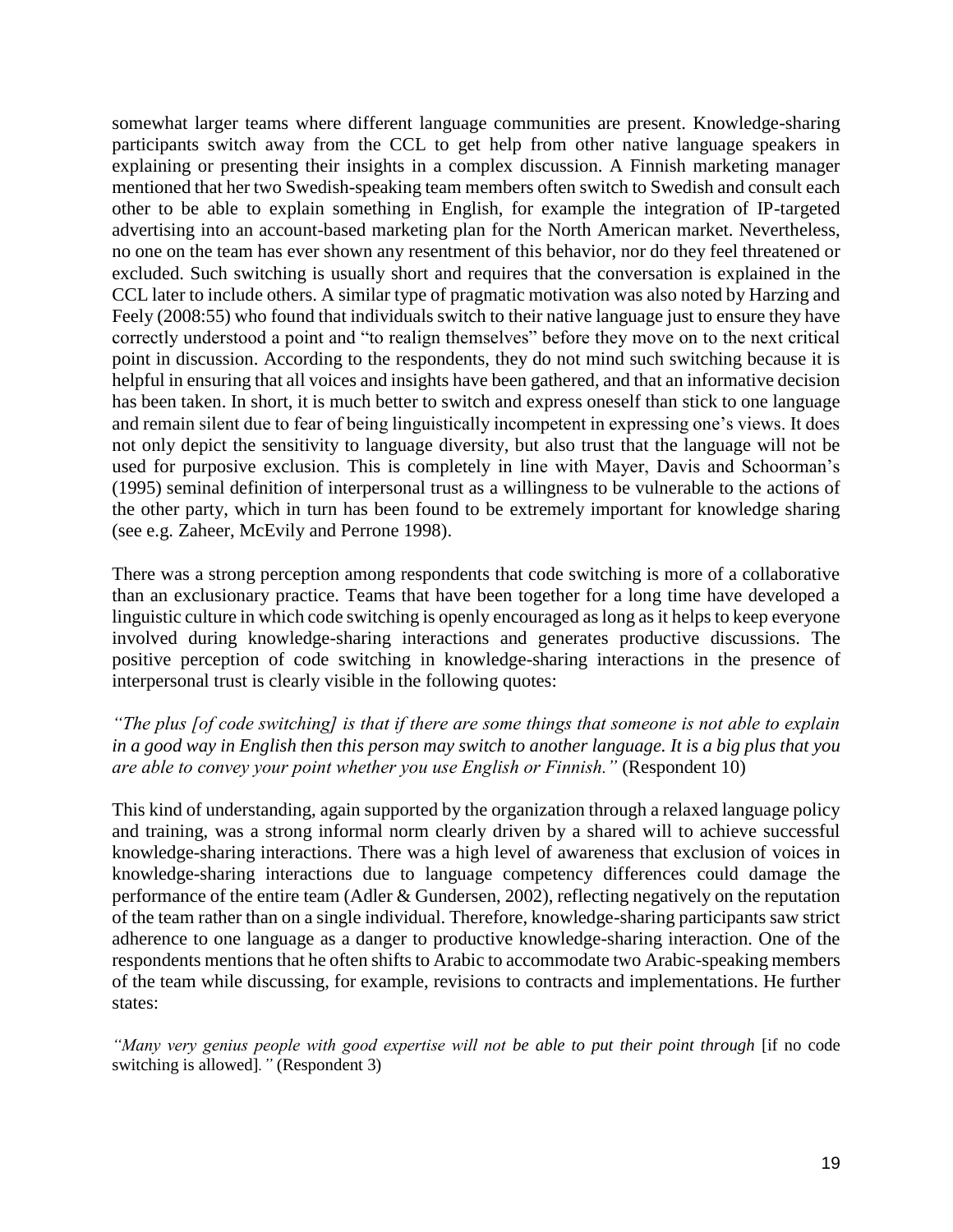somewhat larger teams where different language communities are present. Knowledge-sharing participants switch away from the CCL to get help from other native language speakers in explaining or presenting their insights in a complex discussion. A Finnish marketing manager mentioned that her two Swedish-speaking team members often switch to Swedish and consult each other to be able to explain something in English, for example the integration of IP-targeted advertising into an account-based marketing plan for the North American market. Nevertheless, no one on the team has ever shown any resentment of this behavior, nor do they feel threatened or excluded. Such switching is usually short and requires that the conversation is explained in the CCL later to include others. A similar type of pragmatic motivation was also noted by Harzing and Feely (2008:55) who found that individuals switch to their native language just to ensure they have correctly understood a point and "to realign themselves" before they move on to the next critical point in discussion. According to the respondents, they do not mind such switching because it is helpful in ensuring that all voices and insights have been gathered, and that an informative decision has been taken. In short, it is much better to switch and express oneself than stick to one language and remain silent due to fear of being linguistically incompetent in expressing one's views. It does not only depict the sensitivity to language diversity, but also trust that the language will not be used for purposive exclusion. This is completely in line with Mayer, Davis and Schoorman's (1995) seminal definition of interpersonal trust as a willingness to be vulnerable to the actions of the other party, which in turn has been found to be extremely important for knowledge sharing (see e.g. Zaheer, McEvily and Perrone 1998).

There was a strong perception among respondents that code switching is more of a collaborative than an exclusionary practice. Teams that have been together for a long time have developed a linguistic culture in which code switching is openly encouraged as long as it helps to keep everyone involved during knowledge-sharing interactions and generates productive discussions. The positive perception of code switching in knowledge-sharing interactions in the presence of interpersonal trust is clearly visible in the following quotes:

*"The plus [of code switching] is that if there are some things that someone is not able to explain in a good way in English then this person may switch to another language. It is a big plus that you are able to convey your point whether you use English or Finnish."* (Respondent 10)

This kind of understanding, again supported by the organization through a relaxed language policy and training, was a strong informal norm clearly driven by a shared will to achieve successful knowledge-sharing interactions. There was a high level of awareness that exclusion of voices in knowledge-sharing interactions due to language competency differences could damage the performance of the entire team (Adler & Gundersen, 2002), reflecting negatively on the reputation of the team rather than on a single individual. Therefore, knowledge-sharing participants saw strict adherence to one language as a danger to productive knowledge-sharing interaction. One of the respondents mentions that he often shifts to Arabic to accommodate two Arabic-speaking members of the team while discussing, for example, revisions to contracts and implementations. He further states:

*"Many very genius people with good expertise will not be able to put their point through* [if no code switching is allowed]*."* (Respondent 3)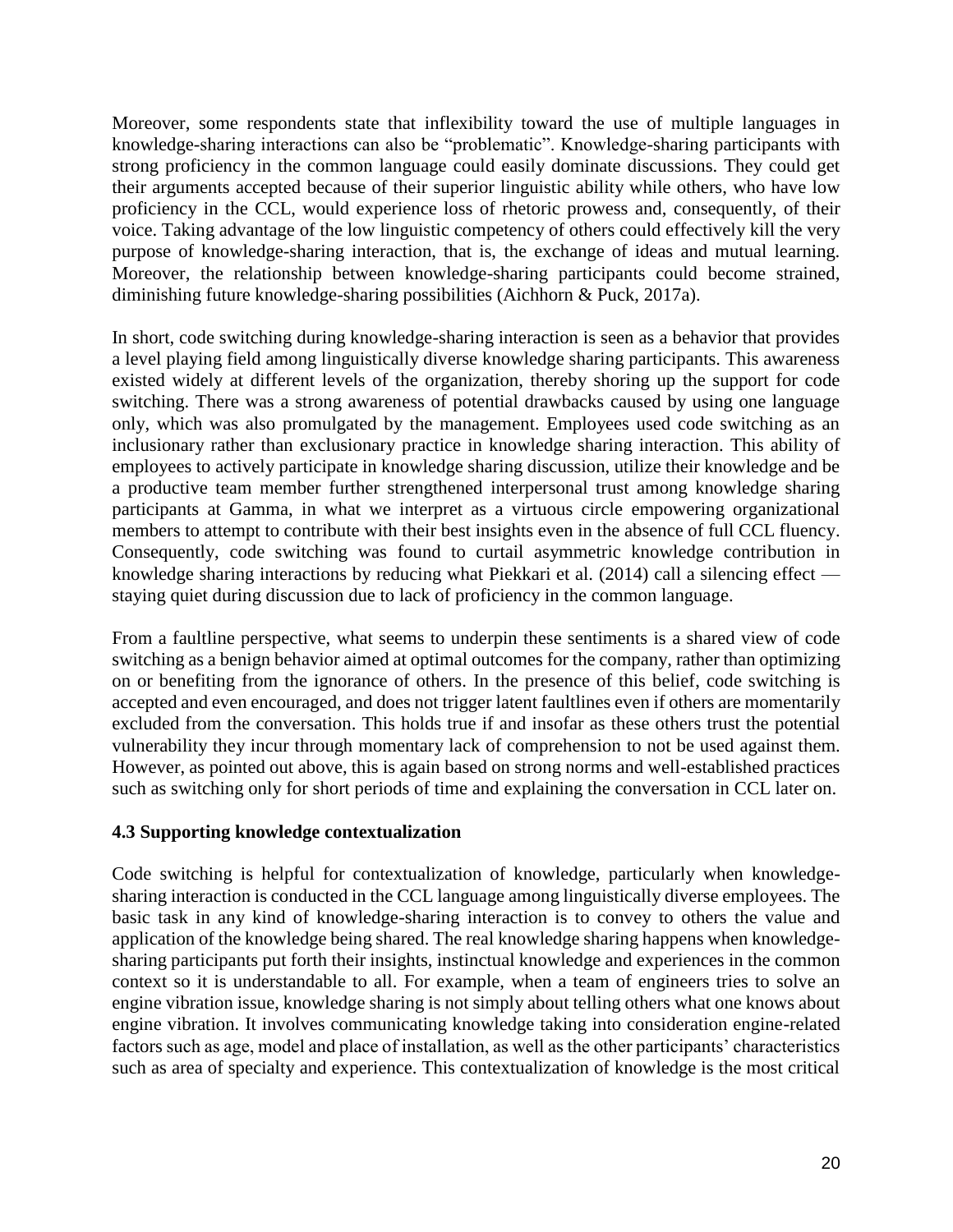Moreover, some respondents state that inflexibility toward the use of multiple languages in knowledge-sharing interactions can also be "problematic". Knowledge-sharing participants with strong proficiency in the common language could easily dominate discussions. They could get their arguments accepted because of their superior linguistic ability while others, who have low proficiency in the CCL, would experience loss of rhetoric prowess and, consequently, of their voice. Taking advantage of the low linguistic competency of others could effectively kill the very purpose of knowledge-sharing interaction, that is, the exchange of ideas and mutual learning. Moreover, the relationship between knowledge-sharing participants could become strained, diminishing future knowledge-sharing possibilities (Aichhorn & Puck, 2017a).

In short, code switching during knowledge-sharing interaction is seen as a behavior that provides a level playing field among linguistically diverse knowledge sharing participants. This awareness existed widely at different levels of the organization, thereby shoring up the support for code switching. There was a strong awareness of potential drawbacks caused by using one language only, which was also promulgated by the management. Employees used code switching as an inclusionary rather than exclusionary practice in knowledge sharing interaction. This ability of employees to actively participate in knowledge sharing discussion, utilize their knowledge and be a productive team member further strengthened interpersonal trust among knowledge sharing participants at Gamma, in what we interpret as a virtuous circle empowering organizational members to attempt to contribute with their best insights even in the absence of full CCL fluency. Consequently, code switching was found to curtail asymmetric knowledge contribution in knowledge sharing interactions by reducing what Piekkari et al. (2014) call a silencing effect staying quiet during discussion due to lack of proficiency in the common language.

From a faultline perspective, what seems to underpin these sentiments is a shared view of code switching as a benign behavior aimed at optimal outcomes for the company, rather than optimizing on or benefiting from the ignorance of others. In the presence of this belief, code switching is accepted and even encouraged, and does not trigger latent faultlines even if others are momentarily excluded from the conversation. This holds true if and insofar as these others trust the potential vulnerability they incur through momentary lack of comprehension to not be used against them. However, as pointed out above, this is again based on strong norms and well-established practices such as switching only for short periods of time and explaining the conversation in CCL later on.

#### **4.3 Supporting knowledge contextualization**

Code switching is helpful for contextualization of knowledge, particularly when knowledgesharing interaction is conducted in the CCL language among linguistically diverse employees. The basic task in any kind of knowledge-sharing interaction is to convey to others the value and application of the knowledge being shared. The real knowledge sharing happens when knowledgesharing participants put forth their insights, instinctual knowledge and experiences in the common context so it is understandable to all. For example, when a team of engineers tries to solve an engine vibration issue, knowledge sharing is not simply about telling others what one knows about engine vibration. It involves communicating knowledge taking into consideration engine-related factors such as age, model and place of installation, as well as the other participants' characteristics such as area of specialty and experience. This contextualization of knowledge is the most critical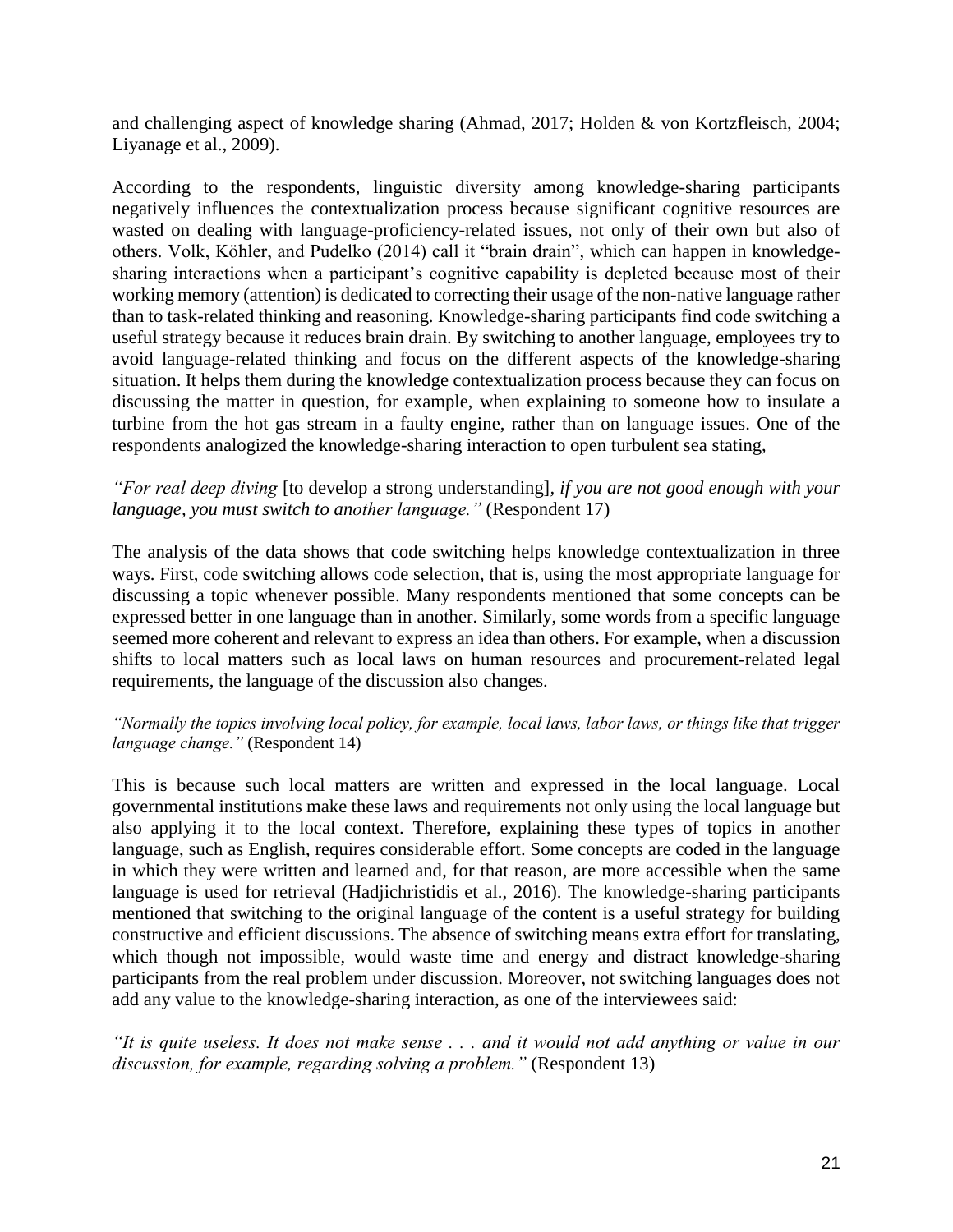and challenging aspect of knowledge sharing (Ahmad, 2017; Holden & von Kortzfleisch, 2004; Liyanage et al., 2009).

According to the respondents, linguistic diversity among knowledge-sharing participants negatively influences the contextualization process because significant cognitive resources are wasted on dealing with language-proficiency-related issues, not only of their own but also of others. Volk, Köhler, and Pudelko (2014) call it "brain drain", which can happen in knowledgesharing interactions when a participant's cognitive capability is depleted because most of their working memory (attention) is dedicated to correcting their usage of the non-native language rather than to task-related thinking and reasoning. Knowledge-sharing participants find code switching a useful strategy because it reduces brain drain. By switching to another language, employees try to avoid language-related thinking and focus on the different aspects of the knowledge-sharing situation. It helps them during the knowledge contextualization process because they can focus on discussing the matter in question, for example, when explaining to someone how to insulate a turbine from the hot gas stream in a faulty engine, rather than on language issues. One of the respondents analogized the knowledge-sharing interaction to open turbulent sea stating,

#### *"For real deep diving* [to develop a strong understanding]*, if you are not good enough with your language, you must switch to another language.*" (Respondent 17)

The analysis of the data shows that code switching helps knowledge contextualization in three ways. First, code switching allows code selection, that is, using the most appropriate language for discussing a topic whenever possible. Many respondents mentioned that some concepts can be expressed better in one language than in another. Similarly, some words from a specific language seemed more coherent and relevant to express an idea than others. For example, when a discussion shifts to local matters such as local laws on human resources and procurement-related legal requirements, the language of the discussion also changes.

#### *"Normally the topics involving local policy, for example, local laws, labor laws, or things like that trigger language change."* (Respondent 14)

This is because such local matters are written and expressed in the local language. Local governmental institutions make these laws and requirements not only using the local language but also applying it to the local context. Therefore, explaining these types of topics in another language, such as English, requires considerable effort. Some concepts are coded in the language in which they were written and learned and, for that reason, are more accessible when the same language is used for retrieval (Hadjichristidis et al., 2016). The knowledge-sharing participants mentioned that switching to the original language of the content is a useful strategy for building constructive and efficient discussions. The absence of switching means extra effort for translating, which though not impossible, would waste time and energy and distract knowledge-sharing participants from the real problem under discussion. Moreover, not switching languages does not add any value to the knowledge-sharing interaction, as one of the interviewees said:

*"It is quite useless. It does not make sense . . . and it would not add anything or value in our discussion, for example, regarding solving a problem."* (Respondent 13)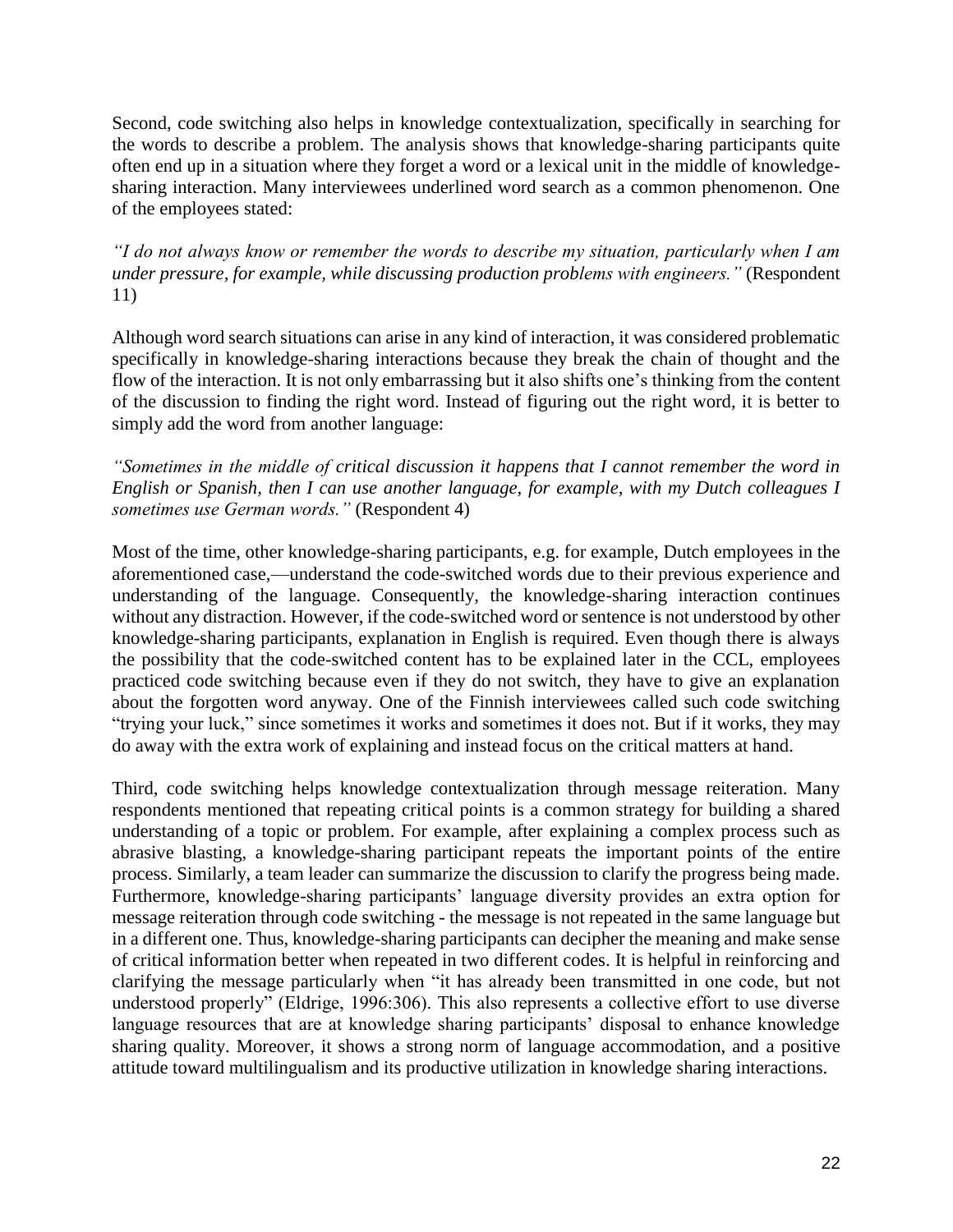Second, code switching also helps in knowledge contextualization, specifically in searching for the words to describe a problem. The analysis shows that knowledge-sharing participants quite often end up in a situation where they forget a word or a lexical unit in the middle of knowledgesharing interaction. Many interviewees underlined word search as a common phenomenon. One of the employees stated:

*"I do not always know or remember the words to describe my situation, particularly when I am under pressure, for example, while discussing production problems with engineers."* (Respondent 11)

Although word search situations can arise in any kind of interaction, it was considered problematic specifically in knowledge-sharing interactions because they break the chain of thought and the flow of the interaction. It is not only embarrassing but it also shifts one's thinking from the content of the discussion to finding the right word. Instead of figuring out the right word, it is better to simply add the word from another language:

*"Sometimes in the middle of critical discussion it happens that I cannot remember the word in English or Spanish, then I can use another language, for example, with my Dutch colleagues I sometimes use German words."* (Respondent 4)

Most of the time, other knowledge-sharing participants, e.g. for example, Dutch employees in the aforementioned case,—understand the code-switched words due to their previous experience and understanding of the language. Consequently, the knowledge-sharing interaction continues without any distraction. However, if the code-switched word or sentence is not understood by other knowledge-sharing participants, explanation in English is required. Even though there is always the possibility that the code-switched content has to be explained later in the CCL, employees practiced code switching because even if they do not switch, they have to give an explanation about the forgotten word anyway. One of the Finnish interviewees called such code switching "trying your luck," since sometimes it works and sometimes it does not. But if it works, they may do away with the extra work of explaining and instead focus on the critical matters at hand.

Third, code switching helps knowledge contextualization through message reiteration. Many respondents mentioned that repeating critical points is a common strategy for building a shared understanding of a topic or problem. For example, after explaining a complex process such as abrasive blasting, a knowledge-sharing participant repeats the important points of the entire process. Similarly, a team leader can summarize the discussion to clarify the progress being made. Furthermore, knowledge-sharing participants' language diversity provides an extra option for message reiteration through code switching - the message is not repeated in the same language but in a different one. Thus, knowledge-sharing participants can decipher the meaning and make sense of critical information better when repeated in two different codes. It is helpful in reinforcing and clarifying the message particularly when "it has already been transmitted in one code, but not understood properly" (Eldrige, 1996:306). This also represents a collective effort to use diverse language resources that are at knowledge sharing participants' disposal to enhance knowledge sharing quality. Moreover, it shows a strong norm of language accommodation, and a positive attitude toward multilingualism and its productive utilization in knowledge sharing interactions.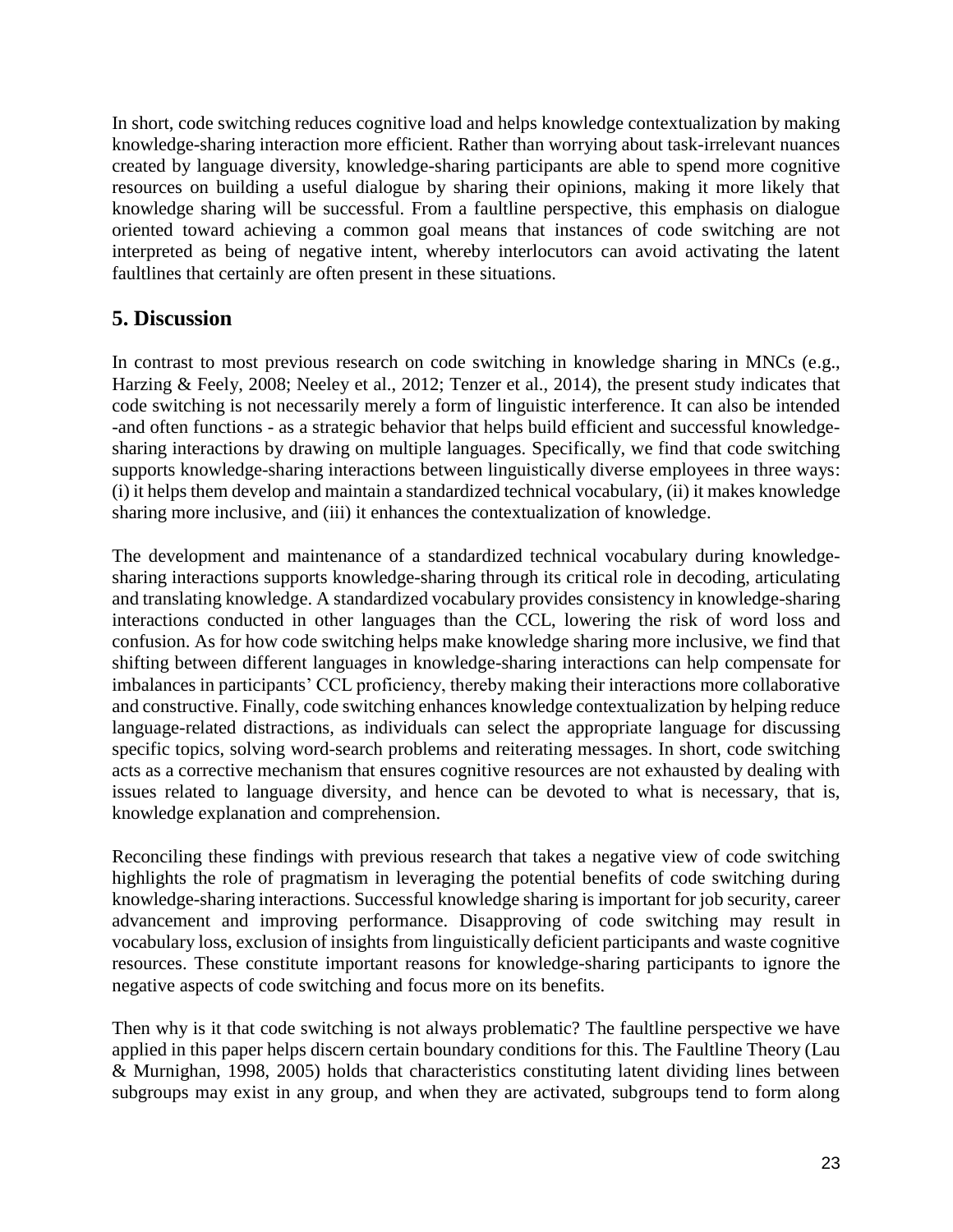In short, code switching reduces cognitive load and helps knowledge contextualization by making knowledge-sharing interaction more efficient. Rather than worrying about task-irrelevant nuances created by language diversity, knowledge-sharing participants are able to spend more cognitive resources on building a useful dialogue by sharing their opinions, making it more likely that knowledge sharing will be successful. From a faultline perspective, this emphasis on dialogue oriented toward achieving a common goal means that instances of code switching are not interpreted as being of negative intent, whereby interlocutors can avoid activating the latent faultlines that certainly are often present in these situations.

# **5. Discussion**

In contrast to most previous research on code switching in knowledge sharing in MNCs (e.g., Harzing & Feely, 2008; Neeley et al., 2012; Tenzer et al., 2014), the present study indicates that code switching is not necessarily merely a form of linguistic interference. It can also be intended -and often functions - as a strategic behavior that helps build efficient and successful knowledgesharing interactions by drawing on multiple languages. Specifically, we find that code switching supports knowledge-sharing interactions between linguistically diverse employees in three ways: (i) it helps them develop and maintain a standardized technical vocabulary, (ii) it makes knowledge sharing more inclusive, and (iii) it enhances the contextualization of knowledge.

The development and maintenance of a standardized technical vocabulary during knowledgesharing interactions supports knowledge-sharing through its critical role in decoding, articulating and translating knowledge. A standardized vocabulary provides consistency in knowledge-sharing interactions conducted in other languages than the CCL, lowering the risk of word loss and confusion. As for how code switching helps make knowledge sharing more inclusive, we find that shifting between different languages in knowledge-sharing interactions can help compensate for imbalances in participants' CCL proficiency, thereby making their interactions more collaborative and constructive. Finally, code switching enhances knowledge contextualization by helping reduce language-related distractions, as individuals can select the appropriate language for discussing specific topics, solving word-search problems and reiterating messages. In short, code switching acts as a corrective mechanism that ensures cognitive resources are not exhausted by dealing with issues related to language diversity, and hence can be devoted to what is necessary, that is, knowledge explanation and comprehension.

Reconciling these findings with previous research that takes a negative view of code switching highlights the role of pragmatism in leveraging the potential benefits of code switching during knowledge-sharing interactions. Successful knowledge sharing is important for job security, career advancement and improving performance. Disapproving of code switching may result in vocabulary loss, exclusion of insights from linguistically deficient participants and waste cognitive resources. These constitute important reasons for knowledge-sharing participants to ignore the negative aspects of code switching and focus more on its benefits.

Then why is it that code switching is not always problematic? The faultline perspective we have applied in this paper helps discern certain boundary conditions for this. The Faultline Theory (Lau & Murnighan, 1998, 2005) holds that characteristics constituting latent dividing lines between subgroups may exist in any group, and when they are activated, subgroups tend to form along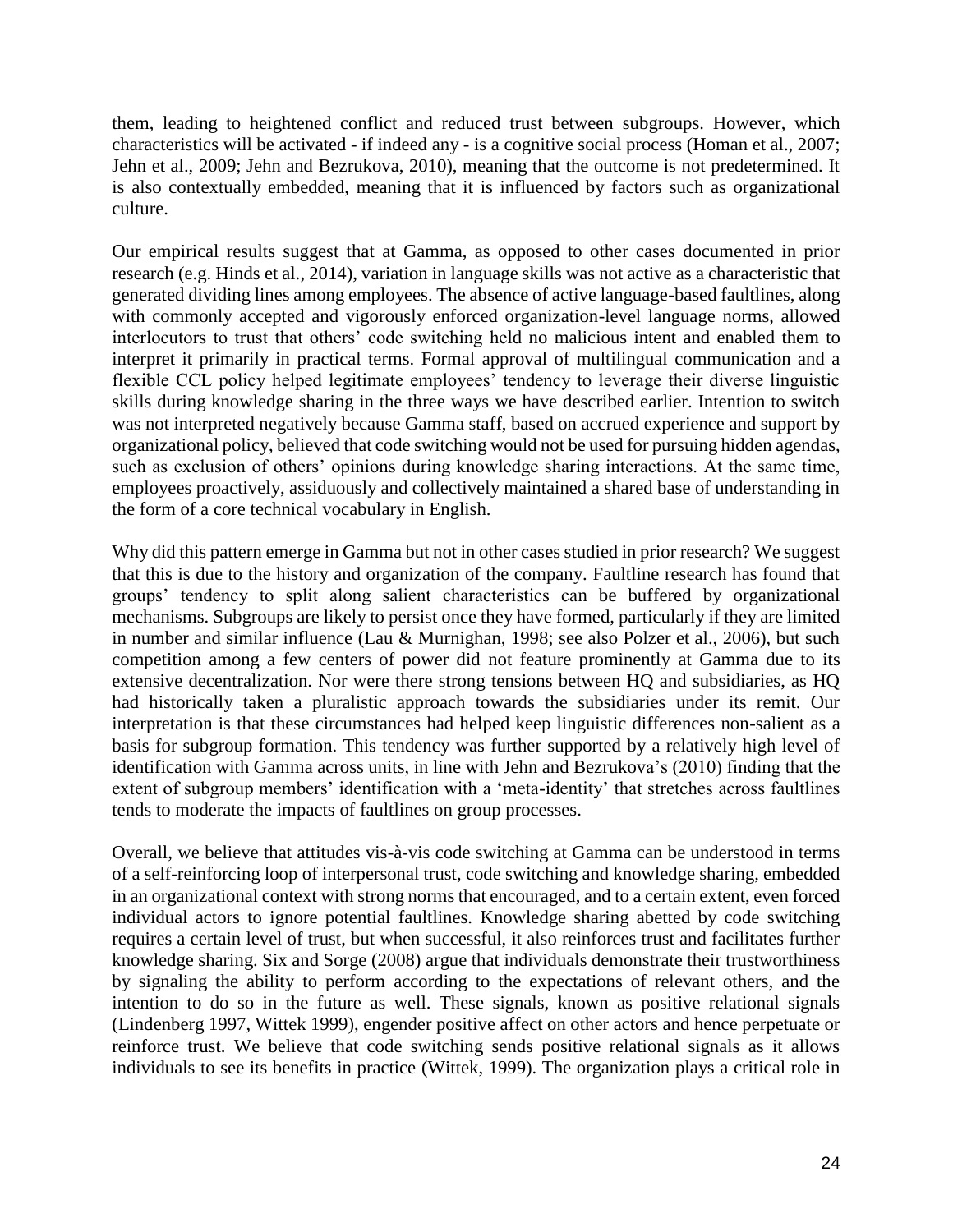them, leading to heightened conflict and reduced trust between subgroups. However, which characteristics will be activated - if indeed any - is a cognitive social process (Homan et al., 2007; Jehn et al., 2009; Jehn and Bezrukova, 2010), meaning that the outcome is not predetermined. It is also contextually embedded, meaning that it is influenced by factors such as organizational culture.

Our empirical results suggest that at Gamma, as opposed to other cases documented in prior research (e.g. Hinds et al., 2014), variation in language skills was not active as a characteristic that generated dividing lines among employees. The absence of active language-based faultlines, along with commonly accepted and vigorously enforced organization-level language norms, allowed interlocutors to trust that others' code switching held no malicious intent and enabled them to interpret it primarily in practical terms. Formal approval of multilingual communication and a flexible CCL policy helped legitimate employees' tendency to leverage their diverse linguistic skills during knowledge sharing in the three ways we have described earlier. Intention to switch was not interpreted negatively because Gamma staff, based on accrued experience and support by organizational policy, believed that code switching would not be used for pursuing hidden agendas, such as exclusion of others' opinions during knowledge sharing interactions. At the same time, employees proactively, assiduously and collectively maintained a shared base of understanding in the form of a core technical vocabulary in English.

Why did this pattern emerge in Gamma but not in other cases studied in prior research? We suggest that this is due to the history and organization of the company. Faultline research has found that groups' tendency to split along salient characteristics can be buffered by organizational mechanisms. Subgroups are likely to persist once they have formed, particularly if they are limited in number and similar influence (Lau & Murnighan, 1998; see also Polzer et al., 2006), but such competition among a few centers of power did not feature prominently at Gamma due to its extensive decentralization. Nor were there strong tensions between HQ and subsidiaries, as HQ had historically taken a pluralistic approach towards the subsidiaries under its remit. Our interpretation is that these circumstances had helped keep linguistic differences non-salient as a basis for subgroup formation. This tendency was further supported by a relatively high level of identification with Gamma across units, in line with Jehn and Bezrukova's (2010) finding that the extent of subgroup members' identification with a 'meta-identity' that stretches across faultlines tends to moderate the impacts of faultlines on group processes.

Overall, we believe that attitudes vis-à-vis code switching at Gamma can be understood in terms of a self-reinforcing loop of interpersonal trust, code switching and knowledge sharing, embedded in an organizational context with strong norms that encouraged, and to a certain extent, even forced individual actors to ignore potential faultlines. Knowledge sharing abetted by code switching requires a certain level of trust, but when successful, it also reinforces trust and facilitates further knowledge sharing. Six and Sorge (2008) argue that individuals demonstrate their trustworthiness by signaling the ability to perform according to the expectations of relevant others, and the intention to do so in the future as well. These signals, known as positive relational signals (Lindenberg 1997, Wittek 1999), engender positive affect on other actors and hence perpetuate or reinforce trust. We believe that code switching sends positive relational signals as it allows individuals to see its benefits in practice (Wittek, 1999). The organization plays a critical role in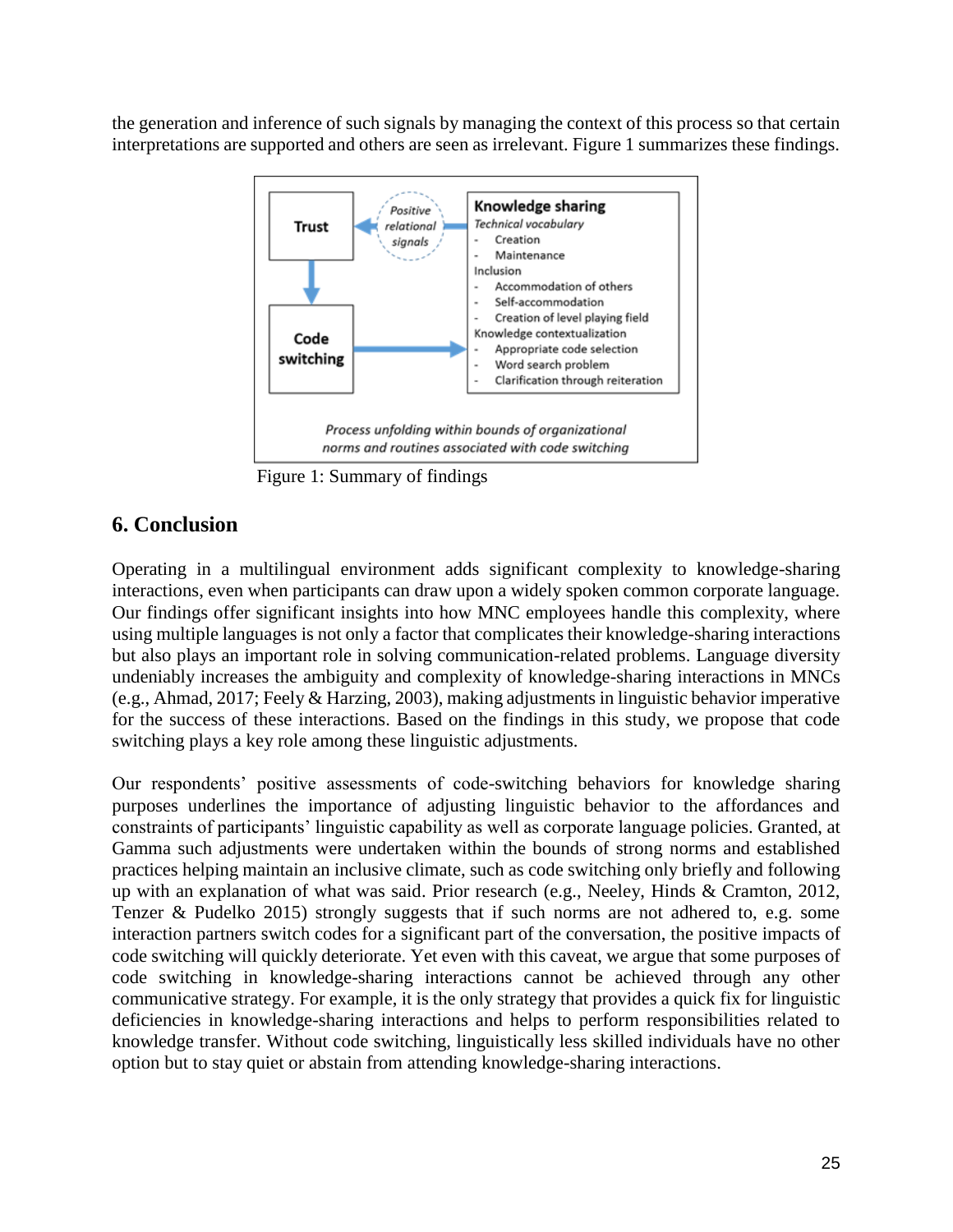the generation and inference of such signals by managing the context of this process so that certain interpretations are supported and others are seen as irrelevant. Figure 1 summarizes these findings.



Figure 1: Summary of findings

### **6. Conclusion**

Operating in a multilingual environment adds significant complexity to knowledge-sharing interactions, even when participants can draw upon a widely spoken common corporate language. Our findings offer significant insights into how MNC employees handle this complexity, where using multiple languages is not only a factor that complicates their knowledge-sharing interactions but also plays an important role in solving communication-related problems. Language diversity undeniably increases the ambiguity and complexity of knowledge-sharing interactions in MNCs (e.g., Ahmad, 2017; Feely & Harzing, 2003), making adjustments in linguistic behavior imperative for the success of these interactions. Based on the findings in this study, we propose that code switching plays a key role among these linguistic adjustments.

Our respondents' positive assessments of code-switching behaviors for knowledge sharing purposes underlines the importance of adjusting linguistic behavior to the affordances and constraints of participants' linguistic capability as well as corporate language policies. Granted, at Gamma such adjustments were undertaken within the bounds of strong norms and established practices helping maintain an inclusive climate, such as code switching only briefly and following up with an explanation of what was said. Prior research (e.g., Neeley, Hinds & Cramton, 2012, Tenzer & Pudelko 2015) strongly suggests that if such norms are not adhered to, e.g. some interaction partners switch codes for a significant part of the conversation, the positive impacts of code switching will quickly deteriorate. Yet even with this caveat, we argue that some purposes of code switching in knowledge-sharing interactions cannot be achieved through any other communicative strategy. For example, it is the only strategy that provides a quick fix for linguistic deficiencies in knowledge-sharing interactions and helps to perform responsibilities related to knowledge transfer. Without code switching, linguistically less skilled individuals have no other option but to stay quiet or abstain from attending knowledge-sharing interactions.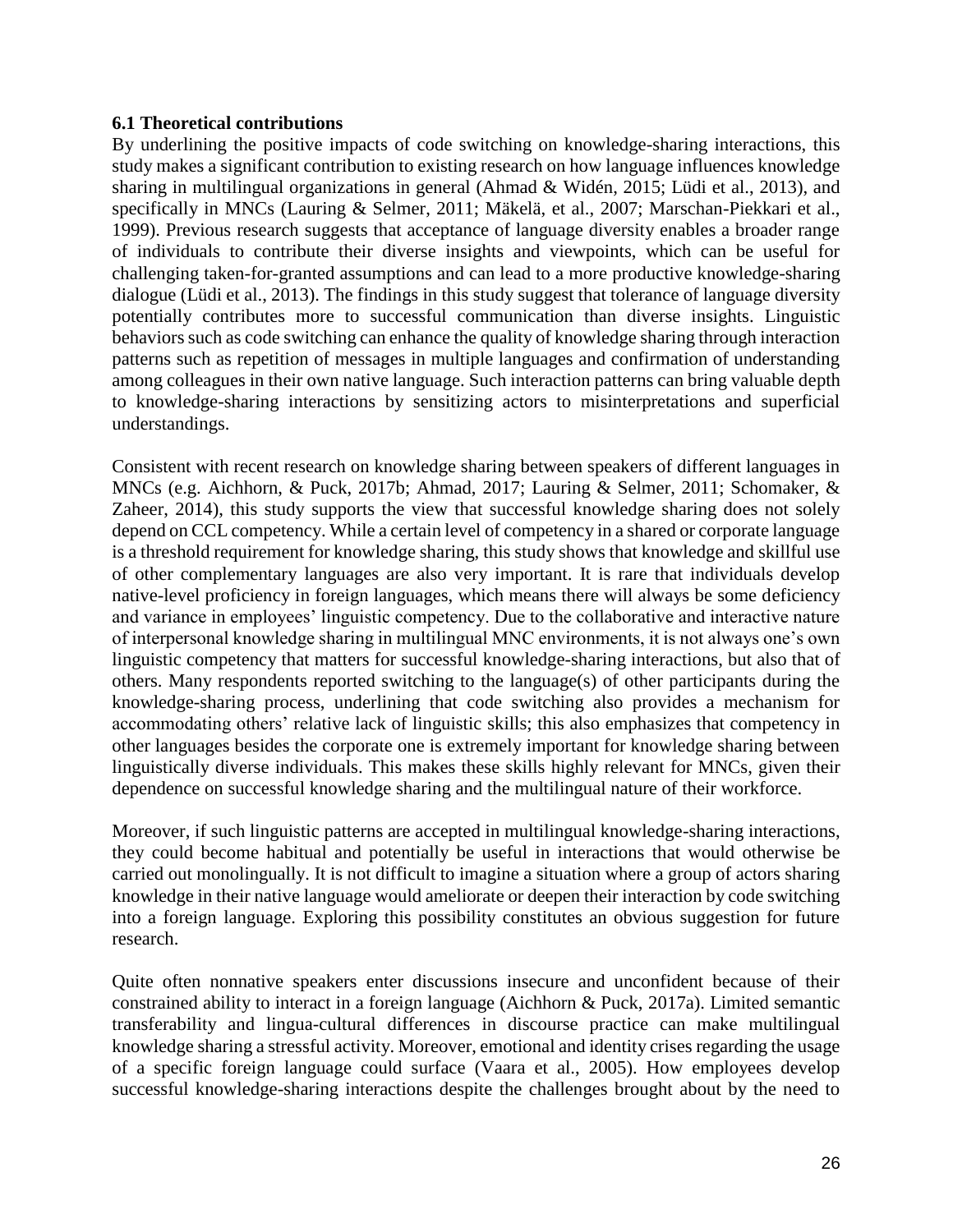#### **6.1 Theoretical contributions**

By underlining the positive impacts of code switching on knowledge-sharing interactions, this study makes a significant contribution to existing research on how language influences knowledge sharing in multilingual organizations in general (Ahmad & Widén, 2015; Lüdi et al., 2013), and specifically in MNCs (Lauring & Selmer, 2011; Mäkelä, et al., 2007; Marschan-Piekkari et al., 1999). Previous research suggests that acceptance of language diversity enables a broader range of individuals to contribute their diverse insights and viewpoints, which can be useful for challenging taken-for-granted assumptions and can lead to a more productive knowledge-sharing dialogue (Lüdi et al., 2013). The findings in this study suggest that tolerance of language diversity potentially contributes more to successful communication than diverse insights. Linguistic behaviors such as code switching can enhance the quality of knowledge sharing through interaction patterns such as repetition of messages in multiple languages and confirmation of understanding among colleagues in their own native language. Such interaction patterns can bring valuable depth to knowledge-sharing interactions by sensitizing actors to misinterpretations and superficial understandings.

Consistent with recent research on knowledge sharing between speakers of different languages in MNCs (e.g. Aichhorn, & Puck, 2017b; Ahmad, 2017; Lauring & Selmer, 2011; Schomaker, & Zaheer, 2014), this study supports the view that successful knowledge sharing does not solely depend on CCL competency. While a certain level of competency in a shared or corporate language is a threshold requirement for knowledge sharing, this study shows that knowledge and skillful use of other complementary languages are also very important. It is rare that individuals develop native-level proficiency in foreign languages, which means there will always be some deficiency and variance in employees' linguistic competency. Due to the collaborative and interactive nature of interpersonal knowledge sharing in multilingual MNC environments, it is not always one's own linguistic competency that matters for successful knowledge-sharing interactions, but also that of others. Many respondents reported switching to the language(s) of other participants during the knowledge-sharing process, underlining that code switching also provides a mechanism for accommodating others' relative lack of linguistic skills; this also emphasizes that competency in other languages besides the corporate one is extremely important for knowledge sharing between linguistically diverse individuals. This makes these skills highly relevant for MNCs, given their dependence on successful knowledge sharing and the multilingual nature of their workforce.

Moreover, if such linguistic patterns are accepted in multilingual knowledge-sharing interactions, they could become habitual and potentially be useful in interactions that would otherwise be carried out monolingually. It is not difficult to imagine a situation where a group of actors sharing knowledge in their native language would ameliorate or deepen their interaction by code switching into a foreign language. Exploring this possibility constitutes an obvious suggestion for future research.

Quite often nonnative speakers enter discussions insecure and unconfident because of their constrained ability to interact in a foreign language (Aichhorn & Puck, 2017a). Limited semantic transferability and lingua-cultural differences in discourse practice can make multilingual knowledge sharing a stressful activity. Moreover, emotional and identity crises regarding the usage of a specific foreign language could surface (Vaara et al., 2005). How employees develop successful knowledge-sharing interactions despite the challenges brought about by the need to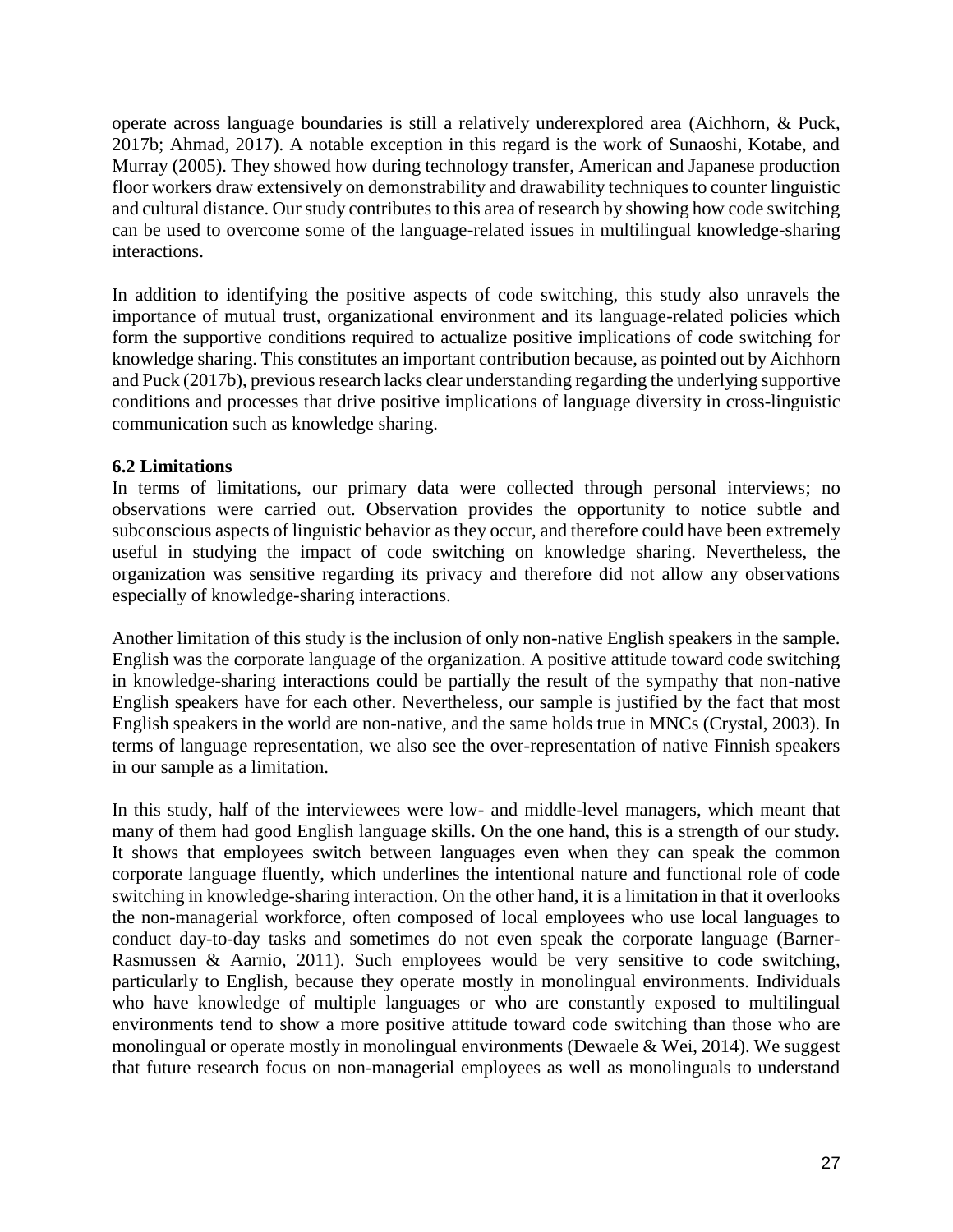operate across language boundaries is still a relatively underexplored area (Aichhorn, & Puck, 2017b; Ahmad, 2017). A notable exception in this regard is the work of Sunaoshi, Kotabe, and Murray (2005). They showed how during technology transfer, American and Japanese production floor workers draw extensively on demonstrability and drawability techniques to counter linguistic and cultural distance. Our study contributes to this area of research by showing how code switching can be used to overcome some of the language-related issues in multilingual knowledge-sharing interactions.

In addition to identifying the positive aspects of code switching, this study also unravels the importance of mutual trust, organizational environment and its language-related policies which form the supportive conditions required to actualize positive implications of code switching for knowledge sharing. This constitutes an important contribution because, as pointed out by Aichhorn and Puck (2017b), previous research lacks clear understanding regarding the underlying supportive conditions and processes that drive positive implications of language diversity in cross-linguistic communication such as knowledge sharing.

#### **6.2 Limitations**

In terms of limitations, our primary data were collected through personal interviews; no observations were carried out. Observation provides the opportunity to notice subtle and subconscious aspects of linguistic behavior as they occur, and therefore could have been extremely useful in studying the impact of code switching on knowledge sharing. Nevertheless, the organization was sensitive regarding its privacy and therefore did not allow any observations especially of knowledge-sharing interactions.

Another limitation of this study is the inclusion of only non-native English speakers in the sample. English was the corporate language of the organization. A positive attitude toward code switching in knowledge-sharing interactions could be partially the result of the sympathy that non-native English speakers have for each other. Nevertheless, our sample is justified by the fact that most English speakers in the world are non-native, and the same holds true in MNCs (Crystal, 2003). In terms of language representation, we also see the over-representation of native Finnish speakers in our sample as a limitation.

In this study, half of the interviewees were low- and middle-level managers, which meant that many of them had good English language skills. On the one hand, this is a strength of our study. It shows that employees switch between languages even when they can speak the common corporate language fluently, which underlines the intentional nature and functional role of code switching in knowledge-sharing interaction. On the other hand, it is a limitation in that it overlooks the non-managerial workforce, often composed of local employees who use local languages to conduct day-to-day tasks and sometimes do not even speak the corporate language (Barner-Rasmussen & Aarnio, 2011). Such employees would be very sensitive to code switching, particularly to English, because they operate mostly in monolingual environments. Individuals who have knowledge of multiple languages or who are constantly exposed to multilingual environments tend to show a more positive attitude toward code switching than those who are monolingual or operate mostly in monolingual environments (Dewaele & Wei, 2014). We suggest that future research focus on non-managerial employees as well as monolinguals to understand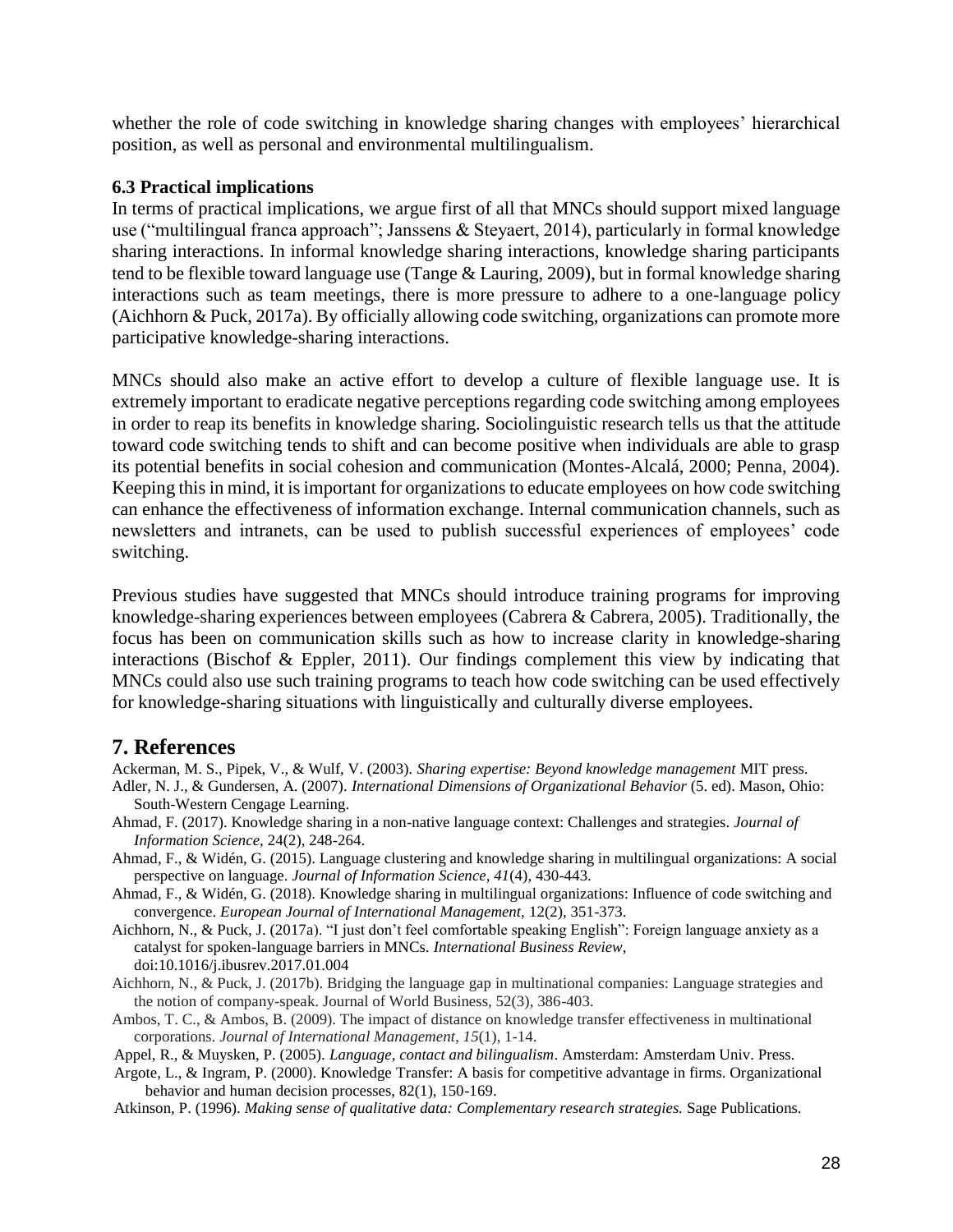whether the role of code switching in knowledge sharing changes with employees' hierarchical position, as well as personal and environmental multilingualism.

#### **6.3 Practical implications**

In terms of practical implications, we argue first of all that MNCs should support mixed language use ("multilingual franca approach"; Janssens & Steyaert, 2014), particularly in formal knowledge sharing interactions. In informal knowledge sharing interactions, knowledge sharing participants tend to be flexible toward language use (Tange & Lauring, 2009), but in formal knowledge sharing interactions such as team meetings, there is more pressure to adhere to a one-language policy (Aichhorn & Puck, 2017a). By officially allowing code switching, organizations can promote more participative knowledge-sharing interactions.

MNCs should also make an active effort to develop a culture of flexible language use. It is extremely important to eradicate negative perceptions regarding code switching among employees in order to reap its benefits in knowledge sharing. Sociolinguistic research tells us that the attitude toward code switching tends to shift and can become positive when individuals are able to grasp its potential benefits in social cohesion and communication (Montes-Alcalá, 2000; Penna, 2004). Keeping this in mind, it is important for organizations to educate employees on how code switching can enhance the effectiveness of information exchange. Internal communication channels, such as newsletters and intranets, can be used to publish successful experiences of employees' code switching.

Previous studies have suggested that MNCs should introduce training programs for improving knowledge-sharing experiences between employees (Cabrera & Cabrera, 2005). Traditionally, the focus has been on communication skills such as how to increase clarity in knowledge-sharing interactions (Bischof & Eppler, 2011). Our findings complement this view by indicating that MNCs could also use such training programs to teach how code switching can be used effectively for knowledge-sharing situations with linguistically and culturally diverse employees.

### **7. References**

Ackerman, M. S., Pipek, V., & Wulf, V. (2003). *Sharing expertise: Beyond knowledge management* MIT press. Adler, N. J., & Gundersen, A. (2007). *International Dimensions of Organizational Behavior* (5. ed). Mason, Ohio:

- South-Western Cengage Learning.
- Ahmad, F. (2017). Knowledge sharing in a non-native language context: Challenges and strategies. *Journal of Information Science,* 24(2), 248-264.
- Ahmad, F., & Widén, G. (2015). Language clustering and knowledge sharing in multilingual organizations: A social perspective on language. *Journal of Information Science, 41*(4), 430-443.
- Ahmad, F., & Widén, G. (2018). Knowledge sharing in multilingual organizations: Influence of code switching and convergence. *European Journal of International Management,* 12(2), 351-373.

Aichhorn, N., & Puck, J. (2017a). "I just don't feel comfortable speaking English": Foreign language anxiety as a catalyst for spoken-language barriers in MNCs. *International Business Review,*  doi:10.1016/j.ibusrev.2017.01.004

- Aichhorn, N., & Puck, J. (2017b). Bridging the language gap in multinational companies: Language strategies and the notion of company-speak. Journal of World Business, 52(3), 386-403.
- Ambos, T. C., & Ambos, B. (2009). The impact of distance on knowledge transfer effectiveness in multinational corporations. *Journal of International Management*, *15*(1), 1-14.

Appel, R., & Muysken, P. (2005). *Language, contact and bilingualism*. Amsterdam: Amsterdam Univ. Press.

Argote, L., & Ingram, P. (2000). Knowledge Transfer: A basis for competitive advantage in firms. Organizational behavior and human decision processes, 82(1), 150-169.

Atkinson, P. (1996). *Making sense of qualitative data: Complementary research strategies.* Sage Publications.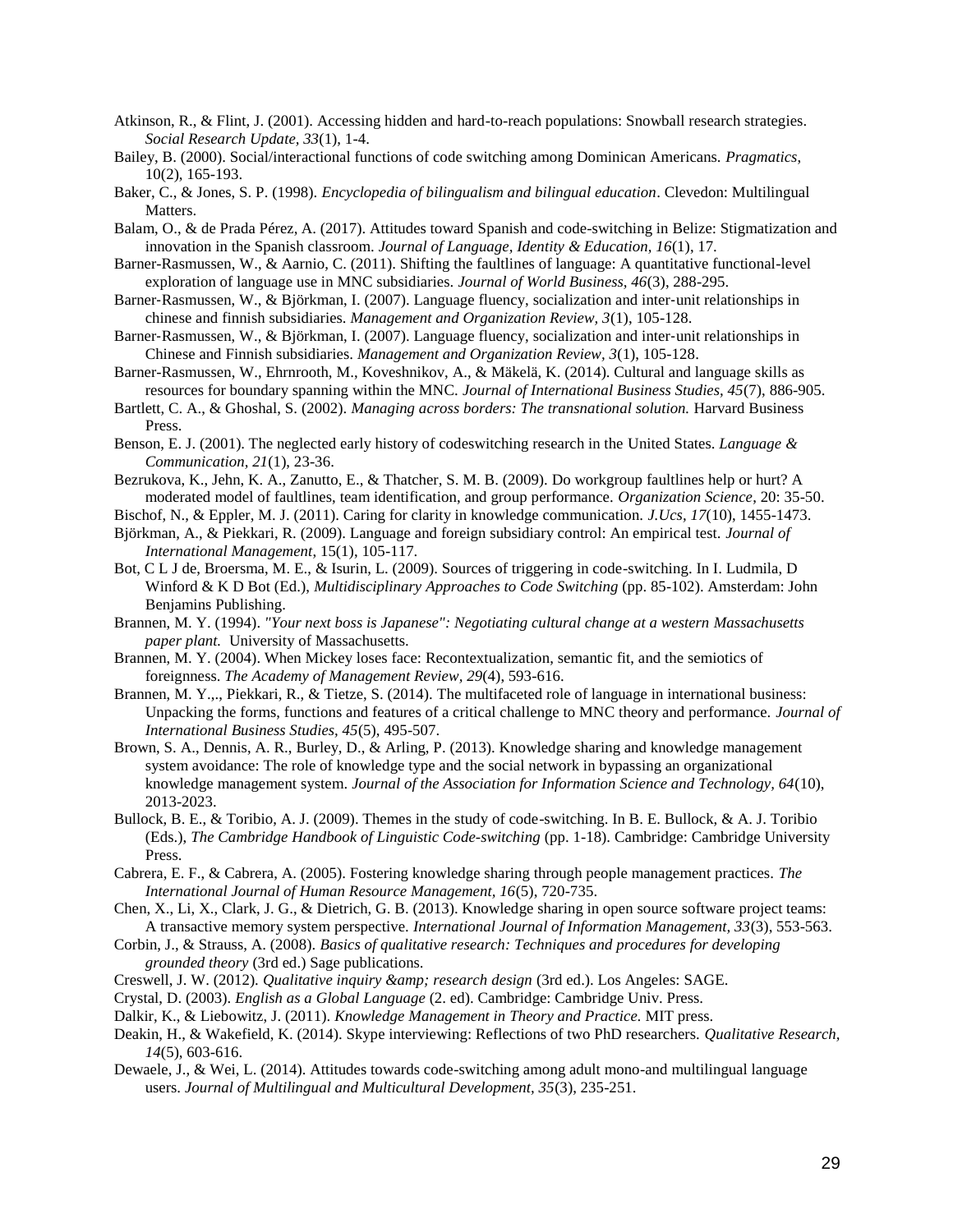- Atkinson, R., & Flint, J. (2001). Accessing hidden and hard-to-reach populations: Snowball research strategies. *Social Research Update, 33*(1), 1-4.
- Bailey, B. (2000). Social/interactional functions of code switching among Dominican Americans. *Pragmatics*, 10(2), 165-193.
- Baker, C., & Jones, S. P. (1998). *Encyclopedia of bilingualism and bilingual education*. Clevedon: Multilingual Matters.
- Balam, O., & de Prada Pérez, A. (2017). Attitudes toward Spanish and code-switching in Belize: Stigmatization and innovation in the Spanish classroom. *Journal of Language, Identity & Education, 16*(1), 17.
- Barner-Rasmussen, W., & Aarnio, C. (2011). Shifting the faultlines of language: A quantitative functional-level exploration of language use in MNC subsidiaries. *Journal of World Business, 46*(3), 288-295.
- Barner‐Rasmussen, W., & Björkman, I. (2007). Language fluency, socialization and inter‐unit relationships in chinese and finnish subsidiaries. *Management and Organization Review, 3*(1), 105-128.
- Barner‐Rasmussen, W., & Björkman, I. (2007). Language fluency, socialization and inter‐unit relationships in Chinese and Finnish subsidiaries. *Management and Organization Review, 3*(1), 105-128.
- Barner-Rasmussen, W., Ehrnrooth, M., Koveshnikov, A., & Mäkelä, K. (2014). Cultural and language skills as resources for boundary spanning within the MNC. *Journal of International Business Studies, 45*(7), 886-905.
- Bartlett, C. A., & Ghoshal, S. (2002). *Managing across borders: The transnational solution.* Harvard Business Press.
- Benson, E. J. (2001). The neglected early history of codeswitching research in the United States. *Language & Communication, 21*(1), 23-36.
- Bezrukova, K., Jehn, K. A., Zanutto, E., & Thatcher, S. M. B. (2009). Do workgroup faultlines help or hurt? A moderated model of faultlines, team identification, and group performance. *Organization Science*, 20: 35-50.
- Bischof, N., & Eppler, M. J. (2011). Caring for clarity in knowledge communication. *J.Ucs, 17*(10), 1455-1473.
- Björkman, A., & Piekkari, R. (2009). Language and foreign subsidiary control: An empirical test. *Journal of International Management*, 15(1), 105-117.
- Bot, C L J de, Broersma, M. E., & Isurin, L. (2009). Sources of triggering in code-switching. In I. Ludmila, D Winford & K D Bot (Ed.), *Multidisciplinary Approaches to Code Switching* (pp. 85-102). Amsterdam: John Benjamins Publishing.
- Brannen, M. Y. (1994). *"Your next boss is Japanese": Negotiating cultural change at a western Massachusetts paper plant.* University of Massachusetts.
- Brannen, M. Y. (2004). When Mickey loses face: Recontextualization, semantic fit, and the semiotics of foreignness. *The Academy of Management Review, 29*(4), 593-616.
- Brannen, M. Y.,., Piekkari, R., & Tietze, S. (2014). The multifaceted role of language in international business: Unpacking the forms, functions and features of a critical challenge to MNC theory and performance. *Journal of International Business Studies, 45*(5), 495-507.
- Brown, S. A., Dennis, A. R., Burley, D., & Arling, P. (2013). Knowledge sharing and knowledge management system avoidance: The role of knowledge type and the social network in bypassing an organizational knowledge management system. *Journal of the Association for Information Science and Technology, 64*(10), 2013-2023.
- Bullock, B. E., & Toribio, A. J. (2009). Themes in the study of code-switching. In B. E. Bullock, & A. J. Toribio (Eds.), *The Cambridge Handbook of Linguistic Code-switching* (pp. 1-18). Cambridge: Cambridge University Press.
- Cabrera, E. F., & Cabrera, A. (2005). Fostering knowledge sharing through people management practices. *The International Journal of Human Resource Management, 16*(5), 720-735.
- Chen, X., Li, X., Clark, J. G., & Dietrich, G. B. (2013). Knowledge sharing in open source software project teams: A transactive memory system perspective. *International Journal of Information Management, 33*(3), 553-563.
- Corbin, J., & Strauss, A. (2008). *Basics of qualitative research: Techniques and procedures for developing grounded theory* (3rd ed.) Sage publications.
- Creswell, J. W. (2012). *Qualitative inquiry & research design* (3rd ed.). Los Angeles: SAGE.
- Crystal, D. (2003). *English as a Global Language* (2. ed). Cambridge: Cambridge Univ. Press.
- Dalkir, K., & Liebowitz, J. (2011). *Knowledge Management in Theory and Practice.* MIT press.
- Deakin, H., & Wakefield, K. (2014). Skype interviewing: Reflections of two PhD researchers. *Qualitative Research, 14*(5), 603-616.
- Dewaele, J., & Wei, L. (2014). Attitudes towards code-switching among adult mono-and multilingual language users. *Journal of Multilingual and Multicultural Development, 35*(3), 235-251.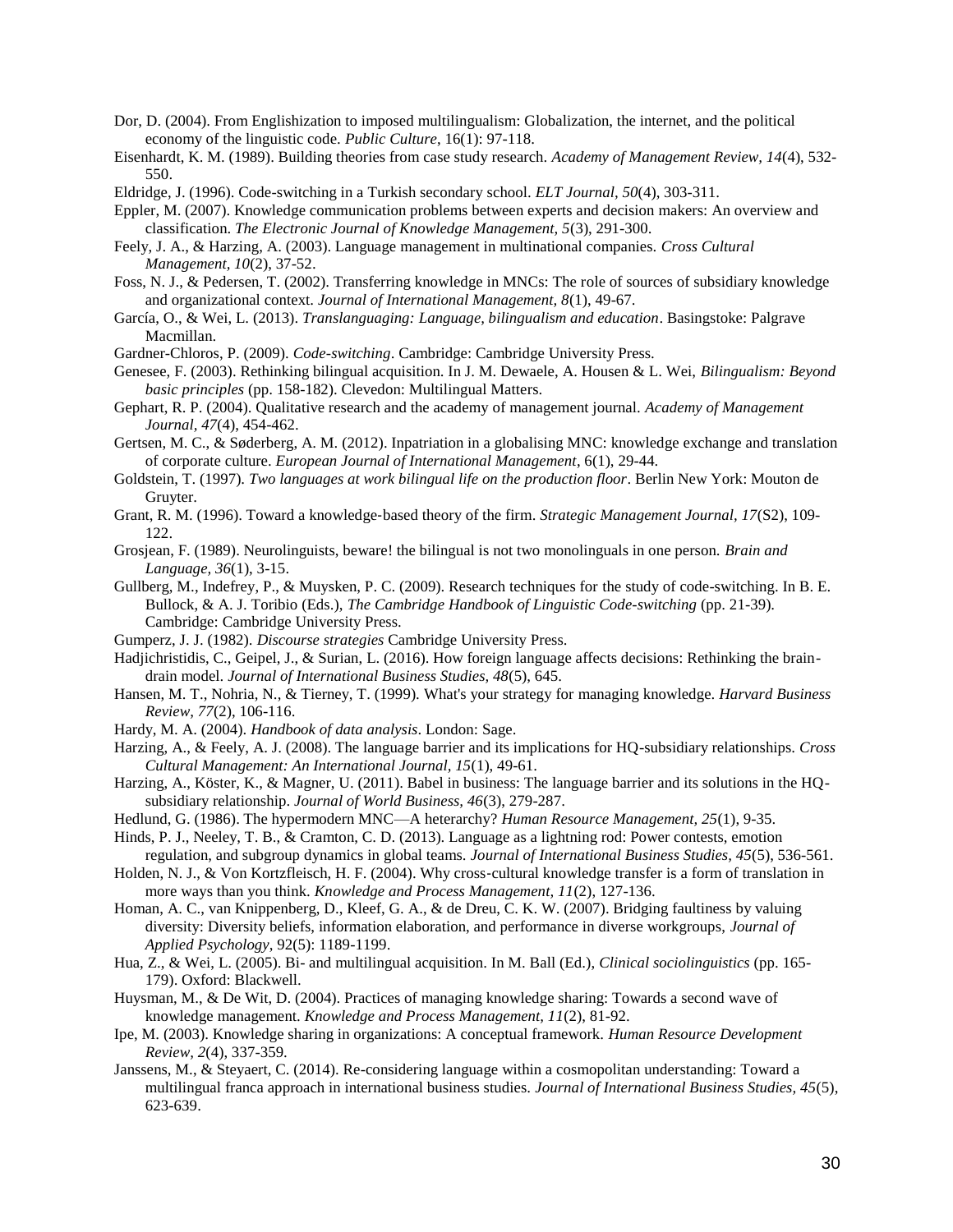- Dor, D. (2004). From Englishization to imposed multilingualism: Globalization, the internet, and the political economy of the linguistic code. *Public Culture*, 16(1): 97-118.
- Eisenhardt, K. M. (1989). Building theories from case study research. *Academy of Management Review, 14*(4), 532- 550.
- Eldridge, J. (1996). Code-switching in a Turkish secondary school. *ELT Journal, 50*(4), 303-311.
- Eppler, M. (2007). Knowledge communication problems between experts and decision makers: An overview and classification. *The Electronic Journal of Knowledge Management, 5*(3), 291-300.
- Feely, J. A., & Harzing, A. (2003). Language management in multinational companies. *Cross Cultural Management, 10*(2), 37-52.
- Foss, N. J., & Pedersen, T. (2002). Transferring knowledge in MNCs: The role of sources of subsidiary knowledge and organizational context. *Journal of International Management, 8*(1), 49-67.
- García, O., & Wei, L. (2013). *Translanguaging: Language, bilingualism and education*. Basingstoke: Palgrave Macmillan.
- Gardner-Chloros, P. (2009). *Code-switching*. Cambridge: Cambridge University Press.
- Genesee, F. (2003). Rethinking bilingual acquisition. In J. M. Dewaele, A. Housen & L. Wei, *Bilingualism: Beyond basic principles* (pp. 158-182). Clevedon: Multilingual Matters.
- Gephart, R. P. (2004). Qualitative research and the academy of management journal. *Academy of Management Journal, 47*(4), 454-462.
- Gertsen, M. C., & Søderberg, A. M. (2012). Inpatriation in a globalising MNC: knowledge exchange and translation of corporate culture. *European Journal of International Management*, 6(1), 29-44.
- Goldstein, T. (1997). *Two languages at work bilingual life on the production floor*. Berlin New York: Mouton de Gruyter.
- Grant, R. M. (1996). Toward a knowledge‐based theory of the firm. *Strategic Management Journal, 17*(S2), 109- 122.
- Grosjean, F. (1989). Neurolinguists, beware! the bilingual is not two monolinguals in one person. *Brain and Language, 36*(1), 3-15.
- Gullberg, M., Indefrey, P., & Muysken, P. C. (2009). Research techniques for the study of code-switching. In B. E. Bullock, & A. J. Toribio (Eds.), *The Cambridge Handbook of Linguistic Code-switching* (pp. 21-39). Cambridge: Cambridge University Press.
- Gumperz, J. J. (1982). *Discourse strategies* Cambridge University Press.
- Hadjichristidis, C., Geipel, J., & Surian, L. (2016). How foreign language affects decisions: Rethinking the braindrain model. *Journal of International Business Studies, 48*(5), 645.
- Hansen, M. T., Nohria, N., & Tierney, T. (1999). What's your strategy for managing knowledge. *Harvard Business Review, 77*(2), 106-116.
- Hardy, M. A. (2004). *Handbook of data analysis*. London: Sage.
- Harzing, A., & Feely, A. J. (2008). The language barrier and its implications for HQ-subsidiary relationships. *Cross Cultural Management: An International Journal, 15*(1), 49-61.
- Harzing, A., Köster, K., & Magner, U. (2011). Babel in business: The language barrier and its solutions in the HQsubsidiary relationship. *Journal of World Business, 46*(3), 279-287.
- Hedlund, G. (1986). The hypermodern MNC—A heterarchy? *Human Resource Management, 25*(1), 9-35.
- Hinds, P. J., Neeley, T. B., & Cramton, C. D. (2013). Language as a lightning rod: Power contests, emotion regulation, and subgroup dynamics in global teams. *Journal of International Business Studies, 45*(5), 536-561.
- Holden, N. J., & Von Kortzfleisch, H. F. (2004). Why cross-cultural knowledge transfer is a form of translation in more ways than you think. *Knowledge and Process Management, 11*(2), 127-136.
- Homan, A. C., van Knippenberg, D., Kleef, G. A., & de Dreu, C. K. W. (2007). Bridging faultiness by valuing diversity: Diversity beliefs, information elaboration, and performance in diverse workgroups, *Journal of Applied Psychology*, 92(5): 1189-1199.
- Hua, Z., & Wei, L. (2005). Bi- and multilingual acquisition. In M. Ball (Ed.), *Clinical sociolinguistics* (pp. 165- 179). Oxford: Blackwell.
- Huysman, M., & De Wit, D. (2004). Practices of managing knowledge sharing: Towards a second wave of knowledge management. *Knowledge and Process Management, 11*(2), 81-92.
- Ipe, M. (2003). Knowledge sharing in organizations: A conceptual framework. *Human Resource Development Review, 2*(4), 337-359.
- Janssens, M., & Steyaert, C. (2014). Re-considering language within a cosmopolitan understanding: Toward a multilingual franca approach in international business studies. *Journal of International Business Studies, 45*(5), 623-639.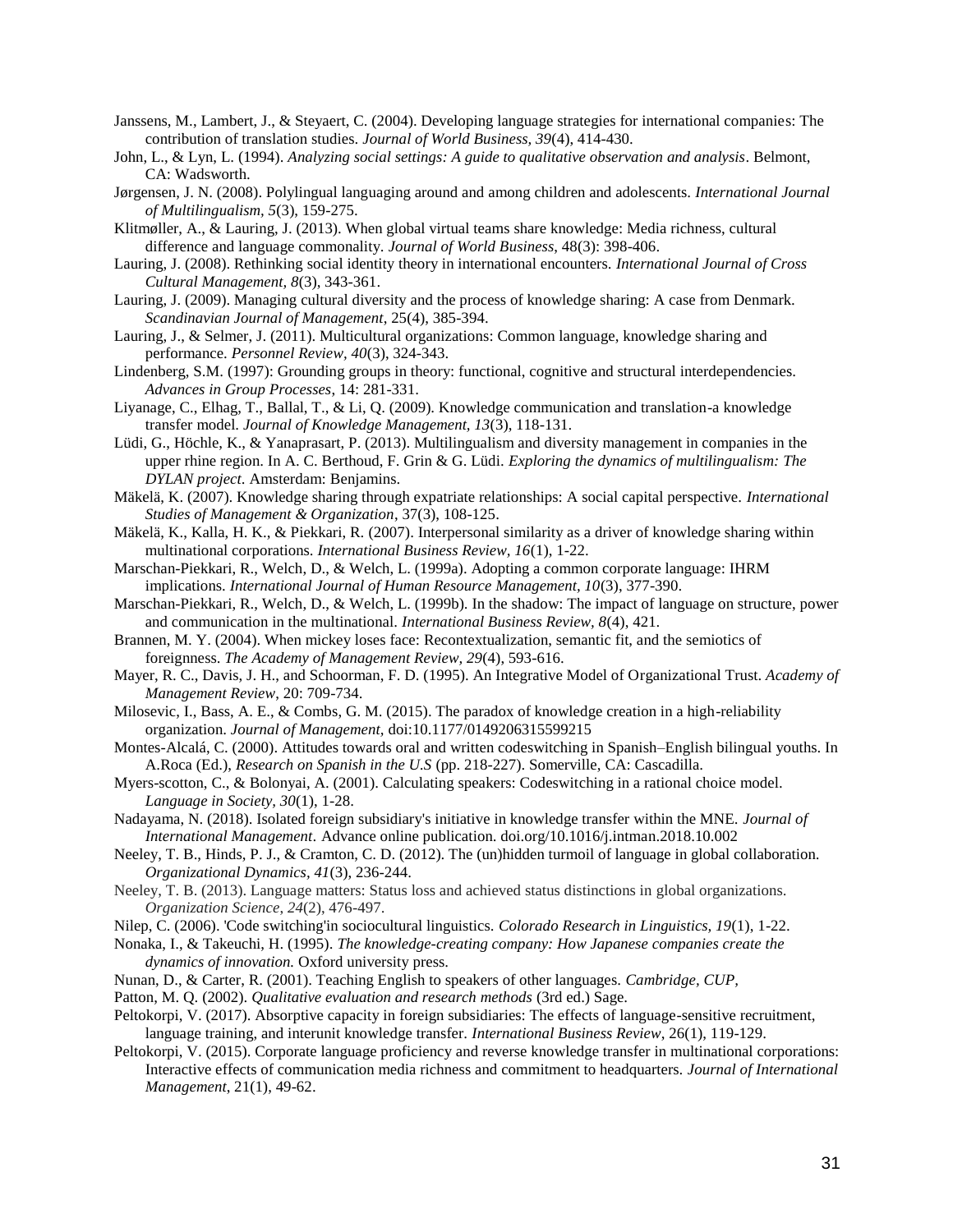- Janssens, M., Lambert, J., & Steyaert, C. (2004). Developing language strategies for international companies: The contribution of translation studies. *Journal of World Business, 39*(4), 414-430.
- John, L., & Lyn, L. (1994). *Analyzing social settings: A guide to qualitative observation and analysis*. Belmont, CA: Wadsworth.
- Jørgensen, J. N. (2008). Polylingual languaging around and among children and adolescents. *International Journal of Multilingualism, 5*(3), 159-275.
- Klitmøller, A., & Lauring, J. (2013). When global virtual teams share knowledge: Media richness, cultural difference and language commonality. *Journal of World Business*, 48(3): 398-406.
- Lauring, J. (2008). Rethinking social identity theory in international encounters. *International Journal of Cross Cultural Management, 8*(3), 343-361.
- Lauring, J. (2009). Managing cultural diversity and the process of knowledge sharing: A case from Denmark. *Scandinavian Journal of Management*, 25(4), 385-394.
- Lauring, J., & Selmer, J. (2011). Multicultural organizations: Common language, knowledge sharing and performance. *Personnel Review, 40*(3), 324-343.
- Lindenberg, S.M. (1997): Grounding groups in theory: functional, cognitive and structural interdependencies. *Advances in Group Processes*, 14: 281-331.
- Liyanage, C., Elhag, T., Ballal, T., & Li, Q. (2009). Knowledge communication and translation-a knowledge transfer model. *Journal of Knowledge Management, 13*(3), 118-131.
- Lüdi, G., Höchle, K., & Yanaprasart, P. (2013). Multilingualism and diversity management in companies in the upper rhine region. In A. C. Berthoud, F. Grin & G. Lüdi. *Exploring the dynamics of multilingualism: The DYLAN project*. Amsterdam: Benjamins.
- Mäkelä, K. (2007). Knowledge sharing through expatriate relationships: A social capital perspective. *International Studies of Management & Organization*, 37(3), 108-125.
- Mäkelä, K., Kalla, H. K., & Piekkari, R. (2007). Interpersonal similarity as a driver of knowledge sharing within multinational corporations. *International Business Review, 16*(1), 1-22.
- Marschan-Piekkari, R., Welch, D., & Welch, L. (1999a). Adopting a common corporate language: IHRM implications. *International Journal of Human Resource Management, 10*(3), 377-390.
- Marschan-Piekkari, R., Welch, D., & Welch, L. (1999b). In the shadow: The impact of language on structure, power and communication in the multinational. *International Business Review, 8*(4), 421.
- Brannen, M. Y. (2004). When mickey loses face: Recontextualization, semantic fit, and the semiotics of foreignness. *The Academy of Management Review, 29*(4), 593-616.
- Mayer, R. C., Davis, J. H., and Schoorman, F. D. (1995). An Integrative Model of Organizational Trust. *Academy of Management Review*, 20: 709-734.
- Milosevic, I., Bass, A. E., & Combs, G. M. (2015). The paradox of knowledge creation in a high-reliability organization. *Journal of Management,* doi:10.1177/0149206315599215
- Montes-Alcalá, C. (2000). Attitudes towards oral and written codeswitching in Spanish–English bilingual youths. In A.Roca (Ed.), *Research on Spanish in the U.S* (pp. 218-227). Somerville, CA: Cascadilla.
- Myers-scotton, C., & Bolonyai, A. (2001). Calculating speakers: Codeswitching in a rational choice model. *Language in Society, 30*(1), 1-28.
- Nadayama, N. (2018). Isolated foreign subsidiary's initiative in knowledge transfer within the MNE. *Journal of International Management*. Advance online publication. doi.org/10.1016/j.intman.2018.10.002
- Neeley, T. B., Hinds, P. J., & Cramton, C. D. (2012). The (un)hidden turmoil of language in global collaboration. *Organizational Dynamics, 41*(3), 236-244.
- Neeley, T. B. (2013). Language matters: Status loss and achieved status distinctions in global organizations. *Organization Science*, *24*(2), 476-497.
- Nilep, C. (2006). 'Code switching'in sociocultural linguistics. *Colorado Research in Linguistics, 19*(1), 1-22.
- Nonaka, I., & Takeuchi, H. (1995). *The knowledge-creating company: How Japanese companies create the dynamics of innovation.* Oxford university press.
- Nunan, D., & Carter, R. (2001). Teaching English to speakers of other languages. *Cambridge, CUP,*
- Patton, M. Q. (2002). *Qualitative evaluation and research methods* (3rd ed.) Sage.
- Peltokorpi, V. (2017). Absorptive capacity in foreign subsidiaries: The effects of language-sensitive recruitment, language training, and interunit knowledge transfer. *International Business Review*, 26(1), 119-129.
- Peltokorpi, V. (2015). Corporate language proficiency and reverse knowledge transfer in multinational corporations: Interactive effects of communication media richness and commitment to headquarters. *Journal of International Management*, 21(1), 49-62.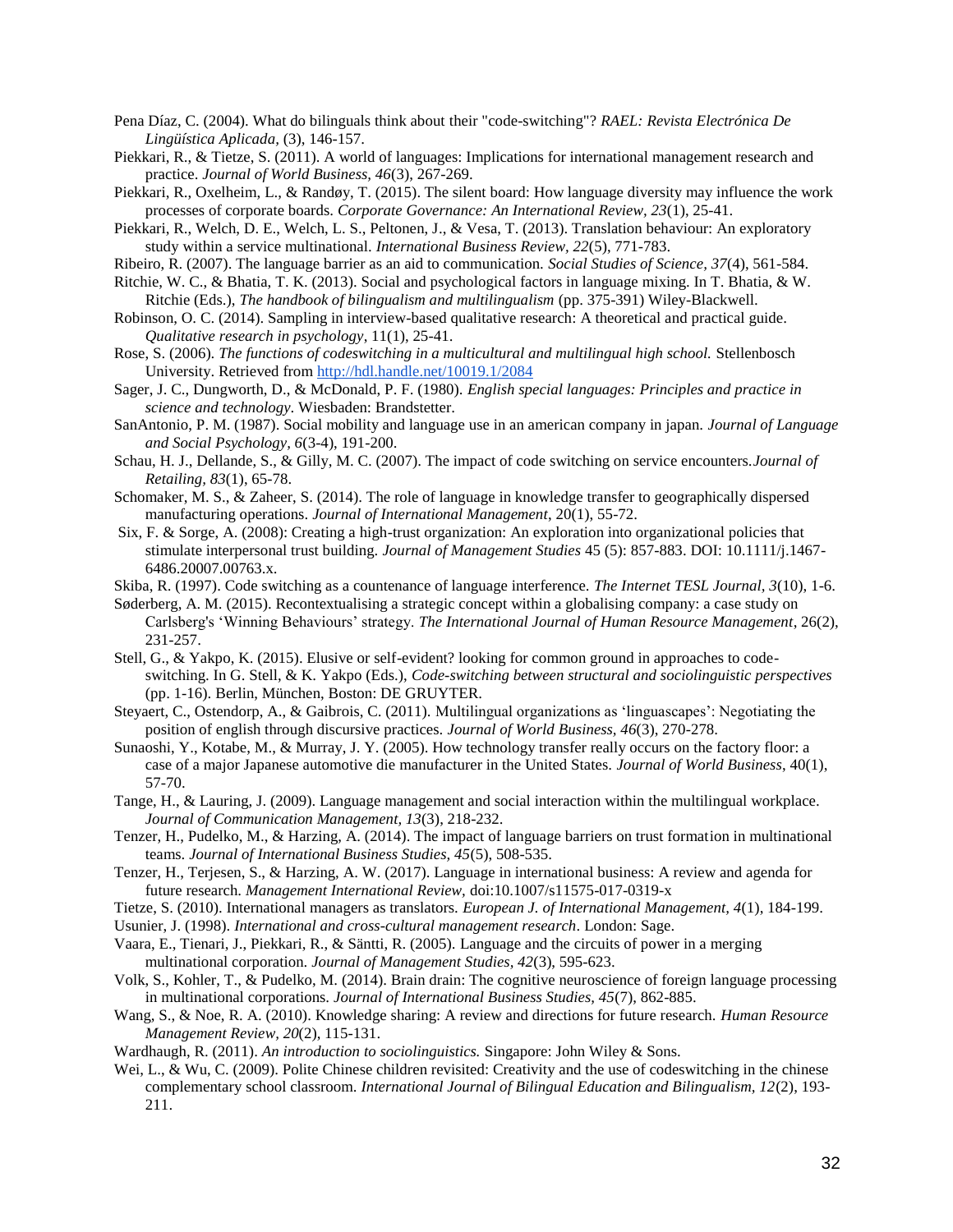- Pena Díaz, C. (2004). What do bilinguals think about their "code-switching"? *RAEL: Revista Electrónica De Lingüística Aplicada,* (3), 146-157.
- Piekkari, R., & Tietze, S. (2011). A world of languages: Implications for international management research and practice. *Journal of World Business, 46*(3), 267-269.
- Piekkari, R., Oxelheim, L., & Randøy, T. (2015). The silent board: How language diversity may influence the work processes of corporate boards. *Corporate Governance: An International Review, 23*(1), 25-41.
- Piekkari, R., Welch, D. E., Welch, L. S., Peltonen, J., & Vesa, T. (2013). Translation behaviour: An exploratory study within a service multinational. *International Business Review, 22*(5), 771-783.
- Ribeiro, R. (2007). The language barrier as an aid to communication. *Social Studies of Science, 37*(4), 561-584.
- Ritchie, W. C., & Bhatia, T. K. (2013). Social and psychological factors in language mixing. In T. Bhatia, & W. Ritchie (Eds.), *The handbook of bilingualism and multilingualism* (pp. 375-391) Wiley-Blackwell.
- Robinson, O. C. (2014). Sampling in interview-based qualitative research: A theoretical and practical guide. *Qualitative research in psychology*, 11(1), 25-41.
- Rose, S. (2006). *The functions of codeswitching in a multicultural and multilingual high school.* Stellenbosch University. Retrieved from<http://hdl.handle.net/10019.1/2084>
- Sager, J. C., Dungworth, D., & McDonald, P. F. (1980). *English special languages: Principles and practice in science and technology*. Wiesbaden: Brandstetter.
- SanAntonio, P. M. (1987). Social mobility and language use in an american company in japan. *Journal of Language and Social Psychology, 6*(3-4), 191-200.
- Schau, H. J., Dellande, S., & Gilly, M. C. (2007). The impact of code switching on service encounters.*Journal of Retailing, 83*(1), 65-78.
- Schomaker, M. S., & Zaheer, S. (2014). The role of language in knowledge transfer to geographically dispersed manufacturing operations. *Journal of International Management*, 20(1), 55-72.
- Six, F. & Sorge, A. (2008): Creating a high-trust organization: An exploration into organizational policies that stimulate interpersonal trust building. *Journal of Management Studies* 45 (5): 857-883. DOI: 10.1111/j.1467- 6486.20007.00763.x.
- Skiba, R. (1997). Code switching as a countenance of language interference. *The Internet TESL Journal, 3*(10), 1-6.
- Søderberg, A. M. (2015). Recontextualising a strategic concept within a globalising company: a case study on Carlsberg's 'Winning Behaviours' strategy. *The International Journal of Human Resource Management*, 26(2), 231-257.
- Stell, G., & Yakpo, K. (2015). Elusive or self-evident? looking for common ground in approaches to codeswitching. In G. Stell, & K. Yakpo (Eds.), *Code-switching between structural and sociolinguistic perspectives* (pp. 1-16). Berlin, München, Boston: DE GRUYTER.
- Steyaert, C., Ostendorp, A., & Gaibrois, C. (2011). Multilingual organizations as 'linguascapes': Negotiating the position of english through discursive practices. *Journal of World Business, 46*(3), 270-278.
- Sunaoshi, Y., Kotabe, M., & Murray, J. Y. (2005). How technology transfer really occurs on the factory floor: a case of a major Japanese automotive die manufacturer in the United States. *Journal of World Business*, 40(1), 57-70.
- Tange, H., & Lauring, J. (2009). Language management and social interaction within the multilingual workplace. *Journal of Communication Management, 13*(3), 218-232.
- Tenzer, H., Pudelko, M., & Harzing, A. (2014). The impact of language barriers on trust formation in multinational teams. *Journal of International Business Studies, 45*(5), 508-535.
- Tenzer, H., Terjesen, S., & Harzing, A. W. (2017). Language in international business: A review and agenda for future research. *Management International Review,* doi:10.1007/s11575-017-0319-x
- Tietze, S. (2010). International managers as translators. *European J. of International Management, 4*(1), 184-199.
- Usunier, J. (1998). *International and cross-cultural management research*. London: Sage.
- Vaara, E., Tienari, J., Piekkari, R., & Säntti, R. (2005). Language and the circuits of power in a merging multinational corporation. *Journal of Management Studies, 42*(3), 595-623.
- Volk, S., Kohler, T., & Pudelko, M. (2014). Brain drain: The cognitive neuroscience of foreign language processing in multinational corporations. *Journal of International Business Studies, 45*(7), 862-885.
- Wang, S., & Noe, R. A. (2010). Knowledge sharing: A review and directions for future research. *Human Resource Management Review, 20*(2), 115-131.
- Wardhaugh, R. (2011). *An introduction to sociolinguistics.* Singapore: John Wiley & Sons.
- Wei, L., & Wu, C. (2009). Polite Chinese children revisited: Creativity and the use of codeswitching in the chinese complementary school classroom. *International Journal of Bilingual Education and Bilingualism, 12*(2), 193- 211.